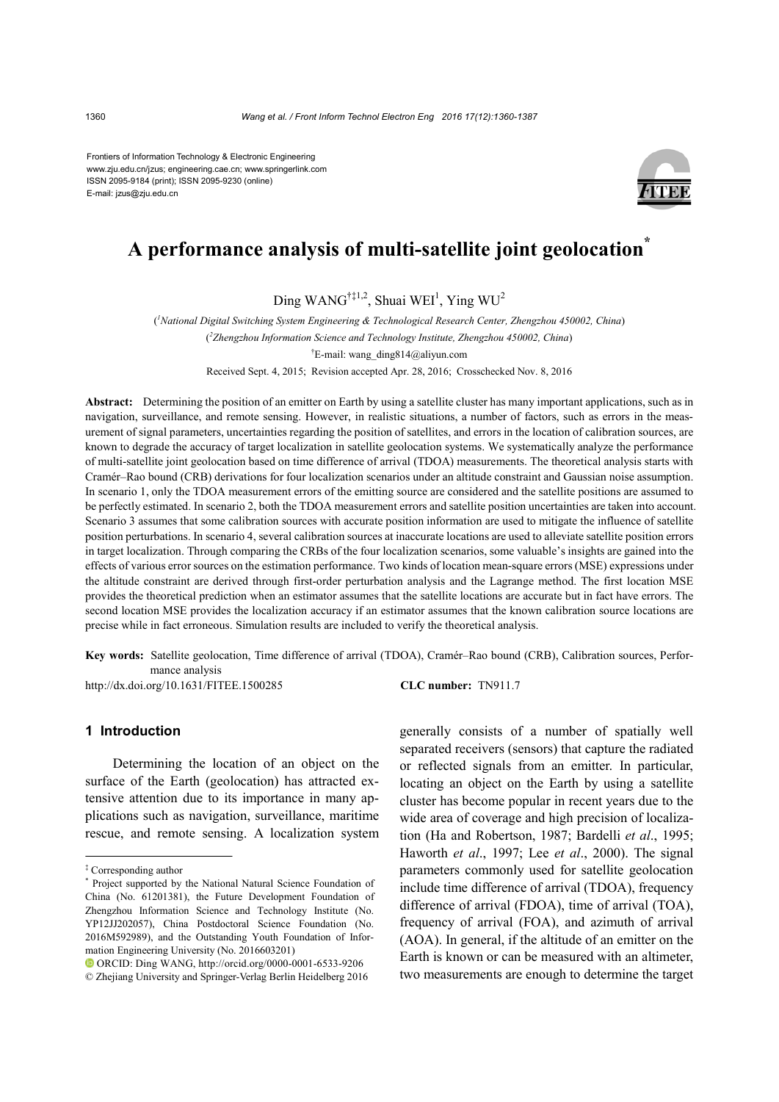Frontiers of Information Technology & Electronic Engineering www.zju.edu.cn/jzus; engineering.cae.cn; www.springerlink.com ISSN 2095-9184 (print); ISSN 2095-9230 (online) E-mail: jzus@zju.edu.cn



# **A performance analysis of multi-satellite joint geolocation\***

Ding WANG<sup>†‡1,2</sup>, Shuai WEI<sup>1</sup>, Ying WU<sup>2</sup>

( *1 National Digital Switching System Engineering & Technological Research Center, Zhengzhou 450002, China*) ( *2 Zhengzhou Information Science and Technology Institute, Zhengzhou 450002, China*)

† E-mail: wang\_ding814@aliyun.com

Received Sept. 4, 2015; Revision accepted Apr. 28, 2016; Crosschecked Nov. 8, 2016

**Abstract:** Determining the position of an emitter on Earth by using a satellite cluster has many important applications, such as in navigation, surveillance, and remote sensing. However, in realistic situations, a number of factors, such as errors in the measurement of signal parameters, uncertainties regarding the position of satellites, and errors in the location of calibration sources, are known to degrade the accuracy of target localization in satellite geolocation systems. We systematically analyze the performance of multi-satellite joint geolocation based on time difference of arrival (TDOA) measurements. The theoretical analysis starts with Cramér–Rao bound (CRB) derivations for four localization scenarios under an altitude constraint and Gaussian noise assumption. In scenario 1, only the TDOA measurement errors of the emitting source are considered and the satellite positions are assumed to be perfectly estimated. In scenario 2, both the TDOA measurement errors and satellite position uncertainties are taken into account. Scenario 3 assumes that some calibration sources with accurate position information are used to mitigate the influence of satellite position perturbations. In scenario 4, several calibration sources at inaccurate locations are used to alleviate satellite position errors in target localization. Through comparing the CRBs of the four localization scenarios, some valuable's insights are gained into the effects of various error sources on the estimation performance. Two kinds of location mean-square errors (MSE) expressions under the altitude constraint are derived through first-order perturbation analysis and the Lagrange method. The first location MSE provides the theoretical prediction when an estimator assumes that the satellite locations are accurate but in fact have errors. The second location MSE provides the localization accuracy if an estimator assumes that the known calibration source locations are precise while in fact erroneous. Simulation results are included to verify the theoretical analysis.

**Key words:** Satellite geolocation, Time difference of arrival (TDOA), Cramér–Rao bound (CRB), Calibration sources, Performance analysis

http://dx.doi.org/10.1631/FITEE.1500285 **CLC number:** TN911.7

#### **1 Introduction**

Determining the location of an object on the surface of the Earth (geolocation) has attracted extensive attention due to its importance in many applications such as navigation, surveillance, maritime rescue, and remote sensing. A localization system

generally consists of a number of spatially well separated receivers (sensors) that capture the radiated or reflected signals from an emitter. In particular, locating an object on the Earth by using a satellite cluster has become popular in recent years due to the wide area of coverage and high precision of localization (Ha and Robertson, 1987; Bardelli *et al*., 1995; Haworth *et al*., 1997; Lee *et al*., 2000). The signal parameters commonly used for satellite geolocation include time difference of arrival (TDOA), frequency difference of arrival (FDOA), time of arrival (TOA), frequency of arrival (FOA), and azimuth of arrival (AOA). In general, if the altitude of an emitter on the Earth is known or can be measured with an altimeter, two measurements are enough to determine the target

<sup>‡</sup> Corresponding author

<sup>\*</sup> Project supported by the National Natural Science Foundation of China (No. 61201381), the Future Development Foundation of Zhengzhou Information Science and Technology Institute (No. YP12JJ202057), China Postdoctoral Science Foundation (No. 2016M592989), and the Outstanding Youth Foundation of Information Engineering University (No. 2016603201)

ORCID: Ding WANG, [http://orcid.org/0](http://orcid.org/0000-0002-6574-1542)000-0001-6533-9206 © Zhejiang University and Springer-Verlag Berlin Heidelberg 2016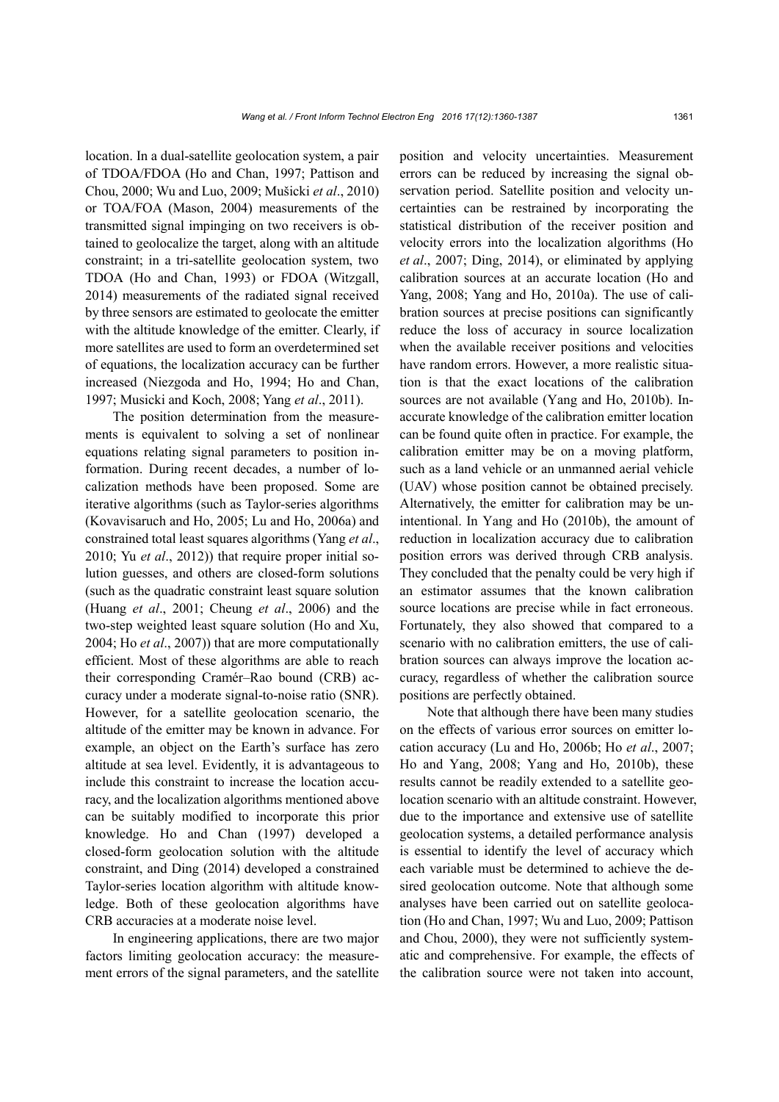location. In a dual-satellite geolocation system, a pair of TDOA/FDOA (Ho and Chan, 1997; Pattison and Chou, 2000; Wu and Luo, 2009; Mušicki *et al*., 2010) or TOA/FOA (Mason, 2004) measurements of the transmitted signal impinging on two receivers is obtained to geolocalize the target, along with an altitude constraint; in a tri-satellite geolocation system, two TDOA (Ho and Chan, 1993) or FDOA (Witzgall, 2014) measurements of the radiated signal received by three sensors are estimated to geolocate the emitter with the altitude knowledge of the emitter. Clearly, if more satellites are used to form an overdetermined set of equations, the localization accuracy can be further increased (Niezgoda and Ho, 1994; Ho and Chan, 1997; Musicki and Koch, 2008; Yang *et al*., 2011).

The position determination from the measurements is equivalent to solving a set of nonlinear equations relating signal parameters to position information. During recent decades, a number of localization methods have been proposed. Some are iterative algorithms (such as Taylor-series algorithms (Kovavisaruch and Ho, 2005; Lu and Ho, 2006a) and constrained total least squares algorithms (Yang *et al*., 2010; Yu *et al*., 2012)) that require proper initial solution guesses, and others are closed-form solutions (such as the quadratic constraint least square solution (Huang *et al*., 2001; Cheung *et al*., 2006) and the two-step weighted least square solution (Ho and Xu, 2004; Ho *et al*., 2007)) that are more computationally efficient. Most of these algorithms are able to reach their corresponding Cramér–Rao bound (CRB) accuracy under a moderate signal-to-noise ratio (SNR). However, for a satellite geolocation scenario, the altitude of the emitter may be known in advance. For example, an object on the Earth's surface has zero altitude at sea level. Evidently, it is advantageous to include this constraint to increase the location accuracy, and the localization algorithms mentioned above can be suitably modified to incorporate this prior knowledge. Ho and Chan (1997) developed a closed-form geolocation solution with the altitude constraint, and Ding (2014) developed a constrained Taylor-series location algorithm with altitude knowledge. Both of these geolocation algorithms have CRB accuracies at a moderate noise level.

In engineering applications, there are two major factors limiting geolocation accuracy: the measurement errors of the signal parameters, and the satellite position and velocity uncertainties. Measurement errors can be reduced by increasing the signal observation period. Satellite position and velocity uncertainties can be restrained by incorporating the statistical distribution of the receiver position and velocity errors into the localization algorithms (Ho *et al*., 2007; Ding, 2014), or eliminated by applying calibration sources at an accurate location (Ho and Yang, 2008; Yang and Ho, 2010a). The use of calibration sources at precise positions can significantly reduce the loss of accuracy in source localization when the available receiver positions and velocities have random errors. However, a more realistic situation is that the exact locations of the calibration sources are not available (Yang and Ho, 2010b). Inaccurate knowledge of the calibration emitter location can be found quite often in practice. For example, the calibration emitter may be on a moving platform, such as a land vehicle or an unmanned aerial vehicle (UAV) whose position cannot be obtained precisely. Alternatively, the emitter for calibration may be unintentional. In Yang and Ho (2010b), the amount of reduction in localization accuracy due to calibration position errors was derived through CRB analysis. They concluded that the penalty could be very high if an estimator assumes that the known calibration source locations are precise while in fact erroneous. Fortunately, they also showed that compared to a scenario with no calibration emitters, the use of calibration sources can always improve the location accuracy, regardless of whether the calibration source positions are perfectly obtained.

Note that although there have been many studies on the effects of various error sources on emitter location accuracy (Lu and Ho, 2006b; Ho *et al*., 2007; Ho and Yang, 2008; Yang and Ho, 2010b), these results cannot be readily extended to a satellite geolocation scenario with an altitude constraint. However, due to the importance and extensive use of satellite geolocation systems, a detailed performance analysis is essential to identify the level of accuracy which each variable must be determined to achieve the desired geolocation outcome. Note that although some analyses have been carried out on satellite geolocation (Ho and Chan, 1997; Wu and Luo, 2009; Pattison and Chou, 2000), they were not sufficiently systematic and comprehensive. For example, the effects of the calibration source were not taken into account,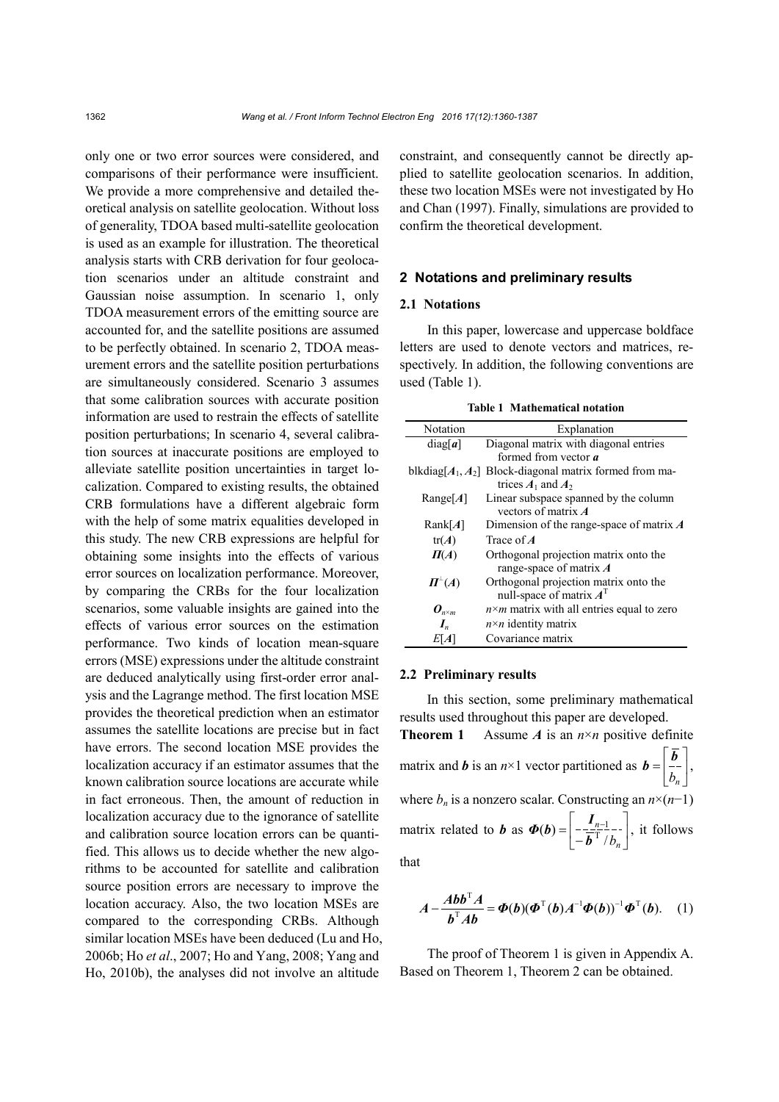only one or two error sources were considered, and comparisons of their performance were insufficient. We provide a more comprehensive and detailed theoretical analysis on satellite geolocation. Without loss of generality, TDOA based multi-satellite geolocation is used as an example for illustration. The theoretical analysis starts with CRB derivation for four geolocation scenarios under an altitude constraint and Gaussian noise assumption. In scenario 1, only TDOA measurement errors of the emitting source are accounted for, and the satellite positions are assumed to be perfectly obtained. In scenario 2, TDOA measurement errors and the satellite position perturbations are simultaneously considered. Scenario 3 assumes that some calibration sources with accurate position information are used to restrain the effects of satellite position perturbations; In scenario 4, several calibration sources at inaccurate positions are employed to alleviate satellite position uncertainties in target localization. Compared to existing results, the obtained CRB formulations have a different algebraic form with the help of some matrix equalities developed in this study. The new CRB expressions are helpful for obtaining some insights into the effects of various error sources on localization performance. Moreover, by comparing the CRBs for the four localization scenarios, some valuable insights are gained into the effects of various error sources on the estimation performance. Two kinds of location mean-square errors (MSE) expressions under the altitude constraint are deduced analytically using first-order error analysis and the Lagrange method. The first location MSE provides the theoretical prediction when an estimator assumes the satellite locations are precise but in fact have errors. The second location MSE provides the localization accuracy if an estimator assumes that the known calibration source locations are accurate while in fact erroneous. Then, the amount of reduction in localization accuracy due to the ignorance of satellite and calibration source location errors can be quantified. This allows us to decide whether the new algorithms to be accounted for satellite and calibration source position errors are necessary to improve the location accuracy. Also, the two location MSEs are compared to the corresponding CRBs. Although similar location MSEs have been deduced (Lu and Ho, 2006b; Ho *et al*., 2007; Ho and Yang, 2008; Yang and Ho, 2010b), the analyses did not involve an altitude

constraint, and consequently cannot be directly applied to satellite geolocation scenarios. In addition, these two location MSEs were not investigated by Ho and Chan (1997). Finally, simulations are provided to confirm the theoretical development.

#### **2 Notations and preliminary results**

#### **2.1 Notations**

In this paper, lowercase and uppercase boldface letters are used to denote vectors and matrices, respectively. In addition, the following conventions are used (Table 1).

| <b>Table 1 Mathematical notation</b> |  |
|--------------------------------------|--|
|                                      |  |

| Notation                      | Explanation                                        |
|-------------------------------|----------------------------------------------------|
| diag[a]                       | Diagonal matrix with diagonal entries              |
|                               | formed from vector <i>a</i>                        |
| blkdiag $[A_1, A_2]$          | Block-diagonal matrix formed from ma-              |
|                               | trices $A_1$ and $A_2$                             |
| Range[A]                      | Linear subspace spanned by the column              |
|                               | vectors of matrix $\boldsymbol{A}$                 |
| Rank[A]                       | Dimension of the range-space of matrix $\vec{A}$   |
| tr(A)                         | Trace of A                                         |
| $\Pi(A)$                      | Orthogonal projection matrix onto the              |
|                               | range-space of matrix $\vec{A}$                    |
| $\Pi^{\perp}(A)$              | Orthogonal projection matrix onto the              |
|                               | null-space of matrix $AT$                          |
| $\boldsymbol{O}_{n \times m}$ | $n \times m$ matrix with all entries equal to zero |
| $I_n$                         | $n \times n$ identity matrix                       |
| E\A\                          | Covariance matrix                                  |

#### **2.2 Preliminary results**

In this section, some preliminary mathematical results used throughout this paper are developed. **Theorem 1** Assume *A* is an  $n \times n$  positive definite

matrix and **b** is an  $n \times 1$  vector partitioned as  $\mathbf{b} = \begin{bmatrix} 2 \\ 7 \end{bmatrix}$  $\frac{1}{2}$  $\left| \frac{\overline{b}}{\overline{b}} \right|$ L  $=$  $b_n$  $\boldsymbol{b} = \left| \frac{\boldsymbol{b}}{\boldsymbol{b}} \right|,$ where  $b_n$  is a nonzero scalar. Constructing an  $n \times (n-1)$ matrix related to *b* as  $\Phi(b) = \left| -\frac{-n-1}{b} \right|$  $\frac{1}{2}$  $\left| \frac{I_{n-1}}{I_{n}T_{l}} \right|$ L  $=\left[-\frac{I_{n-1}}{\overline{b}^T/b_n}\right]$  $\boldsymbol{b}$   $\boldsymbol{b}$   $\boldsymbol{b}$   $\boldsymbol{b}$   $\boldsymbol{b}$   $\boldsymbol{b}$   $\boldsymbol{b}$   $\boldsymbol{b}$   $\boldsymbol{b}$   $\boldsymbol{b}$   $\boldsymbol{b}$   $\boldsymbol{b}$   $\boldsymbol{b}$   $\boldsymbol{b}$   $\boldsymbol{b}$   $\boldsymbol{b}$   $\boldsymbol{b}$   $\boldsymbol{b}$   $\boldsymbol{b}$   $\boldsymbol{b}$   $\boldsymbol{b}$   $\boldsymbol{b}$   $\boldsymbol{b}$   $\boldsymbol{b}$   $\boldsymbol{$ *b*  $\Phi(b) = \left| -\frac{I_{n-1}}{I_{n-1}} - \right|$ , it follows

that

$$
A - \frac{A b b^{\mathrm{T}} A}{b^{\mathrm{T}} A b} = \Phi(b) (\Phi^{\mathrm{T}}(b) A^{-1} \Phi(b))^{-1} \Phi^{\mathrm{T}}(b). \quad (1)
$$

The proof of Theorem 1 is given in Appendix A. Based on Theorem 1, Theorem 2 can be obtained.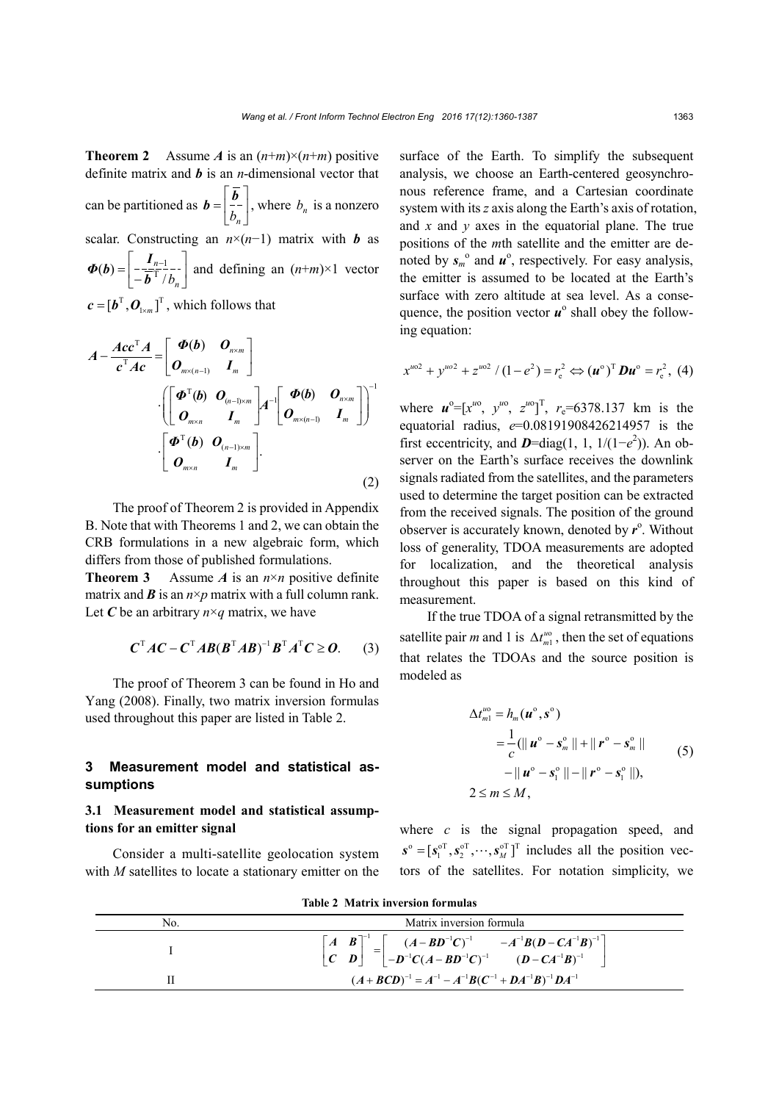**Theorem 2** Assume *A* is an  $(n+m)\times(n+m)$  positive definite matrix and *b* is an *n*-dimensional vector that can be partitioned as  $\mathbf{b} = \left| \frac{b}{b} \right|$  $\overline{\phantom{a}}$  $\left|\frac{\overline{b}}{\overline{b}}\right|$ L  $=$  $b_n$  $\boldsymbol{b} = \left| \frac{\boldsymbol{b}}{\boldsymbol{b}} \right|$ , where  $b_n$  is a nonzero scalar. Constructing an  $n \times (n-1)$  matrix with *b* as J J  $\left| \frac{I_{n-1}}{I_{n}T_{l}} \right|$ L  $=\left[-\frac{I_{n-1}}{\overline{b}^T}/b_n\right]$  $\boldsymbol{b}$   $\boldsymbol{b}$   $\boldsymbol{b}$   $\boldsymbol{b}$   $\boldsymbol{b}$   $\boldsymbol{b}$   $\boldsymbol{b}$   $\boldsymbol{b}$   $\boldsymbol{b}$   $\boldsymbol{b}$   $\boldsymbol{b}$   $\boldsymbol{b}$   $\boldsymbol{b}$   $\boldsymbol{b}$   $\boldsymbol{b}$   $\boldsymbol{b}$   $\boldsymbol{b}$   $\boldsymbol{b}$   $\boldsymbol{b}$   $\boldsymbol{b}$   $\boldsymbol{b}$   $\boldsymbol{b}$   $\boldsymbol{b}$   $\boldsymbol{b}$   $\boldsymbol{$ *b*  $\Phi(b) = \begin{vmatrix} I_{n-1} & \mathbf{I}_{n-1} \\ -I_{n-1} & I_{n-1} \end{vmatrix}$  and defining an  $(n+m) \times 1$  vector  $\boldsymbol{c} = [\boldsymbol{b}^\text{T}, \boldsymbol{O}_{1 \times m}]^\text{T}$ , which follows that

$$
A - \frac{Acc^{T} A}{c^{T} Ac} = \begin{bmatrix} \boldsymbol{\Phi}(b) & \boldsymbol{O}_{n \times m} \\ \boldsymbol{O}_{m \times (n-1)} & I_{m} \end{bmatrix}
$$

$$
\cdot \left( \begin{bmatrix} \boldsymbol{\Phi}^{T}(b) & \boldsymbol{O}_{(n-1) \times m} \\ \boldsymbol{O}_{m \times n} & I_{m} \end{bmatrix} A^{-1} \begin{bmatrix} \boldsymbol{\Phi}(b) & \boldsymbol{O}_{n \times m} \\ \boldsymbol{O}_{m \times (n-1)} & I_{m} \end{bmatrix} \right)^{-1}
$$

$$
\cdot \begin{bmatrix} \boldsymbol{\Phi}^{T}(b) & \boldsymbol{O}_{(n-1) \times m} \\ \boldsymbol{O}_{m \times n} & I_{m} \end{bmatrix} .
$$
(2)

The proof of Theorem 2 is provided in Appendix B. Note that with Theorems 1 and 2, we can obtain the CRB formulations in a new algebraic form, which differs from those of published formulations.

**Theorem 3** Assume *A* is an  $n \times n$  positive definite matrix and *B* is an  $n \times p$  matrix with a full column rank. Let C be an arbitrary  $n \times q$  matrix, we have

$$
\boldsymbol{C}^{\mathrm{T}}\boldsymbol{A}\boldsymbol{C}-\boldsymbol{C}^{\mathrm{T}}\boldsymbol{A}\boldsymbol{B}(\boldsymbol{B}^{\mathrm{T}}\boldsymbol{A}\boldsymbol{B})^{-1}\boldsymbol{B}^{\mathrm{T}}\boldsymbol{A}^{\mathrm{T}}\boldsymbol{C}\geq\boldsymbol{0}.\qquad(3)
$$

The proof of Theorem 3 can be found in Ho and Yang (2008). Finally, two matrix inversion formulas used throughout this paper are listed in Table 2.

# **3 Measurement model and statistical assumptions**

# **3.1 Measurement model and statistical assumptions for an emitter signal**

Consider a multi-satellite geolocation system with *M* satellites to locate a stationary emitter on the

surface of the Earth. To simplify the subsequent analysis, we choose an Earth-centered geosynchronous reference frame, and a Cartesian coordinate system with its *z* axis along the Earth's axis of rotation, and *x* and *y* axes in the equatorial plane. The true positions of the *m*th satellite and the emitter are denoted by  $s_m^{\circ}$  and  $u^{\circ}$ , respectively. For easy analysis, the emitter is assumed to be located at the Earth's surface with zero altitude at sea level. As a consequence, the position vector  $\mathbf{u}^{\circ}$  shall obey the following equation:

$$
x^{u02} + y^{u02} + z^{u02} / (1 - e^2) = r_e^2 \Leftrightarrow (u^{\circ})^{\mathrm{T}} \, Du^{\circ} = r_e^2, \tag{4}
$$

where  $u^{\circ} = [x^{u\circ}, y^{u\circ}, z^{u\circ}]^T$ ,  $r_e = 6378.137$  km is the equatorial radius, *e*=0.08191908426214957 is the first eccentricity, and  $\mathbf{D}$ =diag(1, 1, 1/(1−*e*<sup>2</sup>)). An observer on the Earth's surface receives the downlink signals radiated from the satellites, and the parameters used to determine the target position can be extracted from the received signals. The position of the ground observer is accurately known, denoted by  $r^{\circ}$ . Without loss of generality, TDOA measurements are adopted for localization, and the theoretical analysis throughout this paper is based on this kind of measurement.

If the true TDOA of a signal retransmitted by the satellite pair *m* and 1 is  $\Delta t_{m}^{uo}$ , then the set of equations that relates the TDOAs and the source position is modeled as

$$
\Delta t_m^{uo} = h_m(\boldsymbol{u}^\circ, \boldsymbol{s}^\circ)
$$
  
\n
$$
= \frac{1}{c} (\parallel \boldsymbol{u}^\circ - \boldsymbol{s}_m^\circ \parallel + \parallel \boldsymbol{r}^\circ - \boldsymbol{s}_m^\circ \parallel
$$
  
\n
$$
- \parallel \boldsymbol{u}^\circ - \boldsymbol{s}_1^\circ \parallel - \parallel \boldsymbol{r}^\circ - \boldsymbol{s}_1^\circ \parallel),
$$
  
\n
$$
2 \le m \le M,
$$
 (5)

where *c* is the signal propagation speed, and  $\mathbf{s}^{\circ} = [\mathbf{s}_1^{\circ^{\mathrm{T}}}, \mathbf{s}_2^{\circ^{\mathrm{T}}}, \cdots, \mathbf{s}_M^{\circ^{\mathrm{T}}}]^{\mathrm{T}}$  includes all the position vectors of the satellites. For notation simplicity, we

| No. | Matrix inversion formula                                                                                                                                                                   |  |  |
|-----|--------------------------------------------------------------------------------------------------------------------------------------------------------------------------------------------|--|--|
|     | $\begin{bmatrix} A & B \\ C & D \end{bmatrix}^{-1} = \begin{bmatrix} (A - BD^{-1}C)^{-1} & -A^{-1}B(D - CA^{-1}B)^{-1} \\ -D^{-1}C(A - BD^{-1}C)^{-1} & (D - CA^{-1}B)^{-1} \end{bmatrix}$ |  |  |
|     | $(A + BCD)^{-1} = A^{-1} - A^{-1}B(C^{-1} + DA^{-1}B)^{-1}DA^{-1}$                                                                                                                         |  |  |

**Table 2 Matrix inversion formulas**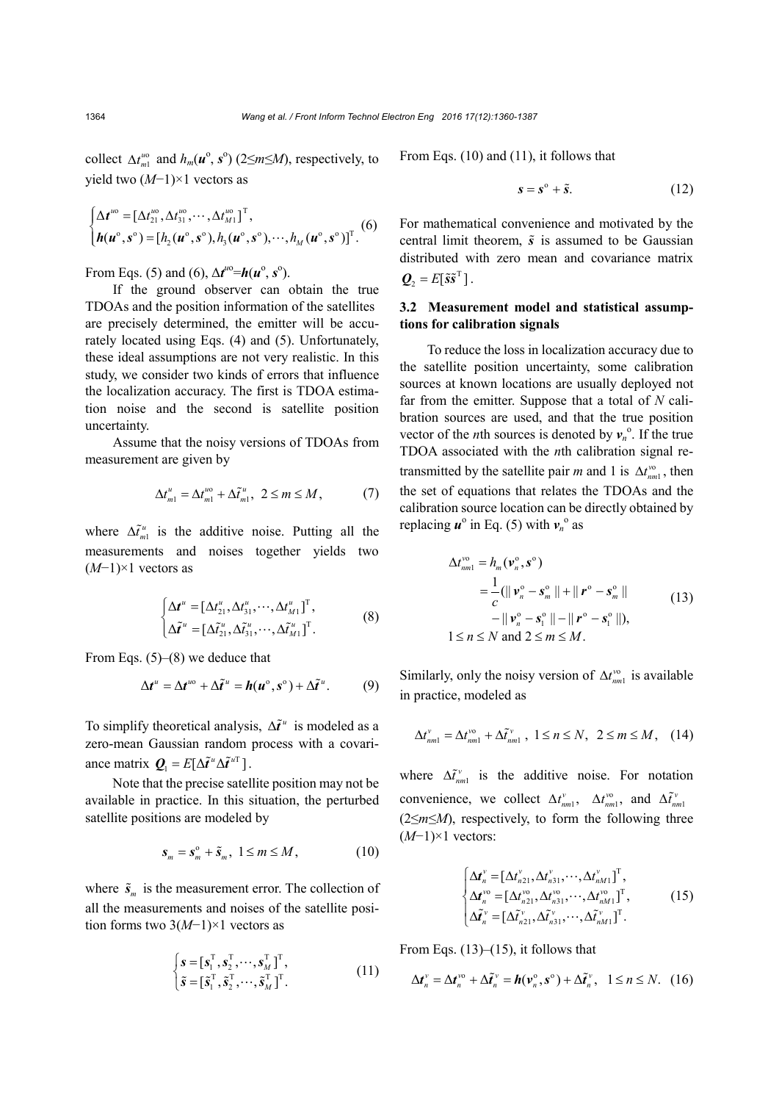collect  $\Delta t_{m1}^{u0}$  and  $h_m(u^0, s^0)$  (2≤*m*≤*M*), respectively, to yield two (*M*−1)×1 vectors as

$$
\begin{cases}\n\Delta \boldsymbol{t}^{uo} = [\Delta t_{21}^{uo}, \Delta t_{31}^{uo}, \cdots, \Delta t_{M1}^{uo}]^{\mathrm{T}}, \\
\boldsymbol{h}(\boldsymbol{u}^{\mathrm{o}}, \boldsymbol{s}^{\mathrm{o}}) = [h_2(\boldsymbol{u}^{\mathrm{o}}, \boldsymbol{s}^{\mathrm{o}}), h_3(\boldsymbol{u}^{\mathrm{o}}, \boldsymbol{s}^{\mathrm{o}}), \cdots, h_M(\boldsymbol{u}^{\mathrm{o}}, \boldsymbol{s}^{\mathrm{o}})]^{\mathrm{T}}.\n\end{cases}
$$
\n(6)

From Eqs. (5) and (6),  $\Delta t^{\mu o} = h(u^o, s^o)$ .

If the ground observer can obtain the true TDOAs and the position information of the satellites are precisely determined, the emitter will be accurately located using Eqs. (4) and (5). Unfortunately, these ideal assumptions are not very realistic. In this study, we consider two kinds of errors that influence the localization accuracy. The first is TDOA estimation noise and the second is satellite position uncertainty.

Assume that the noisy versions of TDOAs from measurement are given by

$$
\Delta t_{m1}^{u} = \Delta t_{m1}^{u0} + \Delta \tilde{t}_{m1}^{u}, \ \ 2 \le m \le M, \tag{7}
$$

where  $\Delta \tilde{t}_{m1}^u$  is the additive noise. Putting all the measurements and noises together yields two (*M*−1)×1 vectors as

$$
\begin{cases}\n\Delta t^u = [\Delta t_{21}^u, \Delta t_{31}^u, \cdots, \Delta t_{M1}^u]^T, \\
\Delta \tilde{t}^u = [\Delta \tilde{t}_{21}^u, \Delta \tilde{t}_{31}^u, \cdots, \Delta \tilde{t}_{M1}^u]^T.\n\end{cases} \tag{8}
$$

From Eqs. (5)–(8) we deduce that

$$
\Delta \boldsymbol{t}^u = \Delta \boldsymbol{t}^{uv} + \Delta \tilde{\boldsymbol{t}}^u = \boldsymbol{h}(\boldsymbol{u}^\circ, \boldsymbol{s}^\circ) + \Delta \tilde{\boldsymbol{t}}^u. \tag{9}
$$

To simplify theoretical analysis,  $\Delta \tilde{t}^u$  is modeled as a zero-mean Gaussian random process with a covariance matrix  $\mathbf{Q}_1 = E[\Delta \tilde{\mathbf{t}}^u \Delta \tilde{\mathbf{t}}^{uT}]$ .

Note that the precise satellite position may not be available in practice. In this situation, the perturbed satellite positions are modeled by

$$
\mathbf{s}_m = \mathbf{s}_m^{\circ} + \tilde{\mathbf{s}}_m, \ 1 \le m \le M, \tag{10}
$$

where  $\tilde{s}_m$  is the measurement error. The collection of all the measurements and noises of the satellite position forms two 3(*M*−1)×1 vectors as

$$
\begin{cases}\ns = [\mathbf{s}_1^{\mathrm{T}}, \mathbf{s}_2^{\mathrm{T}}, \cdots, \mathbf{s}_M^{\mathrm{T}}]^{\mathrm{T}}, \n\tilde{s} = [\tilde{s}_1^{\mathrm{T}}, \tilde{s}_2^{\mathrm{T}}, \cdots, \tilde{s}_M^{\mathrm{T}}]^{\mathrm{T}}.\n\end{cases} (11)
$$

From Eqs. (10) and (11), it follows that

$$
s = s^{\circ} + \tilde{s}.\tag{12}
$$

For mathematical convenience and motivated by the central limit theorem,  $\tilde{s}$  is assumed to be Gaussian distributed with zero mean and covariance matrix  $\mathbf{Q}_2 = E[\tilde{\mathbf{s}}\tilde{\mathbf{s}}^{\mathrm{T}}]$  .

### **3.2 Measurement model and statistical assumptions for calibration signals**

To reduce the loss in localization accuracy due to the satellite position uncertainty, some calibration sources at known locations are usually deployed not far from the emitter. Suppose that a total of *N* calibration sources are used, and that the true position vector of the *n*th sources is denoted by  $v_n^{\circ}$ . If the true TDOA associated with the *n*th calibration signal retransmitted by the satellite pair *m* and 1 is  $\Delta t_{mn}^{\nu}$ , then the set of equations that relates the TDOAs and the calibration source location can be directly obtained by replacing  $u^{\circ}$  in Eq. (5) with  $v_n^{\circ}$  as

$$
\Delta t_{nm1}^{\infty} = h_m(\mathbf{v}_n^{\circ}, \mathbf{s}^{\circ})
$$
  
\n
$$
= \frac{1}{c} (\|\mathbf{v}_n^{\circ} - \mathbf{s}_m^{\circ}\| + \|\mathbf{r}^{\circ} - \mathbf{s}_m^{\circ}\| - \|\mathbf{v}_n^{\circ} - \mathbf{s}_1^{\circ}\|) - \|\mathbf{v}_n^{\circ} - \mathbf{s}_1^{\circ}\| - \|\mathbf{r}^{\circ} - \mathbf{s}_1^{\circ}\|),
$$
  
\n
$$
1 \le n \le N \text{ and } 2 \le m \le M.
$$
 (13)

Similarly, only the noisy version of  $\Delta t_{nm}^{\nu o}$  is available in practice, modeled as

$$
\Delta t_{nm1}^{\nu} = \Delta t_{nm1}^{\nu o} + \Delta \tilde{t}_{nm1}^{\nu} , \ 1 \le n \le N, \ 2 \le m \le M, \ (14)
$$

where  $\Delta \tilde{t}_{nm1}^{\nu}$  is the additive noise. For notation convenience, we collect  $\Delta t_{nm1}^{\nu}$ ,  $\Delta t_{nm1}^{\nu_0}$ , and  $\Delta \tilde{t}_{nm1}^{\nu}$ (2≤*m*≤*M*), respectively, to form the following three (*M*−1)×1 vectors:

$$
\begin{cases}\n\Delta t_n^{\nu} = [\Delta t_{n21}^{\nu}, \Delta t_{n31}^{\nu}, \cdots, \Delta t_{nM1}^{\nu}]^{\mathrm{T}}, \\
\Delta t_n^{\nu_0} = [\Delta t_{n21}^{\nu_0}, \Delta t_{n31}^{\nu_0}, \cdots, \Delta t_{nM1}^{\nu_0}]^{\mathrm{T}}, \\
\Delta \tilde{t}_n^{\nu} = [\Delta \tilde{t}_{n21}^{\nu}, \Delta \tilde{t}_{n31}^{\nu}, \cdots, \Delta \tilde{t}_{nM1}^{\nu_0}]^{\mathrm{T}}.\n\end{cases} (15)
$$

From Eqs.  $(13)$ – $(15)$ , it follows that

$$
\Delta \boldsymbol{t}_n^{\nu} = \Delta \boldsymbol{t}_n^{\nu o} + \Delta \tilde{\boldsymbol{t}}_n^{\nu} = \boldsymbol{h}(\boldsymbol{v}_n^{\mathrm{o}}, \boldsymbol{s}^{\mathrm{o}}) + \Delta \tilde{\boldsymbol{t}}_n^{\nu}, \quad 1 \le n \le N. \quad (16)
$$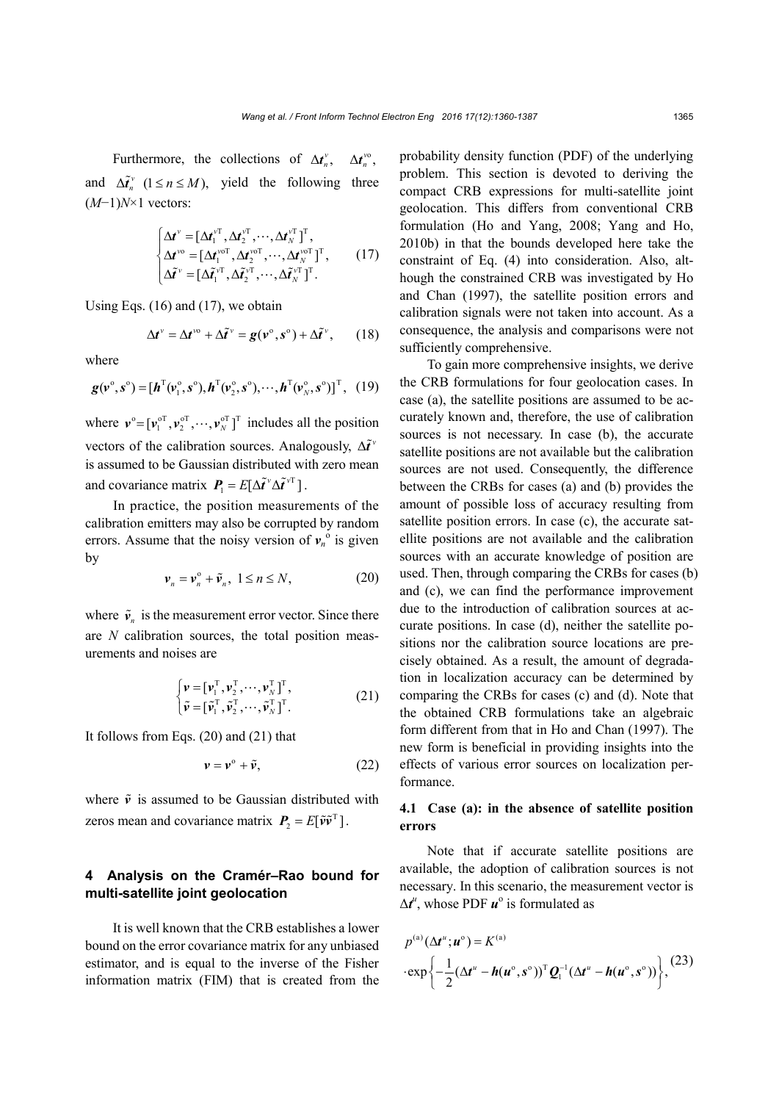Furthermore, the collections of  $\Delta t_n^{\nu}$ ,  $\Delta t_n^{\nu o}$ , and  $\Delta \tilde{t}_n^{\nu}$  (1  $\le n \le M$ ), yield the following three (*M*−1)*N*×1 vectors:

$$
\begin{cases}\n\Delta t^{\nu} = [\Delta t_1^{\nu T}, \Delta t_2^{\nu T}, \cdots, \Delta t_N^{\nu T}]^T, \\
\Delta t^{\nu o} = [\Delta t_1^{\nu o T}, \Delta t_2^{\nu o T}, \cdots, \Delta t_N^{\nu o T}]^T, \\
\Delta \tilde{t}^{\nu} = [\Delta \tilde{t}_1^{\nu T}, \Delta \tilde{t}_2^{\nu T}, \cdots, \Delta \tilde{t}_N^{\nu T}]^T.\n\end{cases} (17)
$$

Using Eqs.  $(16)$  and  $(17)$ , we obtain

$$
\Delta t^{\nu} = \Delta t^{\nu o} + \Delta \tilde{t}^{\nu} = g(\nu^{\circ}, s^{\circ}) + \Delta \tilde{t}^{\nu}, \qquad (18)
$$

where

$$
\boldsymbol{g}(\boldsymbol{v}^{\circ}, \boldsymbol{s}^{\circ}) = [\boldsymbol{h}^{\mathrm{T}}(\boldsymbol{v}_{1}^{\circ}, \boldsymbol{s}^{\circ}), \boldsymbol{h}^{\mathrm{T}}(\boldsymbol{v}_{2}^{\circ}, \boldsymbol{s}^{\circ}), \cdots, \boldsymbol{h}^{\mathrm{T}}(\boldsymbol{v}_{N}^{\circ}, \boldsymbol{s}^{\circ})]^{\mathrm{T}}, \quad (19)
$$

where  $\mathbf{v}^{\circ} = [\mathbf{v}_1^{\circ^T}, \mathbf{v}_2^{\circ^T}, \cdots, \mathbf{v}_N^{\circ^T}]^T$  includes all the position vectors of the calibration sources. Analogously,  $\Delta \tilde{t}$ <sup>*''*</sup> is assumed to be Gaussian distributed with zero mean and covariance matrix  $P_1 = E[\Delta \tilde{t}^\nu \Delta \tilde{t}^\nu]$ .

In practice, the position measurements of the calibration emitters may also be corrupted by random errors. Assume that the noisy version of  $v_n^{\circ}$  is given by

$$
\mathbf{v}_n = \mathbf{v}_n^{\circ} + \tilde{\mathbf{v}}_n, \ 1 \le n \le N,
$$
 (20)

where  $\tilde{v}_n$  is the measurement error vector. Since there are *N* calibration sources, the total position measurements and noises are

$$
\begin{cases}\n\mathbf{v} = [\mathbf{v}_1^{\mathrm{T}}, \mathbf{v}_2^{\mathrm{T}}, \cdots, \mathbf{v}_N^{\mathrm{T}}]^{\mathrm{T}}, \n\widetilde{\mathbf{v}} = [\widetilde{\mathbf{v}}_1^{\mathrm{T}}, \widetilde{\mathbf{v}}_2^{\mathrm{T}}, \cdots, \widetilde{\mathbf{v}}_N^{\mathrm{T}}]^{\mathrm{T}}.\n\end{cases}
$$
\n(21)

It follows from Eqs. (20) and (21) that

$$
v = v^{\circ} + \tilde{v}, \tag{22}
$$

where  $\tilde{v}$  is assumed to be Gaussian distributed with zeros mean and covariance matrix  $P_2 = E[\tilde{v}\tilde{v}^T]$ .

### **4 Analysis on the Cramér–Rao bound for multi-satellite joint geolocation**

It is well known that the CRB establishes a lower bound on the error covariance matrix for any unbiased estimator, and is equal to the inverse of the Fisher information matrix (FIM) that is created from the probability density function (PDF) of the underlying problem. This section is devoted to deriving the compact CRB expressions for multi-satellite joint geolocation. This differs from conventional CRB formulation (Ho and Yang, 2008; Yang and Ho, 2010b) in that the bounds developed here take the constraint of Eq. (4) into consideration. Also, although the constrained CRB was investigated by Ho and Chan (1997), the satellite position errors and calibration signals were not taken into account. As a consequence, the analysis and comparisons were not sufficiently comprehensive.

To gain more comprehensive insights, we derive the CRB formulations for four geolocation cases. In case (a), the satellite positions are assumed to be accurately known and, therefore, the use of calibration sources is not necessary. In case (b), the accurate satellite positions are not available but the calibration sources are not used. Consequently, the difference between the CRBs for cases (a) and (b) provides the amount of possible loss of accuracy resulting from satellite position errors. In case (c), the accurate satellite positions are not available and the calibration sources with an accurate knowledge of position are used. Then, through comparing the CRBs for cases (b) and (c), we can find the performance improvement due to the introduction of calibration sources at accurate positions. In case (d), neither the satellite positions nor the calibration source locations are precisely obtained. As a result, the amount of degradation in localization accuracy can be determined by comparing the CRBs for cases (c) and (d). Note that the obtained CRB formulations take an algebraic form different from that in Ho and Chan (1997). The new form is beneficial in providing insights into the effects of various error sources on localization performance.

# **4.1 Case (a): in the absence of satellite position errors**

Note that if accurate satellite positions are available, the adoption of calibration sources is not necessary. In this scenario, the measurement vector is  $\Delta t^{\mu}$ , whose PDF  $u^{\circ}$  is formulated as

$$
p^{(a)}(\Delta t^u; \boldsymbol{u}^{\circ}) = K^{(a)}
$$

$$
\cdot \exp\left\{-\frac{1}{2}(\Delta t^u - \boldsymbol{h}(\boldsymbol{u}^{\circ}, \boldsymbol{s}^{\circ}))^{\mathrm{T}} \boldsymbol{Q}_1^{-1}(\Delta t^u - \boldsymbol{h}(\boldsymbol{u}^{\circ}, \boldsymbol{s}^{\circ}))\right\},
$$
(23)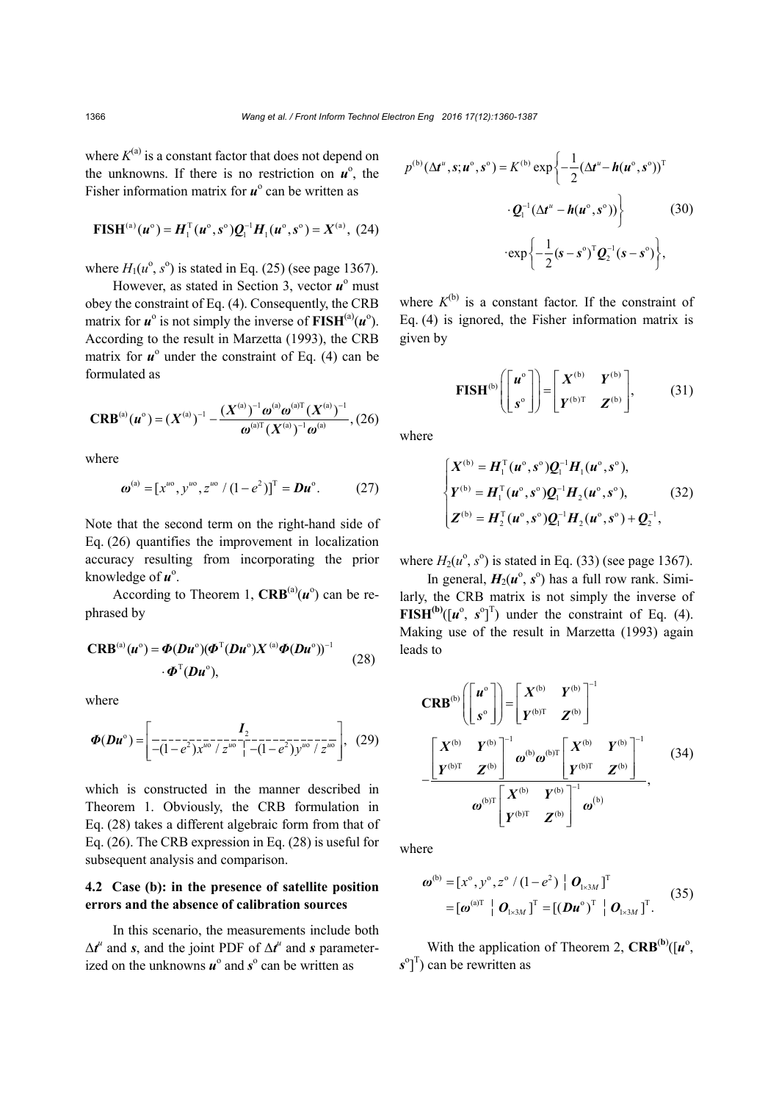where  $K^{(a)}$  is a constant factor that does not depend on the unknowns. If there is no restriction on  $u^{\circ}$ , the Fisher information matrix for  $\mathbf{u}^{\circ}$  can be written as

**FIGH**<sup>(a)</sup>
$$
(u^{\circ}) = H_1^T(u^{\circ}, s^{\circ})Q_1^{-1}H_1(u^{\circ}, s^{\circ}) = X^{(a)}, (24)
$$

where  $H_1(u^{\circ}, s^{\circ})$  is stated in Eq. (25) (see page 1367).

However, as stated in Section 3, vector  $u^{\circ}$  must obey the constraint of Eq. (4). Consequently, the CRB matrix for  $u^{\circ}$  is not simply the inverse of **FISH**<sup>(a)</sup> $(u^{\circ})$ . According to the result in Marzetta (1993), the CRB matrix for  $u^{\circ}$  under the constraint of Eq. (4) can be formulated as

$$
\text{CRB}^{(a)}(u^{\circ}) = (X^{(a)})^{-1} - \frac{(X^{(a)})^{-1} \omega^{(a)} \omega^{(a)T} (X^{(a)})^{-1}}{\omega^{(a)T} (X^{(a)})^{-1} \omega^{(a)}}, (26)
$$

where

$$
\boldsymbol{\omega}^{\text{(a)}} = [x^{\text{uo}}, y^{\text{uo}}, z^{\text{uo}} / (1 - e^2)]^{\text{T}} = \boldsymbol{D}\boldsymbol{u}^{\text{o}}.
$$
 (27)

Note that the second term on the right-hand side of Eq. (26) quantifies the improvement in localization accuracy resulting from incorporating the prior knowledge of  $u^{\circ}$ .

According to Theorem 1,  $CRB^{(a)}(u^{\circ})$  can be rephrased by

$$
CRB(a)(uo) = \Phi(Duo)(\PhiT(Duo)X(a)\Phi(Duo))-1 \cdot \PhiT(Duo),
$$
 (28)

where

$$
\boldsymbol{\Phi}(\boldsymbol{Du}^{\circ}) = \left[ \frac{I_2}{-(1-e^2)x^{u\circ}/z^{u\circ}} \frac{I_2}{\left| -(1-e^2)y^{u\circ}/z^{u\circ}} \right|, (29)
$$

which is constructed in the manner described in Theorem 1. Obviously, the CRB formulation in Eq. (28) takes a different algebraic form from that of Eq. (26). The CRB expression in Eq. (28) is useful for subsequent analysis and comparison.

# **4.2 Case (b): in the presence of satellite position errors and the absence of calibration sources**

In this scenario, the measurements include both  $\Delta t^{\mu}$  and *s*, and the joint PDF of  $\Delta t^{\mu}$  and *s* parameterized on the unknowns  $u^{\circ}$  and  $s^{\circ}$  can be written as

$$
p^{(b)}(\Delta t^u, s; \boldsymbol{u}^{\circ}, s^{\circ}) = K^{(b)} \exp\left\{-\frac{1}{2}(\Delta t^u - \boldsymbol{h}(\boldsymbol{u}^{\circ}, s^{\circ}))^{\mathrm{T}} \right. \\ \left. \cdot \boldsymbol{Q}_1^{-1}(\Delta t^u - \boldsymbol{h}(\boldsymbol{u}^{\circ}, s^{\circ}))\right\} \tag{30}
$$

$$
\cdot \exp\left\{-\frac{1}{2}(\boldsymbol{s} - \boldsymbol{s}^{\circ})^{\mathrm{T}} \boldsymbol{Q}_2^{-1}(\boldsymbol{s} - \boldsymbol{s}^{\circ})\right\},
$$

where  $K^{(b)}$  is a constant factor. If the constraint of Eq. (4) is ignored, the Fisher information matrix is given by

$$
\mathbf{FISH}^{(b)}\left(\begin{bmatrix} \boldsymbol{u}^{\mathrm{o}} \\ \boldsymbol{s}^{\mathrm{o}} \end{bmatrix}\right) = \begin{bmatrix} \boldsymbol{X}^{(b)} & \boldsymbol{Y}^{(b)} \\ \boldsymbol{Y}^{(b)T} & \boldsymbol{Z}^{(b)} \end{bmatrix},\tag{31}
$$

where

$$
\begin{cases}\nX^{(b)} = H_1^{\mathrm{T}}(u^{\circ}, s^{\circ})Q_1^{-1}H_1(u^{\circ}, s^{\circ}), \\
Y^{(b)} = H_1^{\mathrm{T}}(u^{\circ}, s^{\circ})Q_1^{-1}H_2(u^{\circ}, s^{\circ}), \\
Z^{(b)} = H_2^{\mathrm{T}}(u^{\circ}, s^{\circ})Q_1^{-1}H_2(u^{\circ}, s^{\circ}) + Q_2^{-1},\n\end{cases} (32)
$$

where  $H_2(u^{\circ}, s^{\circ})$  is stated in Eq. (33) (see page 1367).

In general,  $H_2(u^{\circ}, s^{\circ})$  has a full row rank. Similarly, the CRB matrix is not simply the inverse of **FISH**<sup>(b)</sup>( $[u^{\circ}, s^{\circ}]^T$ ) under the constraint of Eq. (4). Making use of the result in Marzetta (1993) again leads to

$$
\mathbf{CRB}^{(b)}\left(\begin{bmatrix} \mathbf{u}^{o} \\ \mathbf{s}^{o} \end{bmatrix}\right) = \begin{bmatrix} \mathbf{X}^{(b)} & \mathbf{Y}^{(b)} \\ \mathbf{Y}^{(b)T} & \mathbf{Z}^{(b)} \end{bmatrix}^{-1}
$$
\n
$$
-\frac{\begin{bmatrix} \mathbf{X}^{(b)} & \mathbf{Y}^{(b)} \\ \mathbf{Y}^{(b)T} & \mathbf{Z}^{(b)} \end{bmatrix}^{-1} \boldsymbol{\omega}^{(b)} \boldsymbol{\omega}^{(b)T} \begin{bmatrix} \mathbf{X}^{(b)} & \mathbf{Y}^{(b)} \\ \mathbf{Y}^{(b)T} & \mathbf{Z}^{(b)} \end{bmatrix}^{-1}}{\boldsymbol{\omega}^{(b)T} \begin{bmatrix} \mathbf{X}^{(b)} & \mathbf{Y}^{(b)} \\ \mathbf{Y}^{(b)T} & \mathbf{Z}^{(b)} \end{bmatrix}^{-1} \boldsymbol{\omega}^{(b)},
$$
\n(34)

where

$$
\boldsymbol{\omega}^{(b)} = [x^{\circ}, y^{\circ}, z^{\circ} / (1 - e^2)] \boldsymbol{\theta}_{1 \times 3M}]^{T}
$$
  
= 
$$
[\boldsymbol{\omega}^{(a)T} | \boldsymbol{\theta}_{1 \times 3M}]^{T} = [(\boldsymbol{\mathit{Du}}^{\circ})^{T} | \boldsymbol{\theta}_{1 \times 3M}]^{T}.
$$
 (35)

With the application of Theorem 2,  $CRB^{(b)}([\mu^{\circ},$  $\mathbf{s}^{\text{o}}$ <sup>T</sup>) can be rewritten as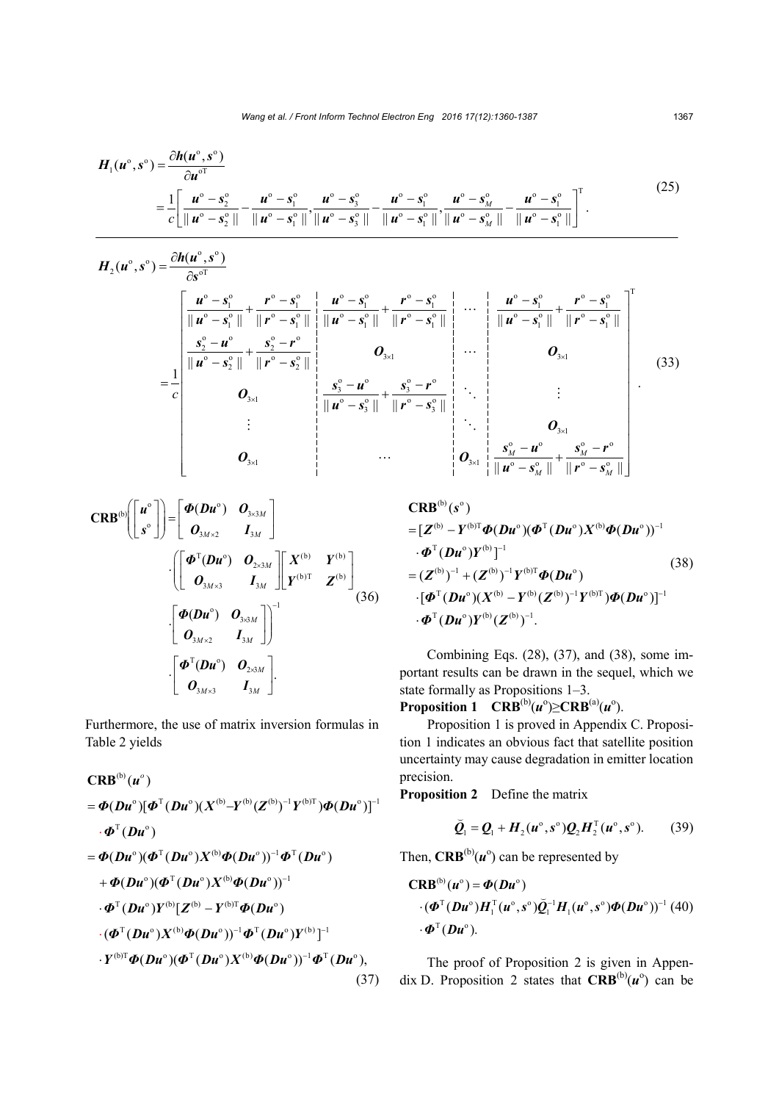$$
H_{1}(u^{\circ}, s^{\circ}) = \frac{\partial h(u^{\circ}, s^{\circ})}{\partial u^{\circ T}}
$$
  
= 
$$
\frac{1}{c} \left[ \frac{u^{\circ} - s_{2}^{\circ}}{\| u^{\circ} - s_{2}^{\circ} \|} - \frac{u^{\circ} - s_{1}^{\circ}}{\| u^{\circ} - s_{1}^{\circ} \|} \frac{u^{\circ} - s_{3}^{\circ}}{\| u^{\circ} - s_{3}^{\circ} \|} - \frac{u^{\circ} - s_{1}^{\circ}}{\| u^{\circ} - s_{1}^{\circ} \|} \frac{u^{\circ} - s_{M}^{\circ}}{\| u^{\circ} - s_{M}^{\circ} \|} - \frac{u^{\circ} - s_{1}^{\circ}}{\| u^{\circ} - s_{1}^{\circ} \|} \right]^{T}.
$$
 (25)

$$
H_{2}(u^{\circ}, s^{\circ}) = \frac{\partial h(u^{\circ}, s^{\circ})}{\partial s^{\circ T}}
$$
\n
$$
= \frac{1}{c} \begin{bmatrix} \frac{u^{\circ} - s_{1}^{\circ}}{\|u^{\circ} - s_{1}^{\circ}\|} + \frac{r^{\circ} - s_{1}^{\circ}}{\|r^{\circ} - s_{1}^{\circ}\|} & \frac{u^{\circ} - s_{1}^{\circ}}{\|u^{\circ} - s_{1}^{\circ}\|} + \frac{r^{\circ} - s_{1}^{\circ}}{\|r^{\circ} - s_{1}^{\circ}\|} & \cdots & \frac{u^{\circ} - s_{1}^{\circ}}{\|u^{\circ} - s_{1}^{\circ}\|} + \frac{r^{\circ} - s_{1}^{\circ}}{\|r^{\circ} - s_{1}^{\circ}\|} \\ \frac{s_{2}^{\circ} - u^{\circ}}{\|u^{\circ} - s_{2}^{\circ}\|} & \frac{s_{2}^{\circ} - u^{\circ}}{\|u^{\circ} - s_{2}^{\circ}\|} & \cdots & \frac{s_{3}^{\circ} - u^{\circ}}{\|u^{\circ} - s_{3}^{\circ}\|} & \cdots & \frac{s_{3}^{\circ} - u^{\circ}}{\|u^{\circ} - s_{3}^{\circ}\|} \end{bmatrix} \qquad \dots \qquad \dots \qquad \frac{Q_{3\times 1}}{Q_{3\times 1}} \qquad \dots \qquad \frac{Q_{3\times 1}}{Q_{3\times 1}} \qquad \dots \qquad \frac{Q_{3\times 1}}{Q_{3\times 1}} \qquad \dots \qquad \frac{Q_{3\times 1}}{Q_{3\times 1}} \qquad \dots \qquad \frac{Q_{3\times 1}}{Q_{3\times 1}} \qquad \dots \qquad \frac{Q_{3\times 1}}{Q_{3\times 1}} \qquad \dots \qquad \frac{Q_{3\times 1}}{Q_{3\times 1}} \qquad \dots \qquad \frac{Q_{3\times 1}}{Q_{3\times 1}} \qquad \dots \qquad \frac{Q_{3\times 1}}{Q_{3\times 1}} \qquad \dots \qquad \frac{Q_{3\times 1}}{Q_{3\times 1}} \qquad \dots \qquad \frac{Q_{3\times 1}}{Q_{3\times 1}} \qquad \dots \qquad \frac{
$$

$$
\mathbf{CRB}^{(b)}\begin{bmatrix}\begin{bmatrix}\boldsymbol{u}^{\mathrm{o}} \\ \boldsymbol{s}^{\mathrm{o}}\end{bmatrix}\end{bmatrix} = \begin{bmatrix}\boldsymbol{\Phi}(\boldsymbol{Du}^{\mathrm{o}}) & \boldsymbol{O}_{3\times 3M} \\ \boldsymbol{O}_{3M\times 2} & \boldsymbol{I}_{3M}\end{bmatrix} \\
\cdot \begin{bmatrix}\begin{bmatrix}\boldsymbol{\Phi}^{\mathrm{T}}(\boldsymbol{Du}^{\mathrm{o}}) & \boldsymbol{O}_{2\times 3M} \\ \boldsymbol{O}_{3M\times 3} & \boldsymbol{I}_{3M}\end{bmatrix}\begin{bmatrix}\boldsymbol{X}^{(b)} & \boldsymbol{Y}^{(b)} \\ \boldsymbol{Y}^{(b)\mathrm{T}} & \boldsymbol{Z}^{(b)}\end{bmatrix} \\
\cdot \begin{bmatrix}\boldsymbol{\Phi}(\boldsymbol{Du}^{\mathrm{o}}) & \boldsymbol{O}_{3\times 3M} \\ \boldsymbol{O}_{3M\times 2} & \boldsymbol{I}_{3M}\end{bmatrix}\end{bmatrix}^{-1} \\
\cdot \begin{bmatrix}\boldsymbol{\Phi}^{\mathrm{T}}(\boldsymbol{Du}^{\mathrm{o}}) & \boldsymbol{O}_{2\times 3M} \\ \boldsymbol{O}_{3M\times 3} & \boldsymbol{I}_{3M}\end{bmatrix}.
$$
\n(36)

Furthermore, the use of matrix inversion formulas in Table 2 yields

$$
\begin{split}\n &\mathbf{CRB}^{(b)}(u^{o}) \\
 &= \Phi(Du^{o})[\Phi^{T}(Du^{o})(X^{(b)}-Y^{(b)}(Z^{(b)})^{-1}Y^{(b)T})\Phi(Du^{o})]^{-1} \\
 &\cdot\Phi^{T}(Du^{o}) \\
 &= \Phi(Du^{o})(\Phi^{T}(Du^{o})X^{(b)}\Phi(Du^{o}))^{-1}\Phi^{T}(Du^{o}) \\
 &\quad + \Phi(Du^{o})(\Phi^{T}(Du^{o})X^{(b)}\Phi(Du^{o}))^{-1} \\
 &\cdot\Phi^{T}(Du^{o})Y^{(b)}[Z^{(b)}-Y^{(b)T}\Phi(Du^{o}) \\
 &\cdot(\Phi^{T}(Du^{o})X^{(b)}\Phi(Du^{o}))^{-1}\Phi^{T}(Du^{o})Y^{(b)}]^{-1} \\
 &\cdot Y^{(b)T}\Phi(Du^{o})(\Phi^{T}(Du^{o})X^{(b)}\Phi(Du^{o}))^{-1}\Phi^{T}(Du^{o}),\n\end{split}
$$
\n(37)

$$
\mathbf{CRB}^{(b)}(s^{\circ})
$$
\n
$$
= [Z^{(b)} - Y^{(b)T} \Phi(Du^{\circ})(\Phi^{T}(Du^{\circ})X^{(b)}\Phi(Du^{\circ}))^{-1}
$$
\n
$$
\cdot \Phi^{T}(Du^{\circ})Y^{(b)}]^{-1}
$$
\n
$$
= (Z^{(b)})^{-1} + (Z^{(b)})^{-1}Y^{(b)T}\Phi(Du^{\circ})
$$
\n
$$
\cdot [\Phi^{T}(Du^{\circ})(X^{(b)} - Y^{(b)}(Z^{(b)})^{-1}Y^{(b)T})\Phi(Du^{\circ})]^{-1}
$$
\n
$$
\cdot \Phi^{T}(Du^{\circ})Y^{(b)}(Z^{(b)})^{-1}.
$$
\n(38)

Combining Eqs. (28), (37), and (38), some important results can be drawn in the sequel, which we state formally as Propositions 1–3.

**Proposition 1** CRB<sup>(b)</sup>( $u$ <sup>o</sup>) $\geq$ CRB<sup>(a)</sup>( $u$ <sup>o</sup>).

Proposition 1 is proved in Appendix C. Proposition 1 indicates an obvious fact that satellite position uncertainty may cause degradation in emitter location precision.

**Proposition 2** Define the matrix

$$
\breve{\boldsymbol{Q}}_1 = \boldsymbol{Q}_1 + \boldsymbol{H}_2(\boldsymbol{u}^\circ, \boldsymbol{s}^\circ) \boldsymbol{Q}_2 \boldsymbol{H}_2^\mathrm{T}(\boldsymbol{u}^\circ, \boldsymbol{s}^\circ). \qquad (39)
$$

Then,  $CRB^{(b)}(u^{\circ})$  can be represented by

$$
CRB^{(b)}(u^{\circ}) = \Phi(Du^{\circ})
$$
  
\n
$$
\cdot (\Phi^{T}(Du^{\circ})H_{1}^{T}(u^{\circ}, s^{\circ})\breve{Q}_{1}^{-1}H_{1}(u^{\circ}, s^{\circ})\Phi(Du^{\circ}))^{-1}
$$
 (40)  
\n
$$
\cdot \Phi^{T}(Du^{\circ}).
$$

The proof of Proposition 2 is given in Appendix D. Proposition 2 states that  $CRB^{(b)}(u^{\circ})$  can be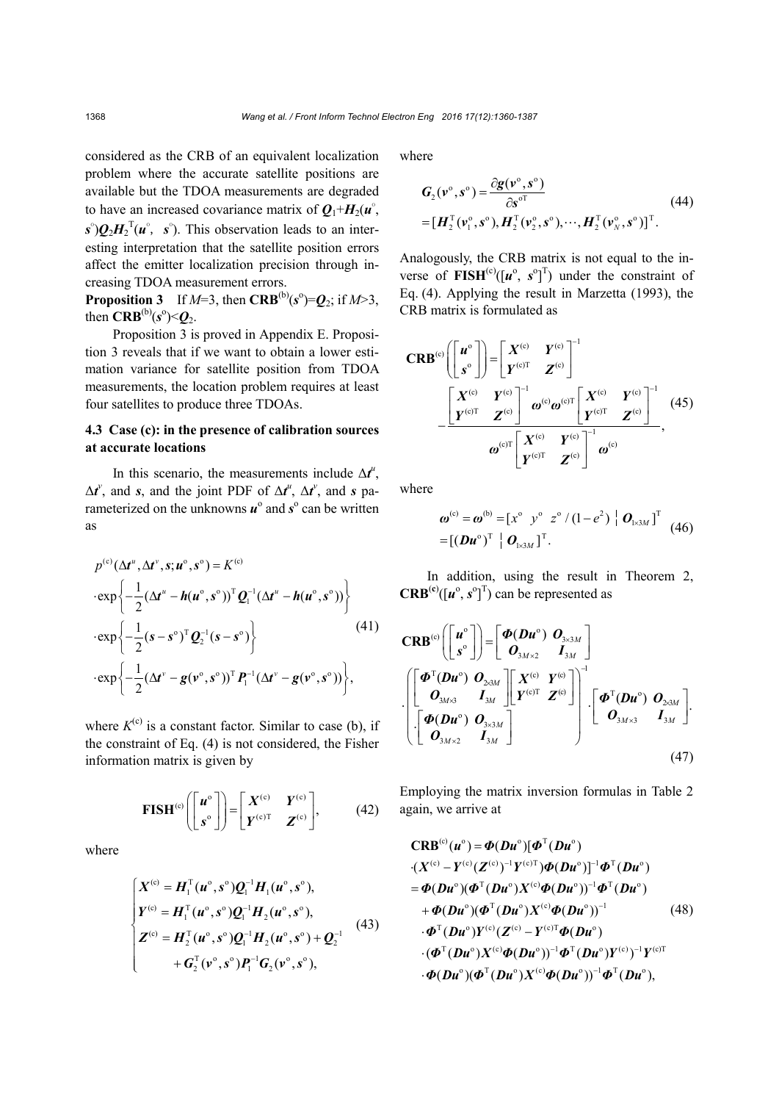considered as the CRB of an equivalent localization problem where the accurate satellite positions are available but the TDOA measurements are degraded to have an increased covariance matrix of  $Q_1 + H_2(u)$ ,  $s^{\circ}$ ) $Q_2H_2^T(u^{\circ}, s^{\circ})$ . This observation leads to an interesting interpretation that the satellite position errors affect the emitter localization precision through increasing TDOA measurement errors.

**Proposition 3** If  $M=3$ , then **CRB**<sup>(b)</sup>( $s$ <sup>o</sup>)= $Q_2$ ; if  $M>3$ , then  $CRB^{(b)}(s^{\circ})<\mathbf{Q}_2$ .

Proposition 3 is proved in Appendix E. Proposition 3 reveals that if we want to obtain a lower estimation variance for satellite position from TDOA measurements, the location problem requires at least four satellites to produce three TDOAs.

# **4.3 Case (c): in the presence of calibration sources at accurate locations**

In this scenario, the measurements include  $\Delta t^{\mu}$ ,  $\Delta t^{\nu}$ , and *s*, and the joint PDF of  $\Delta t^{\mu}$ ,  $\Delta t^{\nu}$ , and *s* parameterized on the unknowns  $u^{\circ}$  and  $s^{\circ}$  can be written as

$$
p^{(c)}(\Delta t^u, \Delta t^v, s; u^o, s^o) = K^{(c)}
$$
  
\n
$$
\cdot \exp\left\{-\frac{1}{2}(\Delta t^u - h(u^o, s^o))^T \mathbf{Q}_1^{-1}(\Delta t^u - h(u^o, s^o))\right\}
$$
  
\n
$$
\cdot \exp\left\{-\frac{1}{2}(s - s^o)^T \mathbf{Q}_2^{-1}(s - s^o)\right\}
$$
  
\n
$$
\cdot \exp\left\{-\frac{1}{2}(\Delta t^v - g(v^o, s^o))^T \mathbf{P}_1^{-1}(\Delta t^v - g(v^o, s^o))\right\},\tag{41}
$$

where  $K^{(c)}$  is a constant factor. Similar to case (b), if the constraint of Eq. (4) is not considered, the Fisher information matrix is given by

**FIGH**<sup>(c)</sup>
$$
\begin{bmatrix} \mathbf{u}^{\circ} \\ \mathbf{s}^{\circ} \end{bmatrix} = \begin{bmatrix} \mathbf{X}^{(c)} & \mathbf{Y}^{(c)} \\ \mathbf{Y}^{(c)T} & \mathbf{Z}^{(c)} \end{bmatrix}
$$
, (42)

where

$$
\begin{cases}\nX^{(c)} = H_1^{\mathrm{T}}(u^{\circ}, s^{\circ})Q_1^{-1}H_1(u^{\circ}, s^{\circ}), \\
Y^{(c)} = H_1^{\mathrm{T}}(u^{\circ}, s^{\circ})Q_1^{-1}H_2(u^{\circ}, s^{\circ}), \\
Z^{(c)} = H_2^{\mathrm{T}}(u^{\circ}, s^{\circ})Q_1^{-1}H_2(u^{\circ}, s^{\circ}) + Q_2^{-1} \\
+ G_2^{\mathrm{T}}(v^{\circ}, s^{\circ})P_1^{-1}G_2(v^{\circ}, s^{\circ}),\n\end{cases} (43)
$$

where

$$
G_2(\mathbf{v}^\circ, \mathbf{s}^\circ) = \frac{\partial g(\mathbf{v}^\circ, \mathbf{s}^\circ)}{\partial \mathbf{s}^\circ} = [H_2^{\mathrm{T}}(\mathbf{v}_1^\circ, \mathbf{s}^\circ), H_2^{\mathrm{T}}(\mathbf{v}_2^\circ, \mathbf{s}^\circ), \cdots, H_2^{\mathrm{T}}(\mathbf{v}_N^\circ, \mathbf{s}^\circ)]^{\mathrm{T}}.
$$
\n(44)

Analogously, the CRB matrix is not equal to the inverse of  $\text{FISH}^{(c)}([\mu^o, s^o]^T)$  under the constraint of Eq. (4). Applying the result in Marzetta (1993), the CRB matrix is formulated as

$$
\mathbf{CRB}^{(c)}\left(\begin{bmatrix} \mathbf{u}^{\mathrm{o}} \\ \mathbf{s}^{\mathrm{o}} \end{bmatrix}\right) = \begin{bmatrix} X^{(c)} & Y^{(c)} \\ Y^{(c)T} & Z^{(c)} \end{bmatrix}^{-1}
$$
\n
$$
-\frac{\begin{bmatrix} X^{(c)} & Y^{(c)} \\ Y^{(c)T} & Z^{(c)} \end{bmatrix}^{-1} \boldsymbol{\omega}^{(c)} \boldsymbol{\omega}^{(c)T} \begin{bmatrix} X^{(c)} & Y^{(c)} \\ Y^{(c)T} & Z^{(c)} \end{bmatrix}^{-1}}{\boldsymbol{\omega}^{(c)T} \begin{bmatrix} X^{(c)} & Y^{(c)} \\ Y^{(c)T} & Z^{(c)} \end{bmatrix}^{-1} \boldsymbol{\omega}^{(c)}}
$$
\n(45)

where

$$
\boldsymbol{\omega}^{(c)} = \boldsymbol{\omega}^{(b)} = [x^{\circ} y^{\circ} z^{\circ} / (1 - e^2)] \boldsymbol{\Theta}_{1 \times 3M}]^{T}
$$
  
= 
$$
[(\boldsymbol{D} \boldsymbol{u}^{\circ})^{T}] \boldsymbol{\Theta}_{1 \times 3M}]^{T}.
$$
 (46)

In addition, using the result in Theorem 2,  $CRB^{(c)}([u^{\circ}, s^{\circ}]^T)$  can be represented as

$$
\begin{bmatrix}\n\mathbf{CRB}^{(c)}\n\begin{bmatrix}\n\mathbf{u}^{o} \\
\mathbf{s}^{o}\n\end{bmatrix}\n\end{bmatrix} =\n\begin{bmatrix}\n\boldsymbol{\Phi}(D\mathbf{u}^{o}) & \mathbf{O}_{3\times3M} \\
\mathbf{O}_{3M\times2} & \mathbf{I}_{3M}\n\end{bmatrix}
$$
\n
$$
\begin{bmatrix}\n\mathbf{\Phi}^{T}(D\mathbf{u}^{o}) & \mathbf{O}_{2\times3M} \\
\mathbf{O}_{3M\times3} & \mathbf{I}_{3M}\n\end{bmatrix}\n\begin{bmatrix}\n\mathbf{X}^{(c)} & \mathbf{Y}^{(c)} \\
\mathbf{Y}^{(c)T} & \mathbf{Z}^{(c)}\n\end{bmatrix}\n\begin{bmatrix}\n\mathbf{\Phi}^{T}(D\mathbf{u}^{o}) & \mathbf{O}_{2\times3M} \\
\mathbf{O}_{3M\times3} & \mathbf{I}_{3M}\n\end{bmatrix}.\n\begin{bmatrix}\n\mathbf{\Phi}^{T}(D\mathbf{u}^{o}) & \mathbf{O}_{2\times3M} \\
\mathbf{O}_{3M\times3} & \mathbf{I}_{3M}\n\end{bmatrix}.\n\tag{47}
$$

Employing the matrix inversion formulas in Table 2 again, we arrive at

$$
CRB^{(c)}(u^{\circ}) = \Phi(Du^{\circ})[\Phi^{T}(Du^{\circ})
$$
  
\n
$$
\cdot (X^{(c)} - Y^{(c)}(Z^{(c)})^{-1}Y^{(c)T})\Phi(Du^{\circ})]^{-1}\Phi^{T}(Du^{\circ})
$$
  
\n
$$
= \Phi(Du^{\circ})(\Phi^{T}(Du^{\circ})X^{(c)}\Phi(Du^{\circ}))^{-1}\Phi^{T}(Du^{\circ})
$$
  
\n
$$
+ \Phi(Du^{\circ})(\Phi^{T}(Du^{\circ})X^{(c)}\Phi(Du^{\circ}))^{-1}
$$
  
\n
$$
\cdot \Phi^{T}(Du^{\circ})Y^{(c)}(Z^{(c)} - Y^{(c)T}\Phi(Du^{\circ})
$$
  
\n
$$
\cdot (\Phi^{T}(Du^{\circ})X^{(c)}\Phi(Du^{\circ}))^{-1}\Phi^{T}(Du^{\circ})Y^{(c)})^{-1}Y^{(c)T}
$$
  
\n
$$
\cdot \Phi(Du^{\circ})(\Phi^{T}(Du^{\circ})X^{(c)}\Phi(Du^{\circ}))^{-1}\Phi^{T}(Du^{\circ}),
$$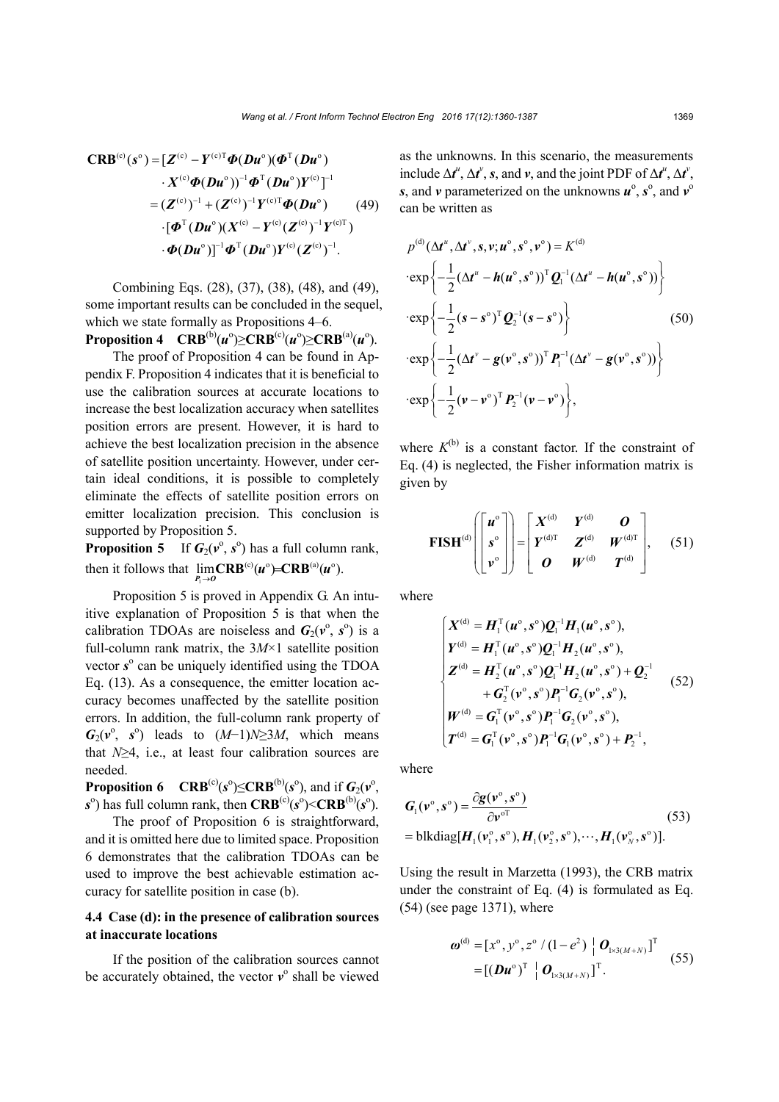$$
CRB^{(c)}(s^{\circ}) = [Z^{(c)} - Y^{(c)T} \Phi (Du^{\circ}) (\Phi^{T} (Du^{\circ})
$$
  
\n
$$
\cdot X^{(c)} \Phi (Du^{\circ})^{-1} \Phi^{T} (Du^{\circ}) Y^{(c)}]^{-1}
$$
  
\n
$$
= (Z^{(c)})^{-1} + (Z^{(c)})^{-1} Y^{(c)T} \Phi (Du^{\circ})
$$
  
\n
$$
\cdot [\Phi^{T} (Du^{\circ}) (X^{(c)} - Y^{(c)} (Z^{(c)})^{-1} Y^{(c)T})
$$
  
\n
$$
\cdot \Phi (Du^{\circ})]^{-1} \Phi^{T} (Du^{\circ}) Y^{(c)} (Z^{(c)})^{-1}.
$$

Combining Eqs. (28), (37), (38), (48), and (49), some important results can be concluded in the sequel, which we state formally as Propositions 4–6.

Proposition 4 
$$
\text{CRB}^{(b)}(u^{\circ}) \geq \text{CRB}^{(c)}(u^{\circ}) \geq \text{CRB}^{(a)}(u^{\circ}).
$$

The proof of Proposition 4 can be found in Appendix F. Proposition 4 indicates that it is beneficial to use the calibration sources at accurate locations to increase the best localization accuracy when satellites position errors are present. However, it is hard to achieve the best localization precision in the absence of satellite position uncertainty. However, under certain ideal conditions, it is possible to completely eliminate the effects of satellite position errors on emitter localization precision. This conclusion is supported by Proposition 5.

**Proposition 5** If  $G_2(v^{\circ}, s^{\circ})$  has a full column rank, then it follows that  $\lim_{P_1 \to 0} \mathbf{CRB}^{(c)}(\mathbf{u}^{\circ}) = \mathbf{CRB}^{(a)}(\mathbf{u}^{\circ}).$ 

Proposition 5 is proved in Appendix G. An intuitive explanation of Proposition 5 is that when the calibration TDOAs are noiseless and  $G_2(v^0, s^0)$  is a full-column rank matrix, the 3*M*×1 satellite position vector  $s^{\circ}$  can be uniquely identified using the TDOA Eq. (13). As a consequence, the emitter location accuracy becomes unaffected by the satellite position errors. In addition, the full-column rank property of  $G_2(v^0, s^0)$  leads to  $(M-1)N \geq 3M$ , which means that *N*≥4, i.e., at least four calibration sources are needed.

**Proposition 6** CRB<sup>(c)</sup>( $s$ <sup>o</sup>) $\leq$ CRB<sup>(b)</sup>( $s$ <sup>o</sup>), and if  $G_2(v^o)$ ,  $s^{\circ}$ ) has full column rank, then  $\mathbf{CRB}^{\text{(c)}}(s^{\circ})<\mathbf{CRB}^{\text{(b)}}(s^{\circ}).$ 

The proof of Proposition 6 is straightforward, and it is omitted here due to limited space. Proposition 6 demonstrates that the calibration TDOAs can be used to improve the best achievable estimation accuracy for satellite position in case (b).

# **4.4 Case (d): in the presence of calibration sources at inaccurate locations**

If the position of the calibration sources cannot be accurately obtained, the vector  $v^{\circ}$  shall be viewed as the unknowns. In this scenario, the measurements include  $\Delta t^{\mu}$ ,  $\Delta t^{\nu}$ , *s*, and *v*, and the joint PDF of  $\Delta t^{\mu}$ ,  $\Delta t^{\nu}$ , *s*, and *v* parameterized on the unknowns  $u^{\circ}$ ,  $s^{\circ}$ , and  $v^{\circ}$ can be written as

$$
p^{(d)}(\Delta t^u, \Delta t^v, s, v; u^o, s^o, v^o) = K^{(d)}
$$
  
\n
$$
\cdot \exp\left\{-\frac{1}{2}(\Delta t^u - h(u^o, s^o))^T \mathbf{Q}_1^{-1}(\Delta t^u - h(u^o, s^o))\right\}
$$
  
\n
$$
\cdot \exp\left\{-\frac{1}{2}(s - s^o)^T \mathbf{Q}_2^{-1}(s - s^o)\right\}
$$
  
\n
$$
\cdot \exp\left\{-\frac{1}{2}(\Delta t^v - g(v^o, s^o))^T \mathbf{P}_1^{-1}(\Delta t^v - g(v^o, s^o))\right\}
$$
  
\n
$$
\cdot \exp\left\{-\frac{1}{2}(v - v^o)^T \mathbf{P}_2^{-1}(v - v^o)\right\},
$$
  
\n(50)

where  $K^{(b)}$  is a constant factor. If the constraint of Eq. (4) is neglected, the Fisher information matrix is given by

$$
\mathbf{FISH}^{(d)}\begin{bmatrix} \boldsymbol{u}^{\mathrm{o}} \\ \boldsymbol{s}^{\mathrm{o}} \\ \boldsymbol{v}^{\mathrm{o}} \end{bmatrix} = \begin{bmatrix} \boldsymbol{X}^{(d)} & \boldsymbol{Y}^{(d)} & \boldsymbol{O} \\ \boldsymbol{Y}^{(d)T} & \boldsymbol{Z}^{(d)} & \boldsymbol{W}^{(d)T} \\ \boldsymbol{O} & \boldsymbol{W}^{(d)} & \boldsymbol{T}^{(d)} \end{bmatrix}, \quad (51)
$$

where

$$
\begin{cases}\nX^{(d)} = H_1^{\mathrm{T}}(u^{\circ}, s^{\circ})Q_1^{-1}H_1(u^{\circ}, s^{\circ}), \\
Y^{(d)} = H_1^{\mathrm{T}}(u^{\circ}, s^{\circ})Q_1^{-1}H_2(u^{\circ}, s^{\circ}), \\
Z^{(d)} = H_2^{\mathrm{T}}(u^{\circ}, s^{\circ})Q_1^{-1}H_2(u^{\circ}, s^{\circ}) + Q_2^{-1} \\
+ G_2^{\mathrm{T}}(v^{\circ}, s^{\circ})P_1^{-1}G_2(v^{\circ}, s^{\circ}), \\
W^{(d)} = G_1^{\mathrm{T}}(v^{\circ}, s^{\circ})P_1^{-1}G_2(v^{\circ}, s^{\circ}), \\
T^{(d)} = G_1^{\mathrm{T}}(v^{\circ}, s^{\circ})P_1^{-1}G_1(v^{\circ}, s^{\circ}) + P_2^{-1},\n\end{cases} (52)
$$

where

$$
G_1(\mathbf{v}^\circ, \mathbf{s}^\circ) = \frac{\partial g(\mathbf{v}^\circ, \mathbf{s}^\circ)}{\partial \mathbf{v}^\circ} = \text{blkdiag}[H_1(\mathbf{v}_1^\circ, \mathbf{s}^\circ), H_1(\mathbf{v}_2^\circ, \mathbf{s}^\circ), \cdots, H_1(\mathbf{v}_N^\circ, \mathbf{s}^\circ)].
$$
\n(53)

Using the result in Marzetta (1993), the CRB matrix under the constraint of Eq. (4) is formulated as Eq. (54) (see page 1371), where

$$
\boldsymbol{\omega}^{(d)} = [x^{\circ}, y^{\circ}, z^{\circ} / (1 - e^2)] \boldsymbol{\Theta}_{1 \times 3(M+N)}]^{T}
$$
  
= 
$$
[(\boldsymbol{D}\boldsymbol{u}^{\circ})^{T} | \boldsymbol{\Theta}_{1 \times 3(M+N)}]^{T}.
$$
 (55)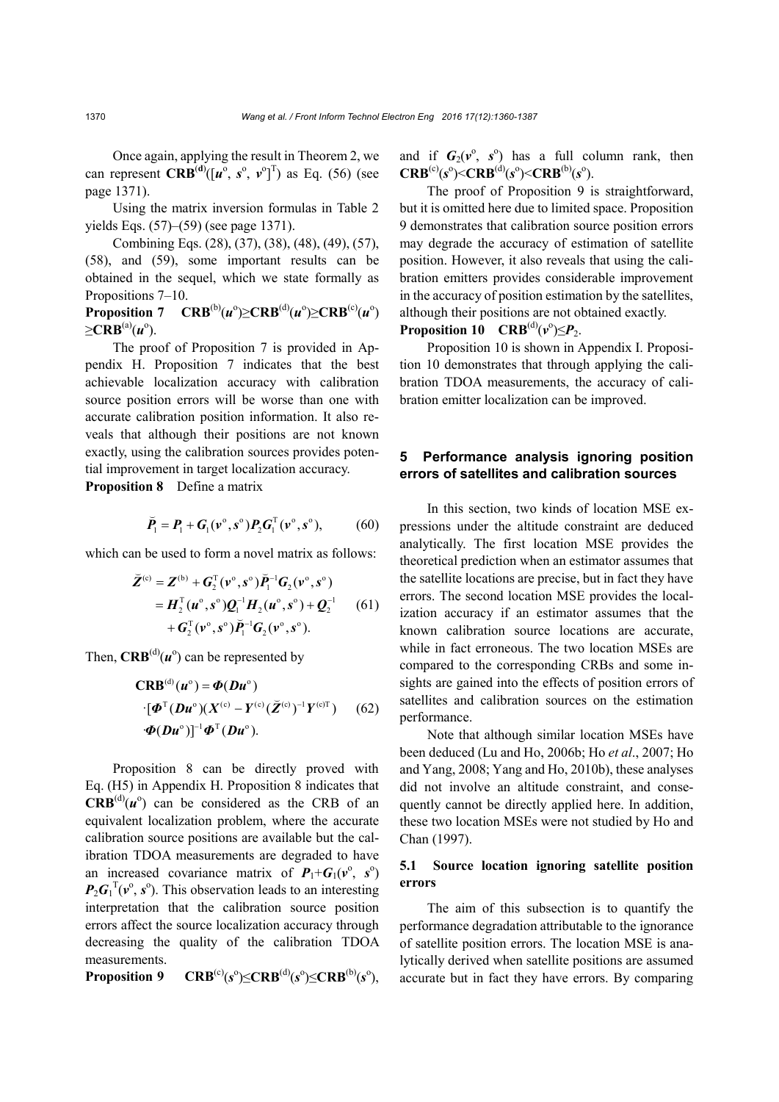Once again, applying the result in Theorem 2, we can represent  $CRB^{(d)}([u^{\circ}, s^{\circ}, v^{\circ}]^T)$  as Eq. (56) (see page 1371).

Using the matrix inversion formulas in Table 2 yields Eqs. (57)–(59) (see page 1371).

Combining Eqs. (28), (37), (38), (48), (49), (57), (58), and (59), some important results can be obtained in the sequel, which we state formally as Propositions 7–10.

**Proposition 7** )≥**CRB<sup>(d)</sup>(u<sup>o</sup>)≥CRB<sup>(c)</sup>(u<sup>o</sup>)**  $\geq$ **CRB**<sup>(a)</sup>( $u$ <sup>o</sup>).

The proof of Proposition 7 is provided in Appendix H. Proposition 7 indicates that the best achievable localization accuracy with calibration source position errors will be worse than one with accurate calibration position information. It also reveals that although their positions are not known exactly, using the calibration sources provides potential improvement in target localization accuracy.

**Proposition 8** Define a matrix

$$
\breve{\boldsymbol{P}}_1 = \boldsymbol{P}_1 + \boldsymbol{G}_1(\boldsymbol{v}^\circ, \boldsymbol{s}^\circ) \boldsymbol{P}_2 \boldsymbol{G}_1^{\mathrm{T}}(\boldsymbol{v}^\circ, \boldsymbol{s}^\circ), \tag{60}
$$

which can be used to form a novel matrix as follows:

$$
\breve{\mathbf{Z}}^{(c)} = \mathbf{Z}^{(b)} + \mathbf{G}_2^{\mathrm{T}}(\mathbf{v}^{\circ}, \mathbf{s}^{\circ}) \breve{\mathbf{P}}_1^{-1} \mathbf{G}_2(\mathbf{v}^{\circ}, \mathbf{s}^{\circ})
$$
  
=  $\mathbf{H}_2^{\mathrm{T}}(\mathbf{u}^{\circ}, \mathbf{s}^{\circ}) \mathbf{Q}_1^{-1} \mathbf{H}_2(\mathbf{u}^{\circ}, \mathbf{s}^{\circ}) + \mathbf{Q}_2^{-1}$  (61)  
+  $\mathbf{G}_2^{\mathrm{T}}(\mathbf{v}^{\circ}, \mathbf{s}^{\circ}) \breve{\mathbf{P}}_1^{-1} \mathbf{G}_2(\mathbf{v}^{\circ}, \mathbf{s}^{\circ}).$ 

Then,  $CRB^{(d)}(u^{\circ})$  can be represented by

$$
\mathbf{CRB}^{(d)}(\boldsymbol{u}^{\circ}) = \boldsymbol{\Phi}(\boldsymbol{Du}^{\circ})
$$

$$
\cdot [\boldsymbol{\Phi}^{\mathrm{T}}(\boldsymbol{Du}^{\circ})(X^{(c)} - Y^{(c)}(\boldsymbol{\breve{Z}}^{(c)})^{-1}Y^{(c)\mathrm{T}}) \quad (62)
$$

$$
\cdot \boldsymbol{\Phi}(\boldsymbol{Du}^{\circ})]^{-1} \boldsymbol{\Phi}^{\mathrm{T}}(\boldsymbol{Du}^{\circ}).
$$

Proposition 8 can be directly proved with Eq. (H5) in Appendix H. Proposition 8 indicates that  $CRB^{(d)}(u^{\circ})$  can be considered as the CRB of an equivalent localization problem, where the accurate calibration source positions are available but the calibration TDOA measurements are degraded to have an increased covariance matrix of  $P_1 + G_1(v^0, s^0)$  $P_2G_1^{\mathrm{T}}(v^{\circ}, s^{\circ})$ . This observation leads to an interesting interpretation that the calibration source position errors affect the source localization accuracy through decreasing the quality of the calibration TDOA measurements.

**Proposition 9** <sup>o</sup>)≤**CRB**<sup>(d)</sup>(s<sup>o</sup>)≤**CRB**<sup>(b)</sup>(s<sup>o</sup>), and if  $G_2(v^0, s^0)$  has a full column rank, then  $CRB^{(c)}(s^{\circ})$ 

The proof of Proposition 9 is straightforward, but it is omitted here due to limited space. Proposition 9 demonstrates that calibration source position errors may degrade the accuracy of estimation of satellite position. However, it also reveals that using the calibration emitters provides considerable improvement in the accuracy of position estimation by the satellites, although their positions are not obtained exactly.

# **Proposition 10**  $CRB^{(d)}(\nu^{\circ}) \leq P_2$ .

Proposition 10 is shown in Appendix I. Proposition 10 demonstrates that through applying the calibration TDOA measurements, the accuracy of calibration emitter localization can be improved.

# **5 Performance analysis ignoring position errors of satellites and calibration sources**

In this section, two kinds of location MSE expressions under the altitude constraint are deduced analytically. The first location MSE provides the theoretical prediction when an estimator assumes that the satellite locations are precise, but in fact they have errors. The second location MSE provides the localization accuracy if an estimator assumes that the known calibration source locations are accurate, while in fact erroneous. The two location MSEs are compared to the corresponding CRBs and some insights are gained into the effects of position errors of satellites and calibration sources on the estimation performance.

Note that although similar location MSEs have been deduced (Lu and Ho, 2006b; Ho *et al*., 2007; Ho and Yang, 2008; Yang and Ho, 2010b), these analyses did not involve an altitude constraint, and consequently cannot be directly applied here. In addition, these two location MSEs were not studied by Ho and Chan (1997).

# **5.1 Source location ignoring satellite position errors**

The aim of this subsection is to quantify the performance degradation attributable to the ignorance of satellite position errors. The location MSE is analytically derived when satellite positions are assumed accurate but in fact they have errors. By comparing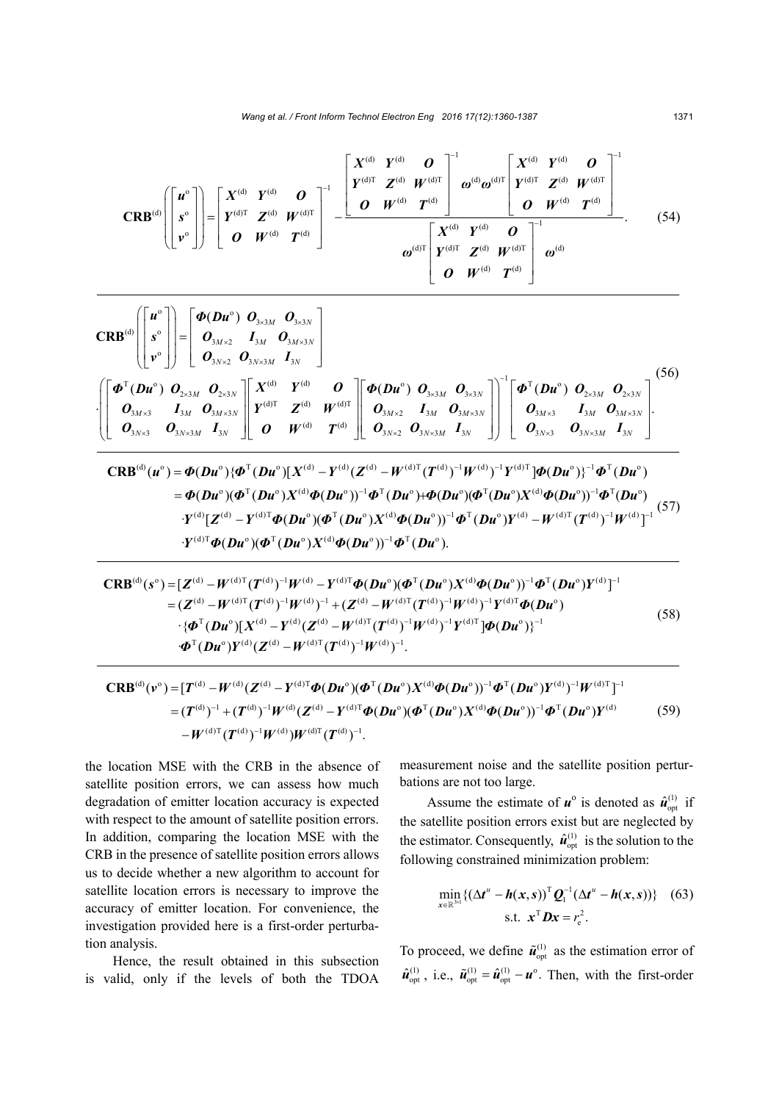$$
\mathbf{CRB}^{(d)}\left(\begin{bmatrix} \boldsymbol{u}^{\mathrm{o}} \\ \boldsymbol{s}^{\mathrm{o}} \\ \boldsymbol{v}^{\mathrm{o}} \end{bmatrix}\right) = \begin{bmatrix} \boldsymbol{X}^{(d)} & \boldsymbol{Y}^{(d)} & \boldsymbol{O} \\ \boldsymbol{Y}^{(d)T} & \boldsymbol{Z}^{(d)} & \boldsymbol{W}^{(d)T} \\ \boldsymbol{O} & \boldsymbol{W}^{(d)} & \boldsymbol{T}^{(d)} \end{bmatrix}^{-1} - \frac{\begin{bmatrix} \boldsymbol{X}^{(d)} & \boldsymbol{Y}^{(d)} & \boldsymbol{O} \\ \boldsymbol{Y}^{(d)T} & \boldsymbol{Z}^{(d)} & \boldsymbol{W}^{(d)T} \\ \boldsymbol{O} & \boldsymbol{W}^{(d)} & \boldsymbol{T}^{(d)} \end{bmatrix}^{-1} \boldsymbol{\omega}^{(d)} \boldsymbol{\omega}^{(d)} \boldsymbol{\omega}^{(d)T} \begin{bmatrix} \boldsymbol{X}^{(d)} & \boldsymbol{Y}^{(d)} & \boldsymbol{O} \\ \boldsymbol{O} & \boldsymbol{W}^{(d)} & \boldsymbol{T}^{(d)} \end{bmatrix}^{-1} \boldsymbol{\omega}^{(d)} \boldsymbol{\omega}^{(d)T} \begin{bmatrix} \boldsymbol{X}^{(d)} & \boldsymbol{V}^{(d)T} & \boldsymbol{O} \\ \boldsymbol{O} & \boldsymbol{W}^{(d)} & \boldsymbol{T}^{(d)} \end{bmatrix}^{-1} \boldsymbol{\omega}^{(d)} \boldsymbol{\omega}^{(d)}
$$
\n
$$
\boldsymbol{\omega}^{(d)T} \begin{bmatrix} \boldsymbol{X}^{(d)} & \boldsymbol{V}^{(d)T} & \boldsymbol{O} \\ \boldsymbol{V}^{(d)T} & \boldsymbol{Z}^{(d)} & \boldsymbol{W}^{(d)T} \\ \boldsymbol{O} & \boldsymbol{W}^{(d)} & \boldsymbol{T}^{(d)} \end{bmatrix}^{-1} \boldsymbol{\omega}^{(d)}
$$
\n
$$
(54)
$$

$$
\mathbf{CRB}^{(d)}\begin{bmatrix} \mathbf{u}^{\circ} \\ \mathbf{s}^{\circ} \\ \mathbf{v}^{\circ} \end{bmatrix} = \begin{bmatrix} \boldsymbol{\Phi}(D\mathbf{u}^{\circ}) & \mathbf{0}_{3\times 3M} & \mathbf{0}_{3\times 3N} \\ \mathbf{0}_{3M\times 2} & \mathbf{I}_{3M} & \mathbf{0}_{3M\times 3N} \\ \mathbf{0}_{3M\times 3} & \mathbf{0}_{3M\times 3M} & \mathbf{I}_{3N} \end{bmatrix}
$$
\n
$$
\cdot \left( \begin{bmatrix} \boldsymbol{\Phi}^{T}(\mathbf{D}\mathbf{u}^{\circ}) & \mathbf{0}_{2\times 3M} & \mathbf{0}_{2\times 3M} & \mathbf{0}_{2\times 3N} \\ \mathbf{0}_{3M\times 3} & \mathbf{I}_{3M} & \mathbf{0}_{3M\times 3N} \\ \mathbf{0}_{3M\times 3} & \mathbf{I}_{3M} & \mathbf{0}_{3M\times 3N} \end{bmatrix} \begin{bmatrix} \mathbf{X}^{(d)} & \mathbf{Y}^{(d)} & \mathbf{0} \\ \mathbf{Y}^{(d)T} & \mathbf{Z}^{(d)} & \mathbf{W}^{(d)T} \\ \mathbf{0} & \mathbf{W}^{(d)} & \mathbf{T}^{(d)} \end{bmatrix} \begin{bmatrix} \boldsymbol{\Phi}(\mathbf{D}\mathbf{u}^{\circ}) & \mathbf{0}_{3\times 3M} & \mathbf{0}_{3\times 3N} \\ \mathbf{0}_{3M\times 2} & \mathbf{I}_{3M} & \mathbf{0}_{3M\times 3N} \\ \mathbf{0}_{3M\times 3} & \mathbf{I}_{3M} & \mathbf{0}_{3M\times 3M} & \mathbf{I}_{3N} \end{bmatrix} \begin{bmatrix} \mathbf{56} \\ \mathbf{0}_{3M\times 3} & \mathbf{0}_{3M\times 3M} \\ \mathbf{0}_{3M\times 3} & \mathbf{0}_{3M\times 3M} & \mathbf{I}_{3N} \end{bmatrix} \begin{bmatrix} \mathbf{67} \\ \mathbf{0}_{3M\times 3} & \mathbf{0}_{3M\times 3M} \\ \mathbf{0}_{3M\times 3} & \mathbf
$$

 $\mathbf{CRB}^{(\text{d})}(u^{\text{o}}) = \boldsymbol{\Phi}(Du^{\text{o}})\{\boldsymbol{\Phi}^{\text{T}}(\boldsymbol{Du}^{\text{o}})[X^{(\text{d})} - Y^{(\text{d})}(\boldsymbol{Z}^{(\text{d})} - W^{(\text{d})\text{T}}(\boldsymbol{T}^{(\text{d})})^{-1}W^{(\text{d})})^{-1}Y^{(\text{d})\text{T}}]\boldsymbol{\Phi}(\boldsymbol{Du}^{\text{o}})\}^{-1}\boldsymbol{\Phi}^{\text{T}}(\boldsymbol{Du}^{\text{o}})$  $\delta^0$  ) ( $\boldsymbol{\delta}^{\mathrm{T}}$  (  $\boldsymbol{D}$   $\boldsymbol{\mu}^0$  )  $\mathbf{V}^{(d)}$  of (  $\boldsymbol{D}$   $\boldsymbol{\mu}^0$  ))  $^{-1}$  of  $(\boldsymbol{D}$   $\boldsymbol{\mu}^0$  ) (or  $\delta^{\mathrm{T}}$  (  $\boldsymbol{D}$   $\boldsymbol{\mu}^0$  )  $\mathbf{V}^{(d)}$  of (  $\boldsymbol{D}$   $\boldsymbol{\mu}^0$  ))  $^{-1}$  of  $(\boldsymbol{D}$   $\boldsymbol$  $(\text{d})$  [  $\mathbf{z}$ (d)  $\mathbf{v}$   $(\text{d})$   $\mathbf{L}$  of  $(\mathbf{D} \cdot \text{d}) \cdot (\mathbf{A}^{\text{T}} \cdot \mathbf{D} \cdot \text{d}) \cdot \mathbf{v}$  (d) o  $(\mathbf{D} \cdot \text{d}) \cdot \mathbf{D} \cdot \text{d} \cdot \mathbf{D}$  $({\bm{D}}{\bm{u}}^\mathrm{o})(\bm{\varPhi}^{\mathrm{\,I}}\,({\bm{D}}{\bm{u}}^\mathrm{o})X^{(\mathrm{d})}{\bm{\varPhi}}({\bm{D}}{\bm{u}}^\mathrm{o}))^{-1}{\bm{\varPhi}}^{\mathrm{\,I}}\,({\bm{D}}{\bm{u}}^\mathrm{o}) + {\bm{\varPhi}}({\bm{D}}{\bm{u}}^\mathrm{o})(\bm{\varPhi}^{\mathrm{\,I}}({\bm{D}}{\bm{u}}^\mathrm{o})X^{(\mathrm{d})}{\bm{\varPhi}}({\bm{D}}{\bm{u}}^\mathrm{o}))^{-1}{\bm{\varPhi}}^{\mathrm{\,I}}({\bm{D}}{\bm{u}}^\mathrm{o})$  $\cdot Y^{(d)}[Z^{(d)} - Y^{(d)T} \Phi(Du^{\circ})(\Phi^T(Du^{\circ})X^{(d)} \Phi(Du^{\circ}))^{-1} \Phi^T$  $-\mathbf{1}$ ሐ  $(\mathbf{D} \cdot \mathbf{v}^0) \cdot (\mathbf{v}^0)$  (ሐ  $(\mathbf{D} \cdot \mathbf{v}^0) \mathbf{V}^{\text{(d)}}$ ሐ ( $(\mathbf{D} \cdot \mathbf{v}^0)$ ) – −  $=\boldsymbol{\varPhi}(\boldsymbol{Du}^{\rm o})(\boldsymbol{\varPhi}^{\rm T}(\boldsymbol{Du}^{\rm o})\boldsymbol{X}^{\rm (d)}\boldsymbol{\varPhi}(\boldsymbol{Du}^{\rm o}))^{-1}\boldsymbol{\varPhi}^{\rm T}(\boldsymbol{Du}^{\rm o})+$ −  $\bm{\Phi}(\bm{Du}^{\mathrm{o}})(\bm{\Phi}^{\mathrm{T}}(\bm{Du}^{\mathrm{o}})X^{(\mathrm{d})}\bm{\Phi}(\bm{Du}^{\mathrm{o}}))^{-1}\bm{\Phi}^{\mathrm{T}}(\bm{Du}^{\mathrm{o}})+\bm{\Phi}(\bm{Du}^{\mathrm{o}})(\bm{\Phi}^{\mathrm{T}}(\bm{Du}^{\mathrm{o}})X^{(\mathrm{d})}\bm{\Phi}(\bm{Du}^{\mathrm{o}}))^{-1}\bm{\Phi}^{\mathrm{T}}(\bm{Du}^{\mathrm{T}}(\bm{Du}^{\mathrm{T}}))$  $Y^{(\textnormal{\texttt{d}})} [\bm{Z}^{(\textnormal{\texttt{d}})} - Y^{(\textnormal{\texttt{d}}) \text{T}} \bm{\varPhi} (\bm{Du}^{\textnormal{\texttt{0}}})(\bm{\varPhi}^{\text{T}} (\bm{Du}^{\textnormal{\texttt{0}}}) X^{(\textnormal{\texttt{d}})} \bm{\varPhi} (\bm{Du}^{\textnormal{\texttt{0}}}))^{-1} \bm{\varPhi}^{\text{T}} (\bm{Du}^{\textnormal{\texttt{0}}}) Y^{(\textnormal{\texttt{d}})} - \bm{W}^{(\textnormal{\texttt{d}}) \text{T}} (\bm{T}^{(\textnormal{\texttt{d}})})^{-1} \bm{W}^{(\textnormal{\text$  $\cdot Y^{(d)T} \boldsymbol{\Phi}(D \boldsymbol{u}^{\mathrm{o}}) (\boldsymbol{\Phi}^{\mathrm{T}}(D \boldsymbol{u}^{\mathrm{o}})) X^{(d)} \boldsymbol{\Phi}(D \boldsymbol{u}^{\mathrm{o}}))^{-1} \boldsymbol{\Phi}^{\mathrm{T}}(D \boldsymbol{u}^{\mathrm{o}}).$ (57)

$$
\mathbf{CRB}^{(d)}(\mathbf{s}^{\circ}) = [\mathbf{Z}^{(d)} - W^{(d)T} (\mathbf{T}^{(d)})^{-1} W^{(d)} - Y^{(d)T} \boldsymbol{\Phi} (\mathbf{D} \boldsymbol{u}^{\circ}) (\boldsymbol{\Phi}^T (\mathbf{D} \boldsymbol{u}^{\circ}) \mathbf{X}^{(d)} \boldsymbol{\Phi} (\mathbf{D} \boldsymbol{u}^{\circ}))^{-1} \boldsymbol{\Phi}^T (\mathbf{D} \boldsymbol{u}^{\circ}) Y^{(d)} ]^{-1}
$$
\n
$$
= (\mathbf{Z}^{(d)} - W^{(d)T} (\mathbf{T}^{(d)})^{-1} W^{(d)})^{-1} + (\mathbf{Z}^{(d)} - W^{(d)T} (\mathbf{T}^{(d)})^{-1} W^{(d)})^{-1} Y^{(d)T} \boldsymbol{\Phi} (\mathbf{D} \boldsymbol{u}^{\circ})
$$
\n
$$
\cdot {\{\boldsymbol{\Phi}^T (\mathbf{D} \boldsymbol{u}^{\circ}) [\mathbf{X}^{(d)} - \mathbf{Y}^{(d)} (\mathbf{Z}^{(d)} - W^{(d)T} (\mathbf{T}^{(d)})^{-1} W^{(d)})^{-1} \mathbf{Y}^{(d)T} ] \boldsymbol{\Phi} (\mathbf{D} \boldsymbol{u}^{\circ}) \}^{-1}}
$$
\n
$$
\cdot {\boldsymbol{\Phi}^T (\mathbf{D} \boldsymbol{u}^{\circ}) \mathbf{Y}^{(d)} (\mathbf{Z}^{(d)} - W^{(d)T} (\mathbf{T}^{(d)})^{-1} W^{(d)})^{-1}}.
$$
\n(58)

$$
\mathbf{CRB}^{(d)}(\mathbf{v}^{\circ}) = [\boldsymbol{T}^{(d)} - \boldsymbol{W}^{(d)} (\boldsymbol{Z}^{(d)} - \boldsymbol{Y}^{(d)\mathsf{T}} \boldsymbol{\Phi} (\boldsymbol{D} \boldsymbol{u}^{\circ}) (\boldsymbol{\Phi}^{\mathsf{T}} (\boldsymbol{D} \boldsymbol{u}^{\circ}) \boldsymbol{X}^{(d)} \boldsymbol{\Phi} (\boldsymbol{D} \boldsymbol{u}^{\circ}))^{-1} \boldsymbol{\Phi}^{\mathsf{T}} (\boldsymbol{D} \boldsymbol{u}^{\circ}) \boldsymbol{Y}^{(d)} )^{-1} \boldsymbol{W}^{(d)\mathsf{T}}]^{-1}
$$
\n
$$
= (\boldsymbol{T}^{(d)})^{-1} + (\boldsymbol{T}^{(d)})^{-1} \boldsymbol{W}^{(d)} (\boldsymbol{Z}^{(d)} - \boldsymbol{Y}^{(d)\mathsf{T}} \boldsymbol{\Phi} (\boldsymbol{D} \boldsymbol{u}^{\circ}) (\boldsymbol{\Phi}^{\mathsf{T}} (\boldsymbol{D} \boldsymbol{u}^{\circ}) \boldsymbol{X}^{(d)} \boldsymbol{\Phi} (\boldsymbol{D} \boldsymbol{u}^{\circ}))^{-1} \boldsymbol{\Phi}^{\mathsf{T}} (\boldsymbol{D} \boldsymbol{u}^{\circ}) \boldsymbol{Y}^{(d)}
$$
\n
$$
- \boldsymbol{W}^{(d)\mathsf{T}} (\boldsymbol{T}^{(d)})^{-1} \boldsymbol{W}^{(d)} (\boldsymbol{W}^{(d)\mathsf{T}} (\boldsymbol{T}^{(d)})^{-1}.
$$
\n(59)

the location MSE with the CRB in the absence of satellite position errors, we can assess how much degradation of emitter location accuracy is expected with respect to the amount of satellite position errors. In addition, comparing the location MSE with the CRB in the presence of satellite position errors allows us to decide whether a new algorithm to account for satellite location errors is necessary to improve the accuracy of emitter location. For convenience, the investigation provided here is a first-order perturbation analysis.

Hence, the result obtained in this subsection is valid, only if the levels of both the TDOA measurement noise and the satellite position perturbations are not too large.

Assume the estimate of  $u^{\circ}$  is denoted as  $\hat{u}_{\text{opt}}^{(1)}$  if the satellite position errors exist but are neglected by the estimator. Consequently,  $\hat{\boldsymbol{u}}_{opt}^{(1)}$  is the solution to the following constrained minimization problem:

$$
\min_{\mathbf{x} \in \mathbb{R}^{3\times l}} \{ (\Delta \mathbf{t}^u - \mathbf{h}(\mathbf{x}, \mathbf{s}))^T \mathbf{Q}_1^{-1} (\Delta \mathbf{t}^u - \mathbf{h}(\mathbf{x}, \mathbf{s})) \} (63)
$$
  
s.t.  $\mathbf{x}^T \mathbf{D} \mathbf{x} = r_e^2$ .

To proceed, we define  $\tilde{\mathbf{u}}_{opt}^{(1)}$  as the estimation error of  $\hat{\boldsymbol{u}}_{opt}^{(1)}$ , i.e.,  $\tilde{\boldsymbol{u}}_{opt}^{(1)} = \hat{\boldsymbol{u}}_{opt}^{(1)} - \boldsymbol{u}^{\circ}$ . Then, with the first-order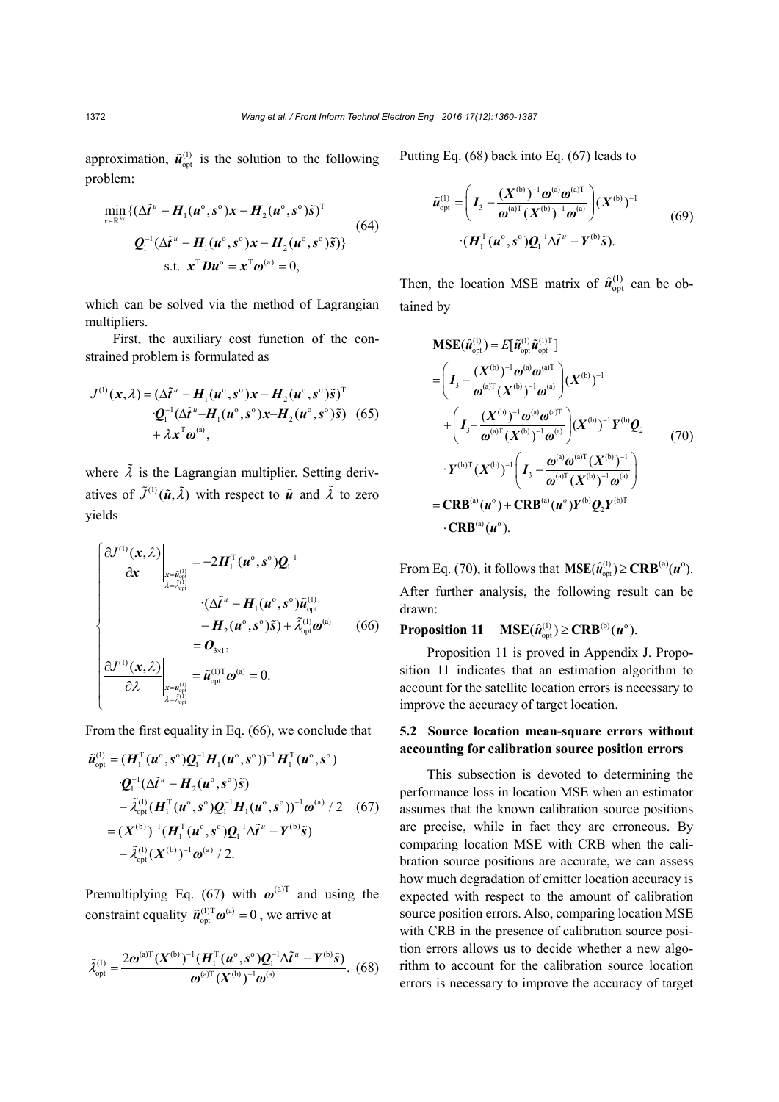approximation,  $\tilde{\mathbf{u}}_{\text{opt}}^{(1)}$  is the solution to the following problem:

$$
\min_{\mathbf{x} \in \mathbb{R}^{3\times l}} \{ (\Delta \tilde{\mathbf{t}}^u - \mathbf{H}_1(\mathbf{u}^\circ, \mathbf{s}^\circ) \mathbf{x} - \mathbf{H}_2(\mathbf{u}^\circ, \mathbf{s}^\circ) \tilde{\mathbf{s}})^\mathrm{T} \}
$$
\n
$$
\mathbf{Q}_1^{-1} (\Delta \tilde{\mathbf{t}}^u - \mathbf{H}_1(\mathbf{u}^\circ, \mathbf{s}^\circ) \mathbf{x} - \mathbf{H}_2(\mathbf{u}^\circ, \mathbf{s}^\circ) \tilde{\mathbf{s}}) \}
$$
\n
$$
\text{s.t. } \mathbf{x}^\mathrm{T} \mathbf{D} \mathbf{u}^\circ = \mathbf{x}^\mathrm{T} \boldsymbol{\omega}^{(\mathrm{a})} = 0,
$$
\n
$$
(64)
$$

which can be solved via the method of Lagrangian multipliers.

First, the auxiliary cost function of the constrained problem is formulated as

$$
J^{(1)}(\mathbf{x},\lambda) = (\Delta \tilde{\mathbf{t}}^u - \mathbf{H}_1(\mathbf{u}^\circ,\mathbf{s}^\circ)\mathbf{x} - \mathbf{H}_2(\mathbf{u}^\circ,\mathbf{s}^\circ)\tilde{\mathbf{s}})^T
$$
  

$$
\mathbf{Q}_1^{-1}(\Delta \tilde{\mathbf{t}}^u - \mathbf{H}_1(\mathbf{u}^\circ,\mathbf{s}^\circ)\mathbf{x} - \mathbf{H}_2(\mathbf{u}^\circ,\mathbf{s}^\circ)\tilde{\mathbf{s}}) \quad (65)
$$
  
+  $\lambda \mathbf{x}^T \boldsymbol{\omega}^{(a)},$ 

where  $\tilde{\lambda}$  is the Lagrangian multiplier. Setting derivatives of  $\tilde{J}^{(1)}(\tilde{u}, \tilde{\lambda})$  with respect to  $\tilde{u}$  and  $\tilde{\lambda}$  to zero yields

$$
\begin{cases}\n\frac{\partial J^{(1)}(\boldsymbol{x},\lambda)}{\partial \boldsymbol{x}}\Big|_{\substack{\boldsymbol{x}=\tilde{\boldsymbol{u}}_{\text{opt}}^{(1)}\\ \lambda=\tilde{\lambda}_{\text{opt}}^{(1)}}} = -2\boldsymbol{H}_{1}^{\text{T}}(\boldsymbol{u}^{\circ},\boldsymbol{s}^{\circ})\boldsymbol{Q}_{1}^{-1} \\
\cdot(\Delta \tilde{\boldsymbol{t}}^{u}-\boldsymbol{H}_{1}(\boldsymbol{u}^{\circ},\boldsymbol{s}^{\circ})\tilde{\boldsymbol{u}}_{\text{opt}}^{(1)} \\
-\boldsymbol{H}_{2}(\boldsymbol{u}^{\circ},\boldsymbol{s}^{\circ})\tilde{\boldsymbol{s}}) + \tilde{\lambda}_{\text{opt}}^{(1)}\boldsymbol{\omega}^{(a)} \\
= \boldsymbol{O}_{3\times1}, \\
\frac{\partial J^{(1)}(\boldsymbol{x},\lambda)}{\partial \lambda}\Big|_{\substack{\boldsymbol{x}=\tilde{\boldsymbol{u}}_{\text{opt}}^{(1)}\\ \lambda=\tilde{\lambda}_{\text{opt}}^{(1)}}} = \tilde{\boldsymbol{u}}_{\text{opt}}^{(1)\text{T}}\boldsymbol{\omega}^{(a)} = 0.\n\end{cases} \tag{66}
$$

From the first equality in Eq. (66), we conclude that

$$
\tilde{u}_{\text{opt}}^{(1)} = (\boldsymbol{H}_{1}^{T}(\boldsymbol{u}^{\text{o}}, \boldsymbol{s}^{\text{o}})\boldsymbol{Q}_{1}^{-1}\boldsymbol{H}_{1}(\boldsymbol{u}^{\text{o}}, \boldsymbol{s}^{\text{o}}))^{-1}\boldsymbol{H}_{1}^{T}(\boldsymbol{u}^{\text{o}}, \boldsymbol{s}^{\text{o}})
$$
\n
$$
\cdot \boldsymbol{Q}_{1}^{-1}(\Delta \tilde{\boldsymbol{t}}^{u} - \boldsymbol{H}_{2}(\boldsymbol{u}^{\text{o}}, \boldsymbol{s}^{\text{o}})\tilde{\boldsymbol{s}})
$$
\n
$$
- \tilde{\lambda}_{\text{opt}}^{(1)}(\boldsymbol{H}_{1}^{T}(\boldsymbol{u}^{\text{o}}, \boldsymbol{s}^{\text{o}})\boldsymbol{Q}_{1}^{-1}\boldsymbol{H}_{1}(\boldsymbol{u}^{\text{o}}, \boldsymbol{s}^{\text{o}}))^{-1}\boldsymbol{\omega}^{(\text{a})}/2
$$
\n
$$
= (\boldsymbol{X}^{(\text{b})})^{-1}(\boldsymbol{H}_{1}^{T}(\boldsymbol{u}^{\text{o}}, \boldsymbol{s}^{\text{o}})\boldsymbol{Q}_{1}^{-1}\Delta \tilde{\boldsymbol{t}}^{u} - \boldsymbol{Y}^{(\text{b})}\tilde{\boldsymbol{s}})
$$
\n
$$
- \tilde{\lambda}_{\text{opt}}^{(1)}(\boldsymbol{X}^{(\text{b})})^{-1}\boldsymbol{\omega}^{(\text{a})}/2.
$$

Premultiplying Eq. (67) with  $\boldsymbol{\omega}^{(a)T}$  and using the constraint equality  $\tilde{u}_{opt}^{(1)T} \omega^{(a)} = 0$ , we arrive at

$$
\tilde{\lambda}_{\text{opt}}^{(1)} = \frac{2\boldsymbol{\omega}^{(a)T}(\boldsymbol{X}^{(b)})^{-1}(\boldsymbol{H}_1^T(\boldsymbol{u}^\circ,\mathbf{s}^\circ)\boldsymbol{Q}_1^{-1}\Delta\tilde{\boldsymbol{t}}^u - \boldsymbol{Y}^{(b)}\tilde{\mathbf{s}})}{\boldsymbol{\omega}^{(a)T}(\boldsymbol{X}^{(b)})^{-1}\boldsymbol{\omega}^{(a)}}.
$$
(68)

Putting Eq. (68) back into Eq. (67) leads to

$$
\tilde{\boldsymbol{u}}_{\text{opt}}^{(1)} = \left( \boldsymbol{I}_3 - \frac{(\boldsymbol{X}^{(b)})^{-1} \boldsymbol{\omega}^{(a)} \boldsymbol{\omega}^{(a)T}}{\boldsymbol{\omega}^{(a)T} (\boldsymbol{X}^{(b)})^{-1} \boldsymbol{\omega}^{(a)}} \right) (\boldsymbol{X}^{(b)})^{-1}
$$
\n
$$
\cdot (\boldsymbol{H}_1^{\text{T}} (\boldsymbol{u}^{\text{o}}, \boldsymbol{s}^{\text{o}}) \boldsymbol{Q}_1^{-1} \Delta \tilde{\boldsymbol{t}}^{\text{u}} - \boldsymbol{Y}^{(b)} \tilde{\boldsymbol{s}}).
$$
\n(69)

Then, the location MSE matrix of  $\hat{u}_{opt}^{(1)}$  can be obtained by

$$
\begin{split}\n\text{MSE}(\hat{\boldsymbol{u}}_{\text{opt}}^{(1)}) &= E[\tilde{\boldsymbol{u}}_{\text{opt}}^{(1)} \tilde{\boldsymbol{u}}_{\text{opt}}^{(1)}] \\
&= \left( I_3 - \frac{(X^{(b)})^{-1} \omega^{(a)} \omega^{(a)T}}{\omega^{(a)T} (X^{(b)})^{-1} \omega^{(a)}} \right) (X^{(b)})^{-1} \\
&\quad + \left( I_3 - \frac{(X^{(b)})^{-1} \omega^{(a)} \omega^{(a)T}}{\omega^{(a)T} (X^{(b)})^{-1} \omega^{(a)}} \right) (X^{(b)})^{-1} Y^{(b)} Q_2 \\
&\quad \cdot Y^{(b)T} (X^{(b)})^{-1} \left( I_3 - \frac{\omega^{(a)} \omega^{(a)T} (X^{(b)})^{-1}}{\omega^{(a)T} (X^{(b)})^{-1} \omega^{(a)}} \right) \\
&= \text{CRB}^{(a)}(u^{\circ}) + \text{CRB}^{(a)}(u^{\circ}) Y^{(b)} Q_2 Y^{(b)T} \\
&\quad \cdot \text{CRB}^{(a)}(u^{\circ}).\n\end{split} \tag{70}
$$

From Eq. (70), it follows that  $\mathbf{MSE}(\hat{\boldsymbol{u}}_{opt}^{(1)}) \geq \mathbf{CRB}^{(a)}(\boldsymbol{u}^{\circ}).$ 

After further analysis, the following result can be drawn:

# **Proposition 11**  $MSE(\hat{\boldsymbol{u}}_{opt}^{(1)}) \geq CRB^{(b)}(\boldsymbol{u}^{\circ}).$

Proposition 11 is proved in Appendix J. Proposition 11 indicates that an estimation algorithm to account for the satellite location errors is necessary to improve the accuracy of target location.

# **5.2 Source location mean-square errors without accounting for calibration source position errors**

This subsection is devoted to determining the performance loss in location MSE when an estimator assumes that the known calibration source positions are precise, while in fact they are erroneous. By comparing location MSE with CRB when the calibration source positions are accurate, we can assess how much degradation of emitter location accuracy is expected with respect to the amount of calibration source position errors. Also, comparing location MSE with CRB in the presence of calibration source position errors allows us to decide whether a new algorithm to account for the calibration source location errors is necessary to improve the accuracy of target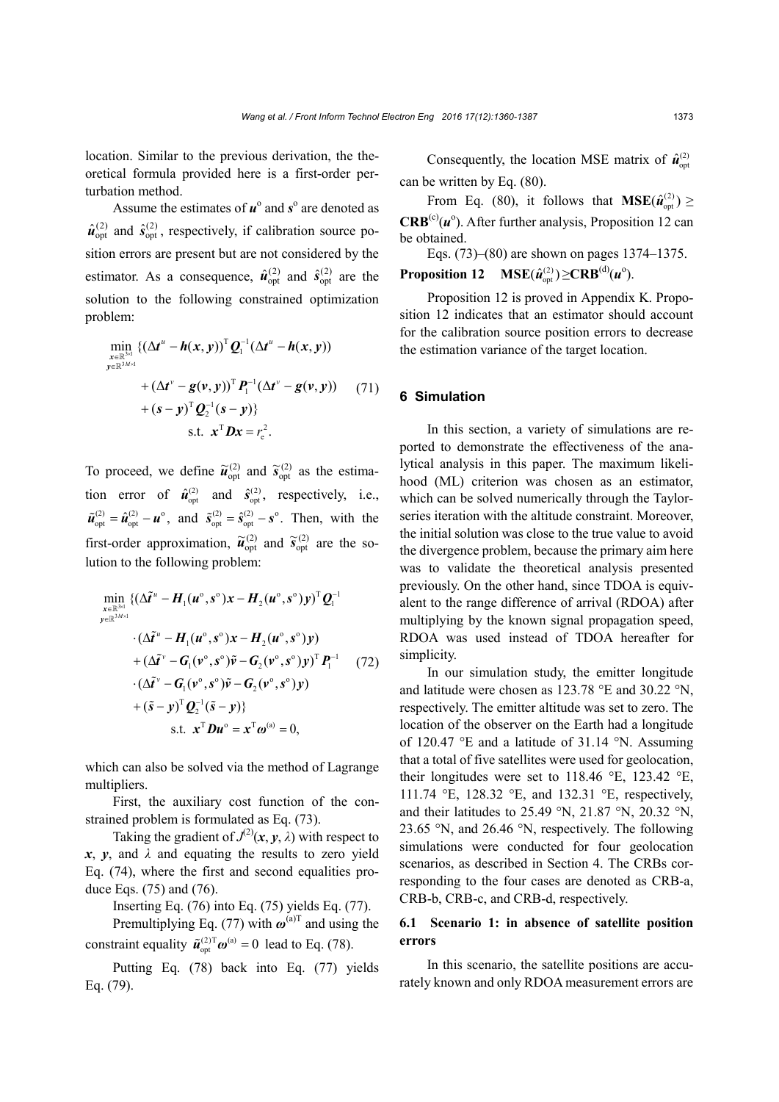location. Similar to the previous derivation, the theoretical formula provided here is a first-order perturbation method.

Assume the estimates of  $u^{\circ}$  and  $s^{\circ}$  are denoted as  $\hat{u}_{opt}^{(2)}$  and  $\hat{s}_{opt}^{(2)}$ , respectively, if calibration source position errors are present but are not considered by the estimator. As a consequence,  $\hat{\mathbf{u}}_{opt}^{(2)}$  and  $\hat{\mathbf{s}}_{opt}^{(2)}$  are the solution to the following constrained optimization problem:

$$
\min_{\mathbf{x} \in \mathbb{R}^{3M \times 1}} \{ (\Delta t^u - h(\mathbf{x}, \mathbf{y}))^{\mathrm{T}} \mathbf{Q}_1^{-1} (\Delta t^u - h(\mathbf{x}, \mathbf{y})) \n+ (\Delta t^v - g(\mathbf{v}, \mathbf{y}))^{\mathrm{T}} \mathbf{P}_1^{-1} (\Delta t^v - g(\mathbf{v}, \mathbf{y})) \qquad (71) \n+ (\mathbf{s} - \mathbf{y})^{\mathrm{T}} \mathbf{Q}_2^{-1} (\mathbf{s} - \mathbf{y}) \} \n\quad \text{s.t. } \mathbf{x}^{\mathrm{T}} \mathbf{D} \mathbf{x} = r_c^2.
$$

To proceed, we define  $\tilde{u}_{opt}^{(2)}$  and  $\tilde{s}_{opt}^{(2)}$  as the estimation error of  $\hat{u}_{opt}^{(2)}$  and  $\hat{s}_{opt}^{(2)}$ , respectively, i.e.,  $\tilde{\mathbf{u}}_{opt}^{(2)} = \hat{\mathbf{u}}_{opt}^{(2)} - \mathbf{u}^{\circ}$ , and  $\tilde{\mathbf{s}}_{opt}^{(2)} = \hat{\mathbf{s}}_{opt}^{(2)} - \mathbf{s}^{\circ}$ . Then, with the first-order approximation,  $\tilde{u}_{opt}^{(2)}$  and  $\tilde{s}_{opt}^{(2)}$  are the solution to the following problem:

$$
\min_{\mathbf{x} \in \mathbb{R}^{3M \times 4}} \{ (\Delta \tilde{\mathbf{t}}^u - \mathbf{H}_1(\mathbf{u}^\circ, \mathbf{s}^\circ) \mathbf{x} - \mathbf{H}_2(\mathbf{u}^\circ, \mathbf{s}^\circ) \mathbf{y})^\mathrm{T} \mathbf{Q}_1^{-1} \n\cdot (\Delta \tilde{\mathbf{t}}^u - \mathbf{H}_1(\mathbf{u}^\circ, \mathbf{s}^\circ) \mathbf{x} - \mathbf{H}_2(\mathbf{u}^\circ, \mathbf{s}^\circ) \mathbf{y}) \n+ (\Delta \tilde{\mathbf{t}}^v - \mathbf{G}_1(\mathbf{v}^\circ, \mathbf{s}^\circ) \tilde{\mathbf{v}} - \mathbf{G}_2(\mathbf{v}^\circ, \mathbf{s}^\circ) \mathbf{y})^\mathrm{T} \mathbf{P}_1^{-1} \quad (72) \n\cdot (\Delta \tilde{\mathbf{t}}^v - \mathbf{G}_1(\mathbf{v}^\circ, \mathbf{s}^\circ) \tilde{\mathbf{v}} - \mathbf{G}_2(\mathbf{v}^\circ, \mathbf{s}^\circ) \mathbf{y}) \n+ (\tilde{\mathbf{s}} - \mathbf{y})^\mathrm{T} \mathbf{Q}_2^{-1}(\tilde{\mathbf{s}} - \mathbf{y}) \} \n\text{s.t. } \mathbf{x}^\mathrm{T} \mathbf{D} \mathbf{u}^\circ = \mathbf{x}^\mathrm{T} \mathbf{\omega}^{(\text{a})} = 0,
$$

which can also be solved via the method of Lagrange multipliers.

First, the auxiliary cost function of the constrained problem is formulated as Eq. (73).

Taking the gradient of  $J^{(2)}(x, y, \lambda)$  with respect to  $x$ ,  $y$ , and  $\lambda$  and equating the results to zero yield Eq. (74), where the first and second equalities produce Eqs. (75) and (76).

Inserting Eq. (76) into Eq. (75) yields Eq. (77).

Premultiplying Eq. (77) with  $\boldsymbol{\omega}^{(a)T}$  and using the constraint equality  $\tilde{\mathbf{u}}_{opt}^{(2)T} \boldsymbol{\omega}^{(a)} = 0$  lead to Eq. (78).

Putting Eq. (78) back into Eq. (77) yields Eq. (79).

Consequently, the location MSE matrix of  $\hat{u}_{opt}^{(2)}$ can be written by Eq. (80).

From Eq. (80), it follows that  $\mathbf{MSE}(\hat{\boldsymbol{u}}_{opt}^{(2)}) \geq$  $CRB<sup>(c)</sup>(u<sup>o</sup>)$ . After further analysis, Proposition 12 can be obtained.

Eqs. (73)–(80) are shown on pages 1374–1375. **Proposition 12 MSE**( $\hat{\boldsymbol{u}}_{opt}^{(2)}$ )  $\geq$ **CRB**<sup>(d)</sup>( $\boldsymbol{u}^{\text{o}}$ ).

Proposition 12 is proved in Appendix K. Proposition 12 indicates that an estimator should account for the calibration source position errors to decrease the estimation variance of the target location.

#### **6 Simulation**

In this section, a variety of simulations are reported to demonstrate the effectiveness of the analytical analysis in this paper. The maximum likelihood (ML) criterion was chosen as an estimator, which can be solved numerically through the Taylorseries iteration with the altitude constraint. Moreover, the initial solution was close to the true value to avoid the divergence problem, because the primary aim here was to validate the theoretical analysis presented previously. On the other hand, since TDOA is equivalent to the range difference of arrival (RDOA) after multiplying by the known signal propagation speed, RDOA was used instead of TDOA hereafter for simplicity.

In our simulation study, the emitter longitude and latitude were chosen as 123.78 °E and 30.22 °N, respectively. The emitter altitude was set to zero. The location of the observer on the Earth had a longitude of 120.47 °E and a latitude of 31.14 °N. Assuming that a total of five satellites were used for geolocation, their longitudes were set to 118.46 °E, 123.42 °E, 111.74 °E, 128.32 °E, and 132.31 °E, respectively, and their latitudes to 25.49 °N, 21.87 °N, 20.32 °N, 23.65 °N, and 26.46 °N, respectively. The following simulations were conducted for four geolocation scenarios, as described in Section 4. The CRBs corresponding to the four cases are denoted as CRB-a, CRB-b, CRB-c, and CRB-d, respectively.

# **6.1 Scenario 1: in absence of satellite position errors**

In this scenario, the satellite positions are accurately known and only RDOA measurement errors are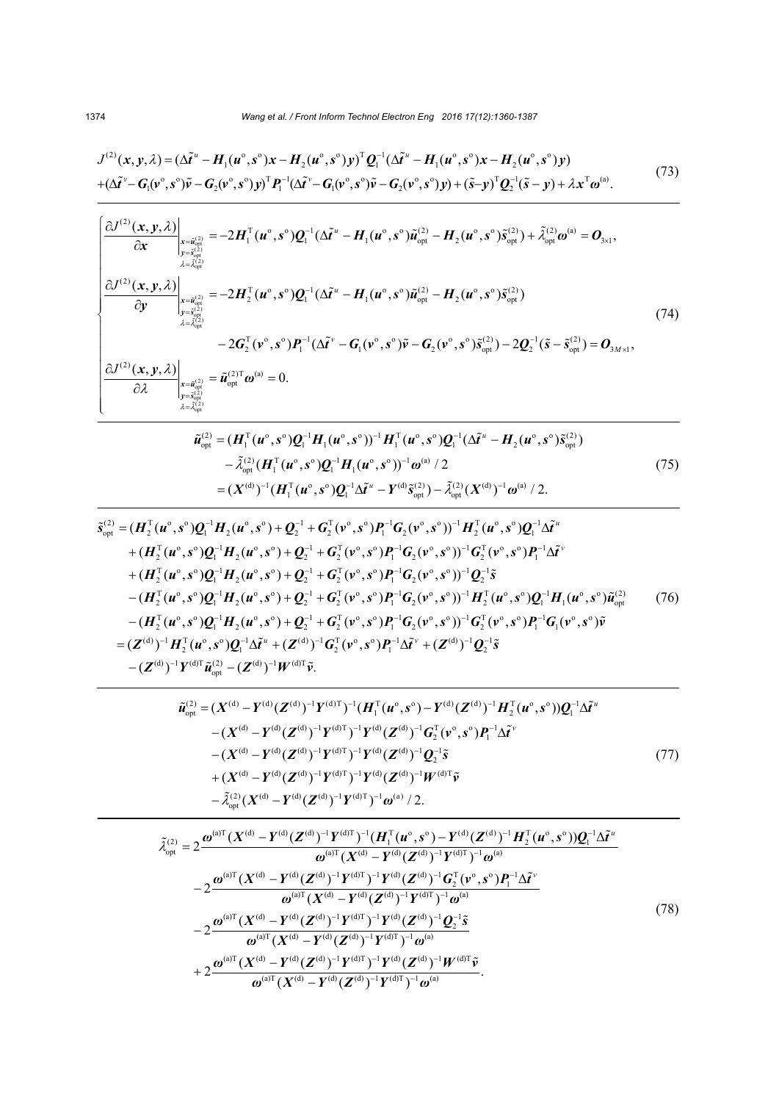$$
J^{(2)}(x, y, \lambda) = (\Delta \tilde{t}^{u} - H_1(u^{\circ}, s^{\circ})x - H_2(u^{\circ}, s^{\circ})y)^{T} Q_1^{-1}(\Delta \tilde{t}^{u} - H_1(u^{\circ}, s^{\circ})x - H_2(u^{\circ}, s^{\circ})y) + (\Delta \tilde{t}^{v} - G_1(v^{\circ}, s^{\circ})\tilde{v} - G_2(v^{\circ}, s^{\circ})y)^{T} P_1^{-1}(\Delta \tilde{t}^{v} - G_1(v^{\circ}, s^{\circ})\tilde{v} - G_2(v^{\circ}, s^{\circ})y) + (\tilde{s} - y)^{T} Q_2^{-1}(\tilde{s} - y) + \lambda x^{T} \omega^{(a)}.
$$
\n
$$
(73)
$$

$$
\begin{cases}\n\frac{\partial J^{(2)}(\mathbf{x}, \mathbf{y}, \lambda)}{\partial \mathbf{x}}\Big|_{\substack{\mathbf{x} = \tilde{\mathbf{u}}_{\text{opt}}^{(2)} \\ \frac{\partial J^{(2)}(\mathbf{x}, \mathbf{y}, \lambda)}{\partial \mathbf{y}}} = -2\boldsymbol{H}_{1}^{\mathrm{T}}(\boldsymbol{u}^{\circ}, \mathbf{s}^{\circ})\boldsymbol{Q}_{1}^{-1}(\Delta \tilde{\boldsymbol{t}}^{u} - \boldsymbol{H}_{1}(\boldsymbol{u}^{\circ}, \mathbf{s}^{\circ})\tilde{\boldsymbol{u}}_{\text{opt}}^{(2)} - \boldsymbol{H}_{2}(\boldsymbol{u}^{\circ}, \mathbf{s}^{\circ})\tilde{\mathbf{s}}_{\text{opt}}^{(2)}) + \tilde{\lambda}_{\text{opt}}^{(2)}\boldsymbol{\omega}^{(a)} = \boldsymbol{O}_{3 \times 1}, \\
\frac{\partial J^{(2)}(\mathbf{x}, \mathbf{y}, \lambda)}{\partial \mathbf{y}}\Big|_{\substack{\mathbf{x} = \tilde{\mathbf{u}}_{\text{opt}}^{(2)} \\ \lambda = \lambda_{\text{opt}}^{(2)} }}{\frac{2\sigma_{\text{opt}}^{2}} = -2\boldsymbol{H}_{2}^{\mathrm{T}}(\boldsymbol{u}^{\circ}, \mathbf{s}^{\circ})\boldsymbol{Q}_{1}^{-1}(\Delta \tilde{\boldsymbol{t}}^{u} - \boldsymbol{H}_{1}(\boldsymbol{u}^{\circ}, \mathbf{s}^{\circ})\tilde{\boldsymbol{u}}_{\text{opt}}^{(2)} - \boldsymbol{H}_{2}(\boldsymbol{u}^{\circ}, \mathbf{s}^{\circ})\tilde{\mathbf{s}}_{\text{opt}}^{(2)})}{\frac{2\sigma_{1}^{\mathrm{T}}(\mathbf{x}, \mathbf{y}, \lambda)}{\lambda = \lambda_{\text{opt}}^{(2)}}} = -2\boldsymbol{G}_{2}^{\mathrm{T}}(\boldsymbol{v}^{\circ}, \mathbf{s}^{\circ})\boldsymbol{P}_{1}^{-1}(\Delta \tilde{\boldsymbol{t}}^{v} - \boldsymbol{G}_{1}(\boldsymbol{v}^{\circ}, \mathbf{s}^{\circ})\tilde{\boldsymbol{v}} - \boldsymbol{G}_{2}(\boldsymbol{v}^{\circ}, \mathbf{s}^{\circ})\tilde{\mathbf{s}}_{\text{opt}}^{(2)}) - 2\boldsymbol{Q}_{2}^{-1}(\tilde{\mathbf{s}} - \tilde{\mathbf{s}}
$$

$$
\tilde{\boldsymbol{u}}_{\text{opt}}^{(2)} = (\boldsymbol{H}_{1}^{T}(\boldsymbol{u}^{\text{o}}, \boldsymbol{s}^{\text{o}}) \boldsymbol{Q}_{1}^{-1} \boldsymbol{H}_{1}(\boldsymbol{u}^{\text{o}}, \boldsymbol{s}^{\text{o}}))^{-1} \boldsymbol{H}_{1}^{T}(\boldsymbol{u}^{\text{o}}, \boldsymbol{s}^{\text{o}}) \boldsymbol{Q}_{1}^{-1} (\Delta \tilde{\boldsymbol{t}}^{u} - \boldsymbol{H}_{2}(\boldsymbol{u}^{\text{o}}, \boldsymbol{s}^{\text{o}}) \tilde{\boldsymbol{s}}_{\text{opt}}^{(2)}) \n- \tilde{\lambda}_{\text{opt}}^{(2)} (\boldsymbol{H}_{1}^{T}(\boldsymbol{u}^{\text{o}}, \boldsymbol{s}^{\text{o}}) \boldsymbol{Q}_{1}^{-1} \boldsymbol{H}_{1}(\boldsymbol{u}^{\text{o}}, \boldsymbol{s}^{\text{o}}))^{-1} \boldsymbol{\omega}^{(a)}/2 \n= (\boldsymbol{X}^{(d)})^{-1} (\boldsymbol{H}_{1}^{T}(\boldsymbol{u}^{\text{o}}, \boldsymbol{s}^{\text{o}}) \boldsymbol{Q}_{1}^{-1} \Delta \tilde{\boldsymbol{t}}^{u} - \boldsymbol{Y}^{(d)} \tilde{\boldsymbol{s}}_{\text{opt}}^{(2)}) - \tilde{\lambda}_{\text{opt}}^{(2)} (\boldsymbol{X}^{(d)})^{-1} \boldsymbol{\omega}^{(a)}/2.
$$
\n(75)

$$
\overline{\tilde{s}}_{\text{opt}}^{(2)} = (\boldsymbol{H}_{2}^{T}(\boldsymbol{u}^{\circ}, \boldsymbol{s}^{\circ})\boldsymbol{Q}_{1}^{-1}\boldsymbol{H}_{2}(\boldsymbol{u}^{\circ}, \boldsymbol{s}^{\circ}) + \boldsymbol{Q}_{2}^{-1} + \boldsymbol{G}_{2}^{T}(\boldsymbol{v}^{\circ}, \boldsymbol{s}^{\circ})\boldsymbol{P}_{1}^{-1}\boldsymbol{G}_{2}(\boldsymbol{v}^{\circ}, \boldsymbol{s}^{\circ}))^{-1}\boldsymbol{H}_{2}^{T}(\boldsymbol{u}^{\circ}, \boldsymbol{s}^{\circ})\boldsymbol{Q}_{1}^{-1}\Delta\tilde{\boldsymbol{t}}^{u} \n+ (\boldsymbol{H}_{2}^{T}(\boldsymbol{u}^{\circ}, \boldsymbol{s}^{\circ})\boldsymbol{Q}_{1}^{-1}\boldsymbol{H}_{2}(\boldsymbol{u}^{\circ}, \boldsymbol{s}^{\circ}) + \boldsymbol{Q}_{2}^{-1} + \boldsymbol{G}_{2}^{T}(\boldsymbol{v}^{\circ}, \boldsymbol{s}^{\circ})\boldsymbol{P}_{1}^{-1}\boldsymbol{G}_{2}(\boldsymbol{v}^{\circ}, \boldsymbol{s}^{\circ}))^{-1}\boldsymbol{G}_{2}^{T}(\boldsymbol{v}^{\circ}, \boldsymbol{s}^{\circ})\boldsymbol{P}_{1}^{-1}\Delta\tilde{\boldsymbol{t}}^{v} \n+ (\boldsymbol{H}_{2}^{T}(\boldsymbol{u}^{\circ}, \boldsymbol{s}^{\circ})\boldsymbol{Q}_{1}^{-1}\boldsymbol{H}_{2}(\boldsymbol{u}^{\circ}, \boldsymbol{s}^{\circ}) + \boldsymbol{Q}_{2}^{-1} + \boldsymbol{G}_{2}^{T}(\boldsymbol{v}^{\circ}, \boldsymbol{s}^{\circ})\boldsymbol{P}_{1}^{-1}\boldsymbol{G}_{2}(\boldsymbol{v}^{\circ}, \boldsymbol{s}^{\circ}))^{-1}\boldsymbol{Q}_{2}^{-1}\tilde{\boldsymbol{s}} \n- (\boldsymbol{H}_{2}^{T}(\boldsymbol{u}^{\circ}, \boldsymbol{s}^{\circ})\boldsymbol{Q}_{1}^{-1}\boldsymbol{H}_{2}(\boldsymbol{u}^{\circ}, \boldsymbol{s}^{\circ}) + \boldsymbol{Q}_{2}^{-1} + \boldsymbol{G}_{2}^{T}(\boldsymbol{v}^{\circ}, \boldsymbol{s}^{\circ})\boldsymbol{P}_{1}^{-1}\boldsymbol{G}_{2}(\boldsymbol{v}^{\circ}, \boldsymbol{s}^{\circ}))^{-1}\boldsymbol{
$$

 $\widetilde{\bm{u}}^{(2)}_{\rm opt} = (\bm{X}^{(\rm d)}-\bm{Y}^{(\rm d)}(\bm{Z}^{(\rm d)})^{-1}\bm{Y}^{(\rm d)T})^{-1}(\bm{H}_{1}^{\rm T}(\bm{u}^{\rm o},\bm{s}^{\rm o})-\bm{Y}^{(\rm d)}(\bm{Z}^{(\rm d)})^{-1}\bm{H}_{2}^{\rm T}(\bm{u}^{\rm o},\bm{s}^{\rm o}))\bm{Q}_{1}^{-1}\Delta\tilde{\bm{t}}^{\rm u}$ 

(77)

(78)

*u*

 $-(\boldsymbol{X}^{\text{(d)}}-\boldsymbol{Y}^{\text{(d)}}(\boldsymbol{Z}^{\text{(d)}})^{-1}\boldsymbol{Y}^{\text{(d)}\text{T}})^{-1}\boldsymbol{Y}^{\text{(d)}}(\boldsymbol{Z}^{\text{(d)}})^{-1}\boldsymbol{G}_{2}^{\text{T}}(\boldsymbol{\mathcal{v}}^{\text{o}},\boldsymbol{s}^{\text{o}})\boldsymbol{P}_{1}^{-1}\Delta\boldsymbol{\tilde{t}}^{\text{v}}$ 

 $\frac{d^{(a)T}(X^{(d)}-Y^{(d)}(Z^{(d)})^{-1}Y^{(d)T})^{-1}Y^{(d)}(Z^{(d)})^{-1}G_{2}^{T}(\nu^{\circ},s^{\circ})P_{1}^{-1}}{\kappa^{(a)T}(Y^{(d)}-Y^{(d)}(Z^{(d)})^{-1}Y^{(d)T})^{-1}\kappa^{(a)}}$ 

(

 $2 \frac{\boldsymbol{\omega}^{(\text{a})\top} (\boldsymbol{X}^{(\text{d})} - \boldsymbol{Y}^{(\text{d})} (\boldsymbol{Z}^{(\text{d})})^{-1} \boldsymbol{Y}^{(\text{d})\top})^{-1} \boldsymbol{Y}^{(\text{d})} (\boldsymbol{Z}^{(\text{d})})^{-1} \boldsymbol{G}_{1}^{\top} (\boldsymbol{\nu}^{\text{o}}, \boldsymbol{s}^{\text{o}}) \boldsymbol{P}_{1}^{-1} \Delta}{\boldsymbol{\omega}^{\text{a}} \boldsymbol{\omega}^{\text{a}} \boldsymbol{\omega}^{\text{a}} \boldsymbol{\omega}^{\text{a}} \boldsymbol{\omega}^{\text{a}} \boldsymbol{\$ 

 $-2 \frac{\omega^{(a)T} (X^{(d)} - Y^{(d)} (Z^{(d)})^{-1} Y^{(d)T})^{-1} Y^{(d)} (Z^{(d)})^{-1} G_{2}^{T} (\nu^{\circ}, s^{\circ}) P_{1}^{-1} \Delta \tilde{t}}{\omega T (Z^{(d)} - Z^{(d)})^{-1} G_{2}^{T} (\nu^{\circ}, s^{\circ}) P_{1}^{-1} \Delta \tilde{t}}$ 

(d

 $(c_{\mathbf{z}})$ 

 $\boldsymbol{\omega}^{\text{(a)T}}(\boldsymbol{X}^{\text{(d)}}-\boldsymbol{Y}^{\text{(d)}}(\boldsymbol{Z}^{\text{(d)}})^{-1}\boldsymbol{Y}^{\text{(d)T}})^{-1}\boldsymbol{\omega}^{\text{(a)}}$ 

 $2 \frac{\boldsymbol{\omega}^{(\text{a})\text{T}} (\boldsymbol{X}^{(\text{d})} - \boldsymbol{Y}^{(\text{d})} (\boldsymbol{Z}^{(\text{d})})^{-1} \boldsymbol{Y}^{(\text{d})\text{T}})^{-1} (\boldsymbol{H}_{1}^{\text{T}} (\boldsymbol{u}^{\text{o}}, \boldsymbol{s}^{\text{o}}) - \boldsymbol{Y}^{(\text{d})} (\boldsymbol{Z}^{(\text{d})})^{-1} \boldsymbol{H}_{2}^{\text{T}} (\boldsymbol{u}^{\text{o}}, \boldsymbol{s}^{\text{o}})) \boldsymbol{Q}_{1}^{-1}}{(\text{a}^{\text{T}} \times \boldsymbol{Y}^{(\text{d})} \$ 

 $-1$   $\mathbf{V}$ (d) $\Gamma$   $\setminus$   $-1$   $\mathbf{V}$ (d)  $\subset$   $\mathbf{V}$ (d)  $\setminus$   $-1$   $\Omega$ 

 $-1$   $\mathbf{V}$ (d)T  $\mathbf{\setminus}$  -1  $\mathbf{V}$ (d)  $\mathbf{\setminus}$   $\mathbf{\mathcal{V}}$ (d)  $\mathbf{\setminus}$ 

 $-\, Y^{(\textnormal{\texttt{d}})} (\bm{Z}^{(\textnormal{\texttt{d}})})^{-1} Y^{(\textnormal{\texttt{d}})\mathrm{T}}\,)^{-1} Y^{(\textnormal{\texttt{d}})} (\bm{Z}^{(\textnormal{\texttt{d}})})^{-1} \bm{G}_{\flat}^{\mathrm{T}} (\bm{\nu}^{\mathrm{o}}, \bm{s}^{\mathrm{o}}) \bm{P}_{\!1}^{-1} \Delta \bm{\tilde{t}}^{\nu}$ 

 $(X^{\scriptscriptstyle{\mathrm{(d)}}}-Y^{\scriptscriptstyle{\mathrm{(d)}}}(\boldsymbol{Z}^{\scriptscriptstyle{\mathrm{(d)}}})$ 

 $\boldsymbol{\omega}^{\text{(a)T}}(\boldsymbol{X}^{\text{(d)}}-\boldsymbol{Y}^{\text{(d)}}(\boldsymbol{Z}^{\text{(d)}})^{-1}\boldsymbol{Y}$ 

 $\begin{split} \widetilde{\lambda}_{\mathrm{opt}}^{(2)} = & \, 2 \frac{\bm{\omega}^{(\mathrm{a})\mathrm{T}} \, (\bm{X}^{(\mathrm{d})} - \bm{Y}^{(\mathrm{d})} (\bm{Z}^{(\mathrm{d})})^{-1} \bm{Y}^{(\mathrm{d})\mathrm{T}})^{-1} (\bm{H}_{1}^{\mathrm{T}}(\bm{u}^{\mathrm{o}}, \bm{s}^{\mathrm{o}}) - \bm{Y}^{(\mathrm{d})} (\bm{Z}^{(\mathrm{d})})^{-1} \bm{H}_{2}^{\mathrm{T}}(\bm{u}^{\mathrm{o}}, \bm{s}^{\mathrm{o}})) \bm{\mathcal{Q}}_{1}^{-1} \Delta \bm{\tilde{t$ 

o

 $(\bm{H}_{1}^{\mathrm{T}}(\bm{u}^{\mathrm{o}},\bm{s}^{\mathrm{o}})\!-\! \bm{Y}^{(\mathrm{d})}(\bm{Z}^{(\mathrm{d})})^{\!-\!1}\bm{H}_{2}^{\mathrm{T}}(\bm{u}^{\mathrm{o}},\bm{s}^{\mathrm{o}}))\bm{Q}_{\!1}^{\!-\!1}\Delta$ 

 $H_1^{\perp}(u^{\circ}, s^{\circ}) - Y^{(\textnormal{\texttt{d}})} (\boldsymbol{Z}^{(\textnormal{\texttt{d}})})^{-1} H_2^{\perp}(u^{\circ}, s^{\circ})) \boldsymbol{Q}_{\text{l}}^{-1} \Delta \boldsymbol{\hat{t}}$ *ω*

o

,

)

 $-1$   $\mathbf{V}$ (d)T  $\mathbf{\lambda}$ 

 $-(\pmb{X}^{\text{(d)}}-\pmb{Y}^{\text{(d)}}(\pmb{Z}^{\text{(d)}})^{-1}\pmb{Y}^{\text{(d)}\text{T}})^{-1}\pmb{Y}^{\text{(d)}}(\pmb{Z}^{\text{(d)}})^{-1}\pmb{Q}_{2}^{-1}\tilde{\pmb{s}}$  $+$   $(X^{(\textnormal{\texttt{d}})}$   $Y^{(\textnormal{\texttt{d}})} (Z^{(\textnormal{\texttt{d}})})^{-1} Y^{(\textnormal{\texttt{d}})T} )^{-1} Y^{(\textnormal{\texttt{d}})} (Z^{(\textnormal{\texttt{d}})})^{-1} W^{(\textnormal{\texttt{d}})T} \tilde{v}$ 

 $\begin{equation} \begin{aligned} \mathcal{L}^{(2)}_{\text{opt}} = 2 \, \frac{\boldsymbol{\omega}^{(\text{a})\text{T}} \, (\boldsymbol{X}^{(\text{d})} - \boldsymbol{Y}^{(\text{d})} (\boldsymbol{Z}^{(\text{d})})^{-1} \boldsymbol{Y}^{(\text{d})\text{T}})^{-1} (\boldsymbol{H}_{1}^{\text{T}} (\boldsymbol{u}^{\text{o}}, \boldsymbol{s}^{\text{o}}) - \boldsymbol{Y}^{(\text{d})} (\boldsymbol{Z}^{(\text{d})})}{\boldsymbol{\omega}^{(\text{a})\text{T}} \, (\boldsymbol{Y}^{(\text{d})} \ \boldsymbol{V}^{(\text{$ 

 $-1$   $\mathbf{V}^{(d)}$   $\Gamma$   $\Gamma$ 

−

(a)T  $(\mathbf{v}(\mathbf{d}) - \mathbf{v}(\mathbf{d}) \cdot \mathbf{z}(\mathbf{d}) )^{-1} \mathbf{v}(\mathbf{d})$   $\mathbf{v}(\mathbf{d})$   $(\mathbf{z}(\mathbf{d}) - \mathbf{v}(\mathbf{d}) )^{-1} \mathbf{w}(\mathbf{d})$  $2 \frac{{\boldsymbol{\omega}}^{(\text{a})1} \, ({\boldsymbol{X}}^{(\text{d})} - {\boldsymbol{Y}}^{(\text{d})} ({\boldsymbol{Z}}^{(\text{d})})^{-1} {\boldsymbol{Y}}^{(\text{d})} \, )^{-1} {\boldsymbol{Y}}^{(\text{d})} ({\boldsymbol{Z}}^{(\text{d})})^{-1} {\boldsymbol{W}}^{(\text{d})1} \tilde{\boldsymbol{\nu}}}{\boldsymbol{\omega}^{(\text{a})\Gamma} \, ({\boldsymbol{Y}}^{(\text{d})} \, {\boldsymbol{V}}^{(\text{d})} \, ({\boldsymbol{Z}}^{(\text{d})})^{-1} {\boldsymbol{V}}^{(\text{d})\Gamma} \,$ 

 $(X^{(d)} - Y^{(d)}(Z^{(d)})^{-1}Y^{(d)T})$ 

 $\boldsymbol{\omega}^{\text{(a)1}} (\boldsymbol{X}^{\text{(d)}}-\boldsymbol{Y}^{\text{(d)}} (\boldsymbol{Z}^{\text{(d)}})^{-1} \boldsymbol{Y}^{\text{(d)1}})^{-1} \boldsymbol{\omega}$ 

 $2\frac{{\boldsymbol{\omega}}^{({\rm a}){\rm T}}({\boldsymbol{X}}^{({\rm d})}-{\boldsymbol{Y}}^{({\rm d})}({\boldsymbol{Z}}^{({\rm d})})^{-1}{\boldsymbol{Y}}^{({\rm d})}{\boldsymbol{Y}}^{({\rm d})}({\boldsymbol{Z}}^{({\rm d})})^{-1}{\boldsymbol{V}}^{({\rm d})}({\boldsymbol{Z}}^{({\rm d})})^{-1}{\boldsymbol{Q}}_1^{-1}}{\boldsymbol{\omega}}^{({\rm a})}$ 

 $-2\frac{{\boldsymbol{\omega}}^{({\rm a}){\rm T}}({\boldsymbol{X}}^{({\rm d})}-{\boldsymbol{Y}}^{({\rm d})}({\boldsymbol{Z}}^{({\rm d})})^{-1}{\boldsymbol{Y}}^{({\rm d})}{\boldsymbol{T}})^{-1}{\boldsymbol{Y}}^{({\rm d})}({\boldsymbol{Z}}^{({\rm d})})^{-1}{\boldsymbol{\mathcal{Q}}}_2^{-1}\tilde{{\boldsymbol{s}}} \={\boldsymbol{\omega}}^{({\rm a}){\rm T}}({\boldsymbol{X}}^{({\rm d})}-{\boldsymbol{Y}}^{({\rm d})}({\boldsymbol{Z}}^{({\rm d})})^{-1}{\boldsymbol{Y}}^{({\rm d}){\rm T}})^{-1$ 

 $(\pmb{X}^{\text{(d)}}-\pmb{Y}^{\text{(d)}}(\pmb{Z}^{\text{(d)}})^{-1}\pmb{Y}^{\text{(d)T}})$ 

 $\boldsymbol{\omega}^{\text{(a)1}}(\boldsymbol{X}^{\text{(d)}}-\boldsymbol{Y}^{\text{(d)}}(\boldsymbol{Z}^{\text{(d)}})^{-1}\boldsymbol{Y}^{\text{(d)1}})^{-1}\boldsymbol{\omega}$ 

− − <sup>−</sup> <sup>+</sup> <sup>−</sup> *ω X YZ Y YZ Wv*

 $-\tilde{\lambda}_{\mathrm{opt}}^{(2)}(\pmb{X}^{(\textnormal{\texttt{d}})}\pmb{-Y}^{(\textnormal{\texttt{d}})} (\pmb{Z}^{(\textnormal{\texttt{d}})})^{-1}\pmb{Y}^{(\textnormal{\texttt{d}})\mathsf{T}})^{-1}\pmb{\omega}^{(\textnormal{\texttt{a}})}$  /  $2.$ 

(

λ

$$
(\mathbf{H}_{2}^{T}(\mathbf{u}^{\circ},\mathbf{s}^{\circ})\mathbf{Q}_{1}^{-1}\mathbf{H}_{2}(\mathbf{u}^{\circ},\mathbf{s}^{\circ})+\mathbf{Q}_{2}^{-1}+\mathbf{G}_{2}^{T}(\mathbf{v}^{\circ},\mathbf{s}^{\circ})\mathbf{P}_{1}^{-1}\mathbf{G}_{2}(\mathbf{v}^{\circ},\mathbf{s}^{\circ}))^{-1}\mathbf{H}_{2}^{T}(\mathbf{u}^{\circ},\mathbf{s}^{\circ})\mathbf{Q}_{1}^{-1}\Delta\tilde{\mathbf{t}}^{u} + (\mathbf{H}_{2}^{T}(\mathbf{u}^{\circ},\mathbf{s}^{\circ})\mathbf{Q}_{1}^{-1}\mathbf{H}_{2}(\mathbf{u}^{\circ},\mathbf{s}^{\circ})+\mathbf{Q}_{2}^{-1}+\mathbf{G}_{2}^{T}(\mathbf{v}^{\circ},\mathbf{s}^{\circ})\mathbf{P}_{1}^{-1}\mathbf{G}_{2}(\mathbf{v}^{\circ},\mathbf{s}^{\circ}))^{-1}\mathbf{G}_{2}^{T}(\mathbf{v}^{\circ},\mathbf{s}^{\circ})\mathbf{P}_{1}^{-1}\Delta\tilde{\mathbf{t}}^{v} + (\mathbf{H}_{2}^{T}(\mathbf{u}^{\circ},\mathbf{s}^{\circ})\mathbf{Q}_{1}^{-1}\mathbf{H}_{2}(\mathbf{u}^{\circ},\mathbf{s}^{\circ})+\mathbf{Q}_{2}^{-1}+\mathbf{G}_{2}^{T}(\mathbf{v}^{\circ},\mathbf{s}^{\circ})\mathbf{P}_{1}^{-1}\mathbf{G}_{2}(\mathbf{v}^{\circ},\mathbf{s}^{\circ}))^{-1}\mathbf{Q}_{2}^{-1}\tilde{\mathbf{s}} - (\mathbf{H}_{2}^{T}(\mathbf{u}^{\circ},\mathbf{s}^{\circ})\mathbf{Q}_{1}^{-1}\mathbf{H}_{2}(\mathbf{u}^{\circ},\mathbf{s}^{\circ})+\mathbf{Q}_{2}^{-1}+\mathbf{G}_{2}^{T}(\mathbf{v}^{\circ},\mathbf{s}^{\circ})\mathbf{P}_{1}^{-1}\mathbf{G}_{2}(\mathbf{v}^{\circ},\mathbf{s}^{\circ}))^{-1}\mathbf{H}_{2}^{T}(\mathbf{u}^{\circ},\mathbf{s}^{\circ})\mathbf{Q}_{
$$

$$
\tilde{\boldsymbol{u}}_{\text{opt}}^{(2)} = (\boldsymbol{H}_{1}^{T}(\boldsymbol{u}^{\text{o}}, \boldsymbol{s}^{\text{o}})\boldsymbol{Q}_{1}^{-1}\boldsymbol{H}_{1}(\boldsymbol{u}^{\text{o}}, \boldsymbol{s}^{\text{o}}))^{-1}\boldsymbol{H}_{1}^{T}(\boldsymbol{u}^{\text{o}}, \boldsymbol{s}^{\text{o}})\boldsymbol{Q}_{1}^{-1}(\Delta\tilde{\boldsymbol{t}}^{u} - \boldsymbol{H}_{2}(\boldsymbol{u}^{\text{o}}, \boldsymbol{s}^{\text{o}})\tilde{\boldsymbol{s}}_{\text{opt}}^{(2)}) \n- \tilde{\lambda}_{\text{opt}}^{(2)}(\boldsymbol{H}_{1}^{T}(\boldsymbol{u}^{\text{o}}, \boldsymbol{s}^{\text{o}})\boldsymbol{Q}_{1}^{-1}\boldsymbol{H}_{1}(\boldsymbol{u}^{\text{o}}, \boldsymbol{s}^{\text{o}}))^{-1}\boldsymbol{\omega}^{(a)}/2 \n= (\boldsymbol{X}^{(d)})^{-1}(\boldsymbol{H}_{1}^{T}(\boldsymbol{u}^{\text{o}}, \boldsymbol{s}^{\text{o}})\boldsymbol{Q}_{1}^{-1}\Delta\tilde{\boldsymbol{t}}^{u} - \boldsymbol{Y}^{(d)}\tilde{\boldsymbol{s}}_{\text{opt}}^{(2)}) - \tilde{\lambda}_{\text{opt}}^{(2)}(\boldsymbol{X}^{(d)})^{-1}\boldsymbol{\omega}^{(a)}/2.
$$
\n(7)

1374 *Wang et al. / Front Inform Technol Electron Eng 2016 17(12):1360-1387*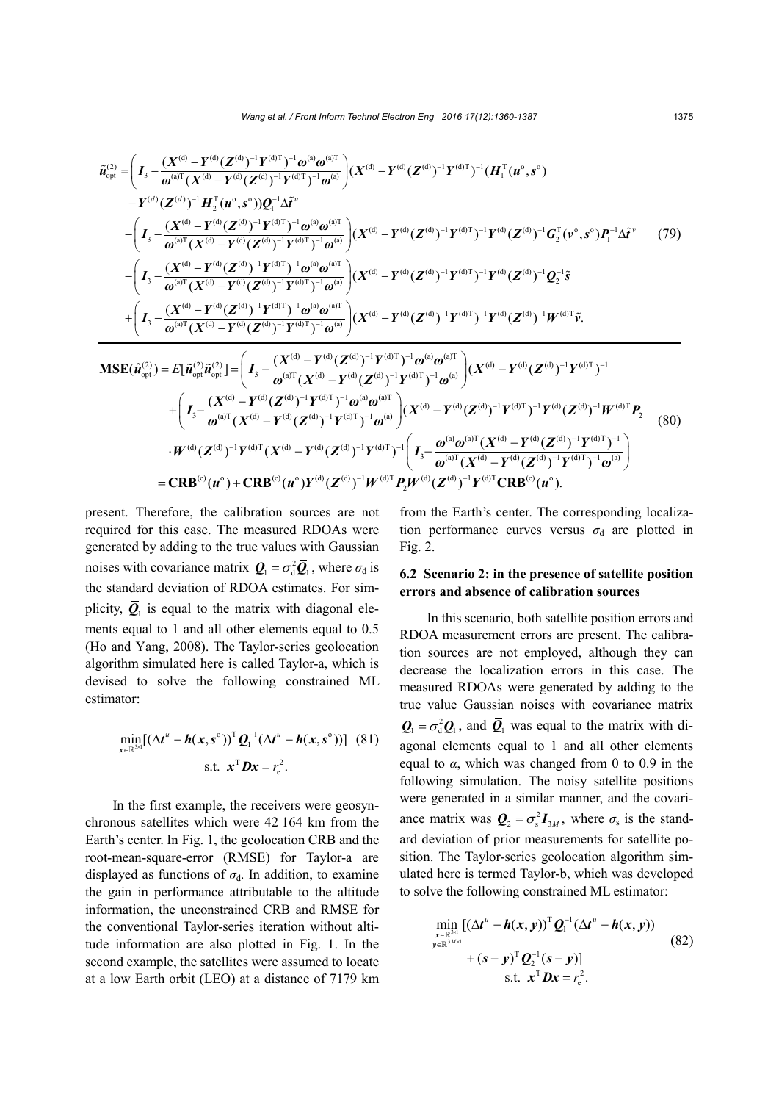$$
\tilde{u}_{opt}^{(2)} = \left( I_{3} - \frac{(X^{(d)} - Y^{(d)} (Z^{(d)})^{-1} Y^{(d)T})^{-1} \omega^{(a)} \omega^{(a)T}}{ \omega^{(a)T} (X^{(d)} - Y^{(d)} (Z^{(d)})^{-1} Y^{(d)T})^{-1} \omega^{(a)}} \right) (X^{(d)} - Y^{(d)} (Z^{(d)})^{-1} Y^{(d)T})^{-1} (H_{1}^{T} (u^{\circ}, s^{\circ})
$$
\n
$$
-Y^{(d)} (Z^{(d)})^{-1} H_{2}^{T} (u^{\circ}, s^{\circ}) Q_{1}^{-1} \Delta \tilde{t}^{u}
$$
\n
$$
- \left( I_{3} - \frac{(X^{(d)} - Y^{(d)} (Z^{(d)})^{-1} Y^{(d)T})^{-1} \omega^{(a)} \omega^{(a)T}}{ \omega^{(a)T} (X^{(d)} - Y^{(d)} (Z^{(d)})^{-1} Y^{(d)T})^{-1} \omega^{(a)}} \right) (X^{(d)} - Y^{(d)} (Z^{(d)})^{-1} Y^{(d)T})^{-1} Y^{(d)} (Z^{(d)})^{-1} G_{2}^{T} (v^{\circ}, s^{\circ}) P_{1}^{-1} \Delta \tilde{t}^{v}
$$
\n
$$
- \left( I_{3} - \frac{(X^{(d)} - Y^{(d)} (Z^{(d)})^{-1} Y^{(d)T})^{-1} \omega^{(a)} \omega^{(a)T}}{ \omega^{(a)T} (X^{(d)} - Y^{(d)} (Z^{(d)})^{-1} Y^{(d)T})^{-1} \omega^{(a)}} \right) (X^{(d)} - Y^{(d)} (Z^{(d)})^{-1} Y^{(d)T})^{-1} Y^{(d)} (Z^{(d)})^{-1} Q_{2}^{-1} \tilde{s}
$$
\n
$$
+ \left( I_{3} - \frac{(X^{(d)} - Y^{(d)} (Z^{(d)})^{-1} Y^{(d)T})^{-1} \omega^{(a)} \omega^{(a)T}}{ \omega^{(a)T} (X^{(d)} - Y^{(d)} (Z^{(d)})^{-1} Y^{(d)T})^{-1} \omega^{(a)}} \right) (X^{(d)} - Y^{(d)} (Z^{(d)})^{-1} Y^{(d)T})^{-1} Y^{(d)} (Z^{(d)})^{-1} Y^{(d)T}
$$

present. Therefore, the calibration sources are not required for this case. The measured RDOAs were generated by adding to the true values with Gaussian noises with covariance matrix  $\mathbf{Q}_1 = \sigma_d^2 \overline{\mathbf{Q}}_1$ , where  $\sigma_d$  is the standard deviation of RDOA estimates. For simplicity,  $\overline{Q}_1$  is equal to the matrix with diagonal elements equal to 1 and all other elements equal to 0.5 (Ho and Yang, 2008). The Taylor-series geolocation algorithm simulated here is called Taylor-a, which is devised to solve the following constrained ML estimator:

$$
\min_{\mathbf{x} \in \mathbb{R}^{3\times l}} [(\Delta \mathbf{t}^u - \mathbf{h}(\mathbf{x}, \mathbf{s}^\circ))^T \mathbf{Q}_1^{-1} (\Delta \mathbf{t}^u - \mathbf{h}(\mathbf{x}, \mathbf{s}^\circ))]
$$
 (81)  
s.t.  $\mathbf{x}^T \mathbf{D} \mathbf{x} = r_e^2$ .

In the first example, the receivers were geosynchronous satellites which were 42 164 km from the Earth's center. In Fig. 1, the geolocation CRB and the root-mean-square-error (RMSE) for Taylor-a are displayed as functions of  $\sigma_d$ . In addition, to examine the gain in performance attributable to the altitude information, the unconstrained CRB and RMSE for the conventional Taylor-series iteration without altitude information are also plotted in Fig. 1. In the second example, the satellites were assumed to locate at a low Earth orbit (LEO) at a distance of 7179 km from the Earth's center. The corresponding localization performance curves versus  $\sigma_d$  are plotted in Fig. 2.

# **6.2 Scenario 2: in the presence of satellite position errors and absence of calibration sources**

In this scenario, both satellite position errors and RDOA measurement errors are present. The calibration sources are not employed, although they can decrease the localization errors in this case. The measured RDOAs were generated by adding to the true value Gaussian noises with covariance matrix  $\mathbf{Q}_1 = \sigma_d^2 \mathbf{Q}_1$ , and  $\mathbf{Q}_1$  was equal to the matrix with diagonal elements equal to 1 and all other elements equal to  $\alpha$ , which was changed from 0 to 0.9 in the following simulation. The noisy satellite positions were generated in a similar manner, and the covariance matrix was  $Q_2 = \sigma_s^2 I_{3M}$ , where  $\sigma_s$  is the standard deviation of prior measurements for satellite position. The Taylor-series geolocation algorithm simulated here is termed Taylor-b, which was developed to solve the following constrained ML estimator:

$$
\min_{\substack{x \in \mathbb{R}^{3M} \\ y \in \mathbb{R}^{3M \times 1}}} [(\Delta t^u - h(x, y))^T Q_1^{-1} (\Delta t^u - h(x, y))
$$
\n
$$
+ (s - y)^T Q_2^{-1} (s - y)]
$$
\n
$$
\text{s.t. } x^T Dx = r_e^2.
$$
\n(82)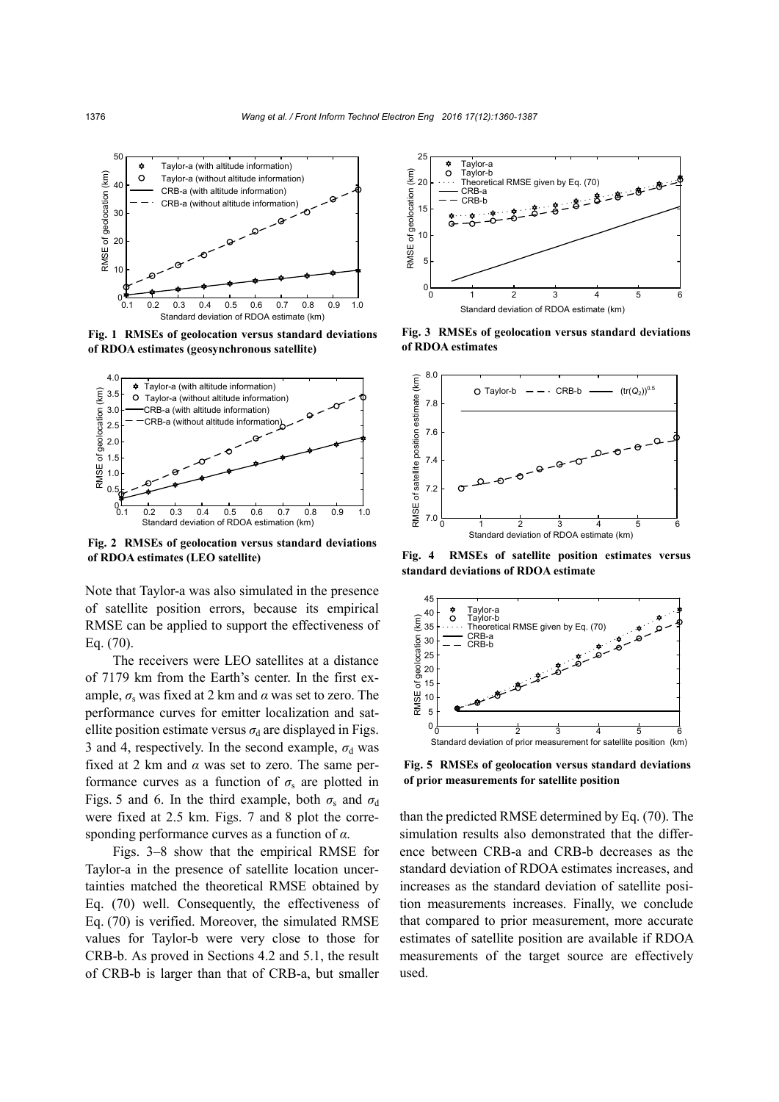

**Fig. 1 RMSEs of geolocation versus standard deviations of RDOA estimates (geosynchronous satellite)**



**Fig. 2 RMSEs of geolocation versus standard deviations of RDOA estimates (LEO satellite)**

Note that Taylor-a was also simulated in the presence of satellite position errors, because its empirical RMSE can be applied to support the effectiveness of Eq. (70).

The receivers were LEO satellites at a distance of 7179 km from the Earth's center. In the first example,  $\sigma_s$  was fixed at 2 km and  $\alpha$  was set to zero. The performance curves for emitter localization and satellite position estimate versus  $\sigma_d$  are displayed in Figs. 3 and 4, respectively. In the second example,  $\sigma_d$  was fixed at 2 km and *α* was set to zero. The same performance curves as a function of  $\sigma_s$  are plotted in Figs. 5 and 6. In the third example, both  $\sigma_s$  and  $\sigma_d$ were fixed at 2.5 km. Figs. 7 and 8 plot the corresponding performance curves as a function of *α*.

Figs. 3–8 show that the empirical RMSE for Taylor-a in the presence of satellite location uncertainties matched the theoretical RMSE obtained by Eq. (70) well. Consequently, the effectiveness of Eq. (70) is verified. Moreover, the simulated RMSE values for Taylor-b were very close to those for CRB-b. As proved in Sections 4.2 and 5.1, the result of CRB-b is larger than that of CRB-a, but smaller



**Fig. 3 RMSEs of geolocation versus standard deviations of RDOA estimates**



**Fig. 4 RMSEs of satellite position estimates versus standard deviations of RDOA estimate**



**Fig. 5 RMSEs of geolocation versus standard deviations of prior measurements for satellite position**

than the predicted RMSE determined by Eq. (70). The simulation results also demonstrated that the difference between CRB-a and CRB-b decreases as the standard deviation of RDOA estimates increases, and increases as the standard deviation of satellite position measurements increases. Finally, we conclude that compared to prior measurement, more accurate estimates of satellite position are available if RDOA measurements of the target source are effectively used.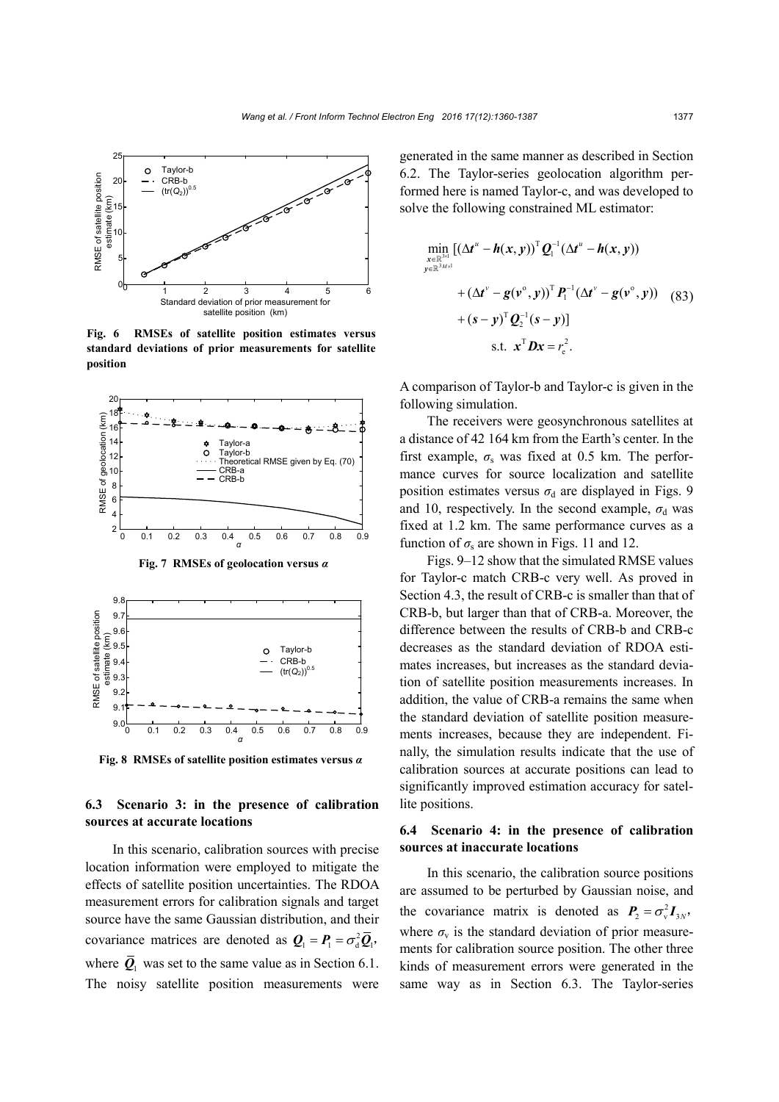

**Fig. 6 RMSEs of satellite position estimates versus standard deviations of prior measurements for satellite position**



**Fig. 7 RMSEs of geolocation versus** *α*



**Fig. 8 RMSEs of satellite position estimates versus** *α*

# **6.3 Scenario 3: in the presence of calibration sources at accurate locations**

In this scenario, calibration sources with precise location information were employed to mitigate the effects of satellite position uncertainties. The RDOA measurement errors for calibration signals and target source have the same Gaussian distribution, and their covariance matrices are denoted as  $Q_1 = P_1 = \sigma_d^2 \overline{Q}_1$ , where  $\overline{Q}_1$  was set to the same value as in Section 6.1. The noisy satellite position measurements were generated in the same manner as described in Section 6.2. The Taylor-series geolocation algorithm performed here is named Taylor-c, and was developed to solve the following constrained ML estimator:

$$
\min_{\mathbf{x} \in \mathbb{R}^{3M \times 1}} \left[ (\Delta \mathbf{t}^u - \mathbf{h}(\mathbf{x}, \mathbf{y}))^{\mathrm{T}} \mathbf{Q}_1^{-1} (\Delta \mathbf{t}^u - \mathbf{h}(\mathbf{x}, \mathbf{y})) + (\Delta \mathbf{t}^v - \mathbf{g}(\mathbf{v}^\circ, \mathbf{y}))^{\mathrm{T}} \mathbf{P}_1^{-1} (\Delta \mathbf{t}^v - \mathbf{g}(\mathbf{v}^\circ, \mathbf{y})) + (\mathbf{s} - \mathbf{y})^{\mathrm{T}} \mathbf{Q}_2^{-1} (\mathbf{s} - \mathbf{y}) \right]
$$
\n
$$
= \text{s.t. } \mathbf{x}^{\mathrm{T}} \mathbf{D} \mathbf{x} = r_e^2.
$$
\n(83)

A comparison of Taylor-b and Taylor-c is given in the following simulation.

The receivers were geosynchronous satellites at a distance of 42 164 km from the Earth's center. In the first example,  $\sigma_s$  was fixed at 0.5 km. The performance curves for source localization and satellite position estimates versus  $\sigma_d$  are displayed in Figs. 9 and 10, respectively. In the second example,  $\sigma_d$  was fixed at 1.2 km. The same performance curves as a function of  $\sigma_s$  are shown in Figs. 11 and 12.

Figs. 9–12 show that the simulated RMSE values for Taylor-c match CRB-c very well. As proved in Section 4.3, the result of CRB-c is smaller than that of CRB-b, but larger than that of CRB-a. Moreover, the difference between the results of CRB-b and CRB-c decreases as the standard deviation of RDOA estimates increases, but increases as the standard deviation of satellite position measurements increases. In addition, the value of CRB-a remains the same when the standard deviation of satellite position measurements increases, because they are independent. Finally, the simulation results indicate that the use of calibration sources at accurate positions can lead to significantly improved estimation accuracy for satellite positions.

#### **6.4 Scenario 4: in the presence of calibration sources at inaccurate locations**

In this scenario, the calibration source positions are assumed to be perturbed by Gaussian noise, and the covariance matrix is denoted as  $P_2 = \sigma_v^2 I_{3N}$ , where  $\sigma_{v}$  is the standard deviation of prior measurements for calibration source position. The other three kinds of measurement errors were generated in the same way as in Section 6.3. The Taylor-series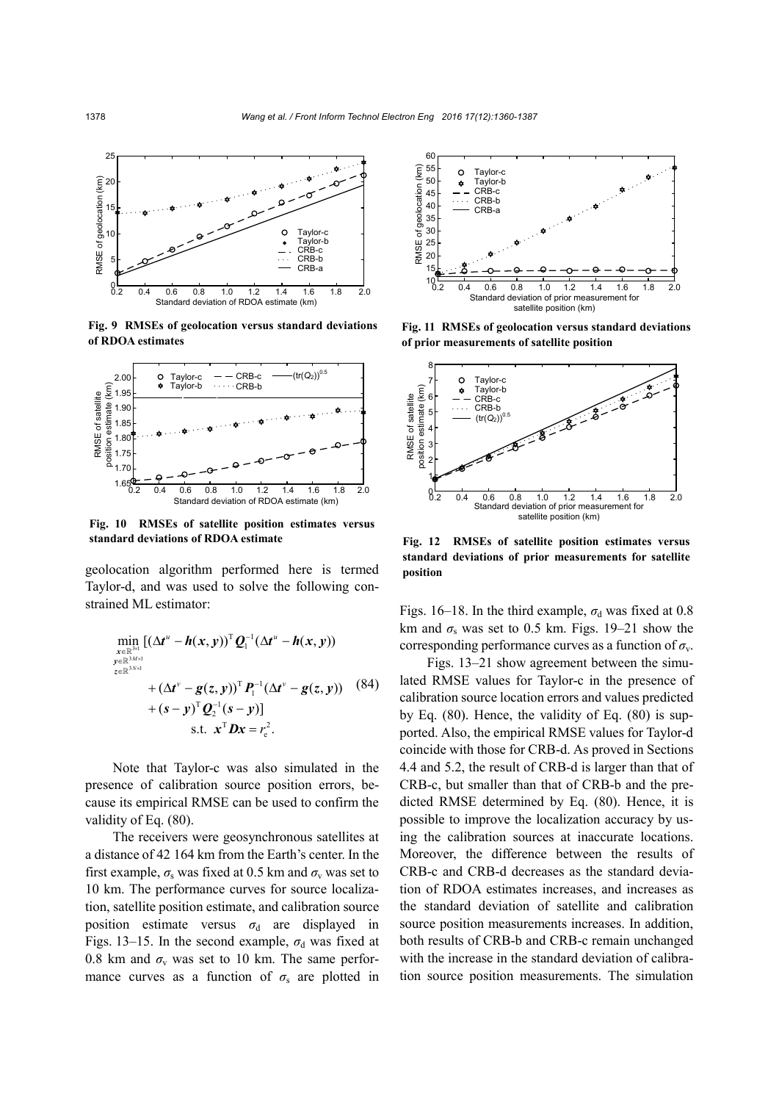

**Fig. 9 RMSEs of geolocation versus standard deviations of RDOA estimates**



**Fig. 10 RMSEs of satellite position estimates versus standard deviations of RDOA estimate**

geolocation algorithm performed here is termed Taylor-d, and was used to solve the following constrained ML estimator:

$$
\min_{\substack{x \in \mathbb{R}^{3M \times 1} \\ \text{y} \in \mathbb{R}^{3M \times 1}}} [(\Delta t^u - h(x, y))^T \mathcal{Q}_1^{-1}(\Delta t^u - h(x, y))
$$
\n
$$
+ (\Delta t^v - g(z, y))^T \mathcal{P}_1^{-1}(\Delta t^v - g(z, y)) \quad (84)
$$
\n
$$
+ (s - y)^T \mathcal{Q}_2^{-1}(s - y)]
$$
\n
$$
\text{s.t. } x^T \mathcal{D} x = r_e^2.
$$

Note that Taylor-c was also simulated in the presence of calibration source position errors, because its empirical RMSE can be used to confirm the validity of Eq. (80).

The receivers were geosynchronous satellites at a distance of 42 164 km from the Earth's center. In the first example,  $\sigma_s$  was fixed at 0.5 km and  $\sigma_v$  was set to 10 km. The performance curves for source localization, satellite position estimate, and calibration source position estimate versus  $\sigma_d$  are displayed in Figs. 13–15. In the second example,  $\sigma_d$  was fixed at 0.8 km and  $\sigma_v$  was set to 10 km. The same performance curves as a function of  $\sigma_s$  are plotted in



**Fig. 11 RMSEs of geolocation versus standard deviations of prior measurements of satellite position**



**Fig. 12 RMSEs of satellite position estimates versus standard deviations of prior measurements for satellite position**

Figs. 16–18. In the third example,  $\sigma_d$  was fixed at 0.8 km and  $\sigma_s$  was set to 0.5 km. Figs. 19–21 show the corresponding performance curves as a function of *σ*v.

Figs. 13–21 show agreement between the simulated RMSE values for Taylor-c in the presence of calibration source location errors and values predicted by Eq. (80). Hence, the validity of Eq. (80) is supported. Also, the empirical RMSE values for Taylor-d coincide with those for CRB-d. As proved in Sections 4.4 and 5.2, the result of CRB-d is larger than that of CRB-c, but smaller than that of CRB-b and the predicted RMSE determined by Eq. (80). Hence, it is possible to improve the localization accuracy by using the calibration sources at inaccurate locations. Moreover, the difference between the results of CRB-c and CRB-d decreases as the standard deviation of RDOA estimates increases, and increases as the standard deviation of satellite and calibration source position measurements increases. In addition, both results of CRB-b and CRB-c remain unchanged with the increase in the standard deviation of calibration source position measurements. The simulation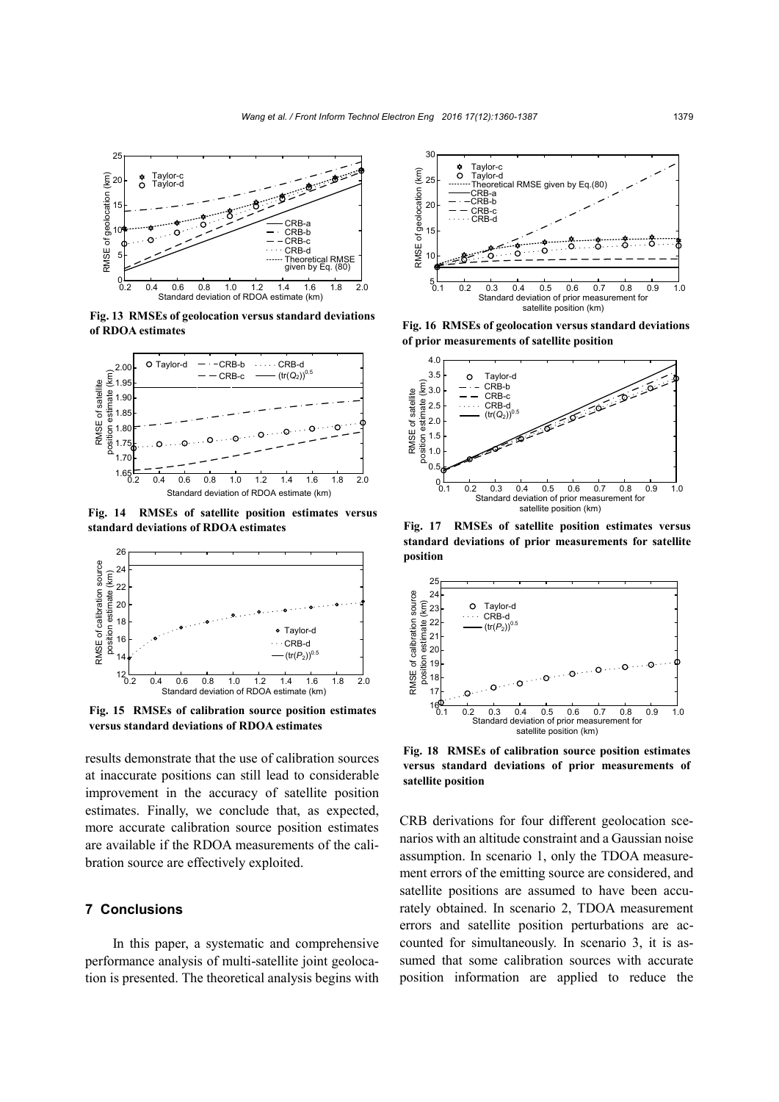

**Fig. 13 RMSEs of geolocation versus standard deviations of RDOA estimates**



**Fig. 14 RMSEs of satellite position estimates versus standard deviations of RDOA estimates**



**Fig. 15 RMSEs of calibration source position estimates versus standard deviations of RDOA estimates**

results demonstrate that the use of calibration sources at inaccurate positions can still lead to considerable improvement in the accuracy of satellite position estimates. Finally, we conclude that, as expected, more accurate calibration source position estimates are available if the RDOA measurements of the calibration source are effectively exploited.

# **7 Conclusions**

In this paper, a systematic and comprehensive performance analysis of multi-satellite joint geolocation is presented. The theoretical analysis begins with



**Fig. 16 RMSEs of geolocation versus standard deviations of prior measurements of satellite position**



**Fig. 17 RMSEs of satellite position estimates versus standard deviations of prior measurements for satellite position**



**Fig. 18 RMSEs of calibration source position estimates versus standard deviations of prior measurements of satellite position**

CRB derivations for four different geolocation scenarios with an altitude constraint and a Gaussian noise assumption. In scenario 1, only the TDOA measurement errors of the emitting source are considered, and satellite positions are assumed to have been accurately obtained. In scenario 2, TDOA measurement errors and satellite position perturbations are accounted for simultaneously. In scenario 3, it is assumed that some calibration sources with accurate position information are applied to reduce the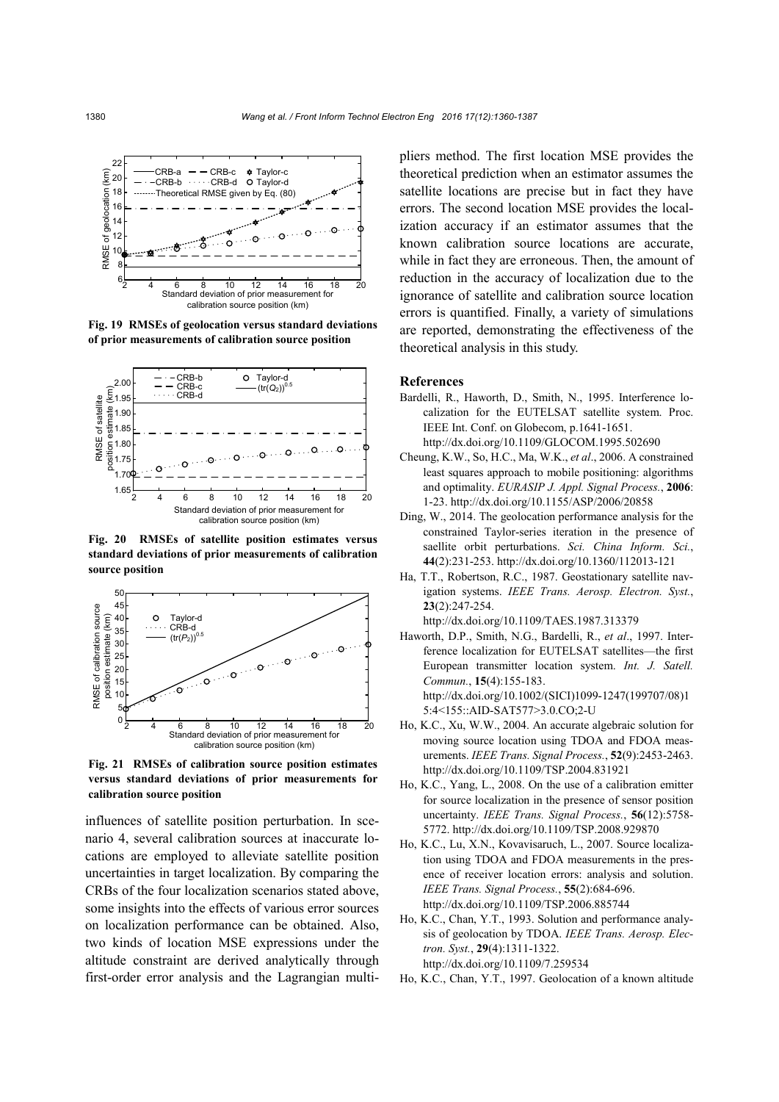

**Fig. 19 RMSEs of geolocation versus standard deviations of prior measurements of calibration source position**



**Fig. 20 RMSEs of satellite position estimates versus standard deviations of prior measurements of calibration source position**



**Fig. 21 RMSEs of calibration source position estimates versus standard deviations of prior measurements for calibration source position**

influences of satellite position perturbation. In scenario 4, several calibration sources at inaccurate locations are employed to alleviate satellite position uncertainties in target localization. By comparing the CRBs of the four localization scenarios stated above, some insights into the effects of various error sources on localization performance can be obtained. Also, two kinds of location MSE expressions under the altitude constraint are derived analytically through first-order error analysis and the Lagrangian multipliers method. The first location MSE provides the theoretical prediction when an estimator assumes the satellite locations are precise but in fact they have errors. The second location MSE provides the localization accuracy if an estimator assumes that the known calibration source locations are accurate, while in fact they are erroneous. Then, the amount of reduction in the accuracy of localization due to the ignorance of satellite and calibration source location errors is quantified. Finally, a variety of simulations are reported, demonstrating the effectiveness of the theoretical analysis in this study.

#### **References**

- Bardelli, R., Haworth, D., Smith, N., 1995. Interference localization for the EUTELSAT satellite system. Proc. IEEE Int. Conf. on Globecom, p.1641-1651. http://dx.doi.org/10.1109/GLOCOM.1995.502690
- Cheung, K.W., So, H.C., Ma, W.K., *et al*., 2006. A constrained least squares approach to mobile positioning: algorithms and optimality. *EURASIP J. Appl. Signal Process.*, **2006**: 1-23. http://dx.doi.org/10.1155/ASP/2006/20858
- Ding, W., 2014. The geolocation performance analysis for the constrained Taylor-series iteration in the presence of saellite orbit perturbations. *Sci. China Inform. Sci.*, **44**(2):231-253. http://dx.doi.org/10.1360/112013-121
- Ha, T.T., Robertson, R.C., 1987. Geostationary satellite navigation systems. *IEEE Trans. Aerosp. Electron. Syst.*, **23**(2):247-254.

http://dx.doi.org/10.1109/TAES.1987.313379

- Haworth, D.P., Smith, N.G., Bardelli, R., *et al*., 1997. Interference localization for EUTELSAT satellites—the first European transmitter location system. *Int. J. Satell. Commun.*, **15**(4):155-183. http://dx.doi.org/10.1002/(SICI)1099-1247(199707/08)1 5:4<155::AID-SAT577>3.0.CO;2-U
- Ho, K.C., Xu, W.W., 2004. An accurate algebraic solution for moving source location using TDOA and FDOA measurements. *IEEE Trans. Signal Process.*, **52**(9):2453-2463. http://dx.doi.org/10.1109/TSP.2004.831921
- Ho, K.C., Yang, L., 2008. On the use of a calibration emitter for source localization in the presence of sensor position uncertainty. *IEEE Trans. Signal Process.*, **56**(12):5758- 5772. http://dx.doi.org/10.1109/TSP.2008.929870
- Ho, K.C., Lu, X.N., Kovavisaruch, L., 2007. Source localization using TDOA and FDOA measurements in the presence of receiver location errors: analysis and solution. *IEEE Trans. Signal Process.*, **55**(2):684-696. http://dx.doi.org/10.1109/TSP.2006.885744
- Ho, K.C., Chan, Y.T., 1993. Solution and performance analysis of geolocation by TDOA. *IEEE Trans. Aerosp. Electron. Syst.*, **29**(4):1311-1322. http://dx.doi.org/10.1109/7.259534
- Ho, K.C., Chan, Y.T., 1997. Geolocation of a known altitude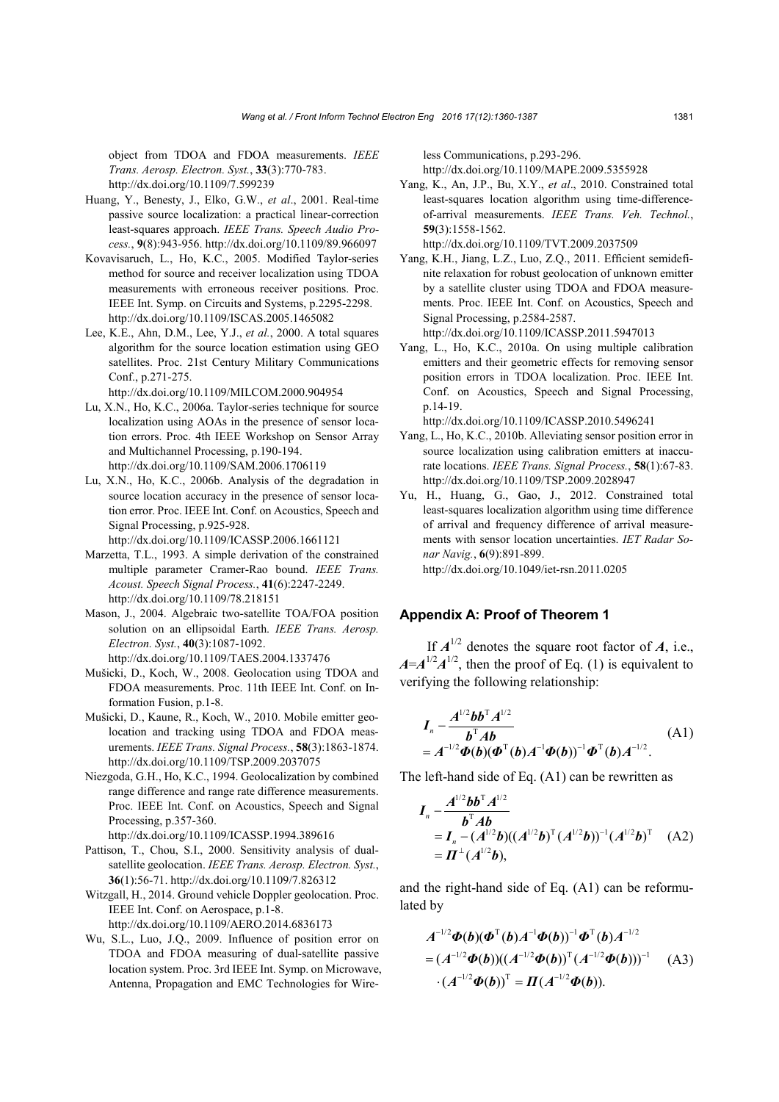object from TDOA and FDOA measurements. *IEEE Trans. Aerosp. Electron. Syst.*, **33**(3):770-783. http://dx.doi.org/10.1109/7.599239

- Huang, Y., Benesty, J., Elko, G.W., *et al*., 2001. Real-time passive source localization: a practical linear-correction least-squares approach. *IEEE Trans. Speech Audio Process.*, **9**(8):943-956. http://dx.doi.org/10.1109/89.966097
- Kovavisaruch, L., Ho, K.C., 2005. Modified Taylor-series method for source and receiver localization using TDOA measurements with erroneous receiver positions. Proc. IEEE Int. Symp. on Circuits and Systems, p.2295-2298. http://dx.doi.org/10.1109/ISCAS.2005.1465082
- Lee, K.E., Ahn, D.M., Lee, Y.J., *et al.*, 2000. A total squares algorithm for the source location estimation using GEO satellites. Proc. 21st Century Military Communications Conf., p.271-275.

http://dx.doi.org/10.1109/MILCOM.2000.904954

- Lu, X.N., Ho, K.C., 2006a. Taylor-series technique for source localization using AOAs in the presence of sensor location errors. Proc. 4th IEEE Workshop on Sensor Array and Multichannel Processing, p.190-194. http://dx.doi.org/10.1109/SAM.2006.1706119
- Lu, X.N., Ho, K.C., 2006b. Analysis of the degradation in source location accuracy in the presence of sensor location error. Proc. IEEE Int. Conf. on Acoustics, Speech and Signal Processing, p.925-928. http://dx.doi.org/10.1109/ICASSP.2006.1661121
- Marzetta, T.L., 1993. A simple derivation of the constrained multiple parameter Cramer-Rao bound. *IEEE Trans. Acoust. Speech Signal Process.*, **41**(6):2247-2249. http://dx.doi.org/10.1109/78.218151
- Mason, J., 2004. Algebraic two-satellite TOA/FOA position solution on an ellipsoidal Earth. *IEEE Trans. Aerosp. Electron. Syst.*, **40**(3):1087-1092. http://dx.doi.org/10.1109/TAES.2004.1337476
- Mušicki, D., Koch, W., 2008. Geolocation using TDOA and FDOA measurements. Proc. 11th IEEE Int. Conf. on Information Fusion, p.1-8.
- Mušicki, D., Kaune, R., Koch, W., 2010. Mobile emitter geolocation and tracking using TDOA and FDOA measurements. *IEEE Trans. Signal Process.*, **58**(3):1863-1874. http://dx.doi.org/10.1109/TSP.2009.2037075
- Niezgoda, G.H., Ho, K.C., 1994. Geolocalization by combined range difference and range rate difference measurements. Proc. IEEE Int. Conf. on Acoustics, Speech and Signal Processing, p.357-360.

http://dx.doi.org/10.1109/ICASSP.1994.389616

- Pattison, T., Chou, S.I., 2000. Sensitivity analysis of dualsatellite geolocation. *IEEE Trans. Aerosp. Electron. Syst.*, **36**(1):56-71. http://dx.doi.org/10.1109/7.826312
- Witzgall, H., 2014. Ground vehicle Doppler geolocation. Proc. IEEE Int. Conf. on Aerospace, p.1-8. http://dx.doi.org/10.1109/AERO.2014.6836173
- Wu, S.L., Luo, J.Q., 2009. Influence of position error on TDOA and FDOA measuring of dual-satellite passive location system. Proc. 3rd IEEE Int. Symp. on Microwave, Antenna, Propagation and EMC Technologies for Wire-

less Communications, p.293-296. http://dx.doi.org/10.1109/MAPE.2009.5355928

Yang, K., An, J.P., Bu, X.Y., *et al*., 2010. Constrained total least-squares location algorithm using time-differenceof-arrival measurements. *IEEE Trans. Veh. Technol.*, **59**(3):1558-1562.

http://dx.doi.org/10.1109/TVT.2009.2037509

- Yang, K.H., Jiang, L.Z., Luo, Z.Q., 2011. Efficient semidefinite relaxation for robust geolocation of unknown emitter by a satellite cluster using TDOA and FDOA measurements. Proc. IEEE Int. Conf. on Acoustics, Speech and Signal Processing, p.2584-2587. http://dx.doi.org/10.1109/ICASSP.2011.5947013
- Yang, L., Ho, K.C., 2010a. On using multiple calibration emitters and their geometric effects for removing sensor
- position errors in TDOA localization. Proc. IEEE Int. Conf. on Acoustics, Speech and Signal Processing, p.14-19.

http://dx.doi.org/10.1109/ICASSP.2010.5496241

- Yang, L., Ho, K.C., 2010b. Alleviating sensor position error in source localization using calibration emitters at inaccurate locations. *IEEE Trans. Signal Process.*, **58**(1):67-83. http://dx.doi.org/10.1109/TSP.2009.2028947
- Yu, H., Huang, G., Gao, J., 2012. Constrained total least-squares localization algorithm using time difference of arrival and frequency difference of arrival measurements with sensor location uncertainties. *IET Radar Sonar Navig.*, **6**(9):891-899. http://dx.doi.org/10.1049/iet-rsn.2011.0205

#### **Appendix A: Proof of Theorem 1**

If  $A^{1/2}$  denotes the square root factor of A, i.e.,  $A = A^{1/2} A^{1/2}$ , then the proof of Eq. (1) is equivalent to verifying the following relationship:

$$
\begin{aligned} I_n & -\frac{A^{1/2}b\boldsymbol{b}^\mathrm{T} A^{1/2}}{b^\mathrm{T}A\boldsymbol{b}} \\ & = A^{-1/2}\boldsymbol{\Phi}(b)(\boldsymbol{\Phi}^\mathrm{T}(b)A^{-1}\boldsymbol{\Phi}(b))^{-1}\boldsymbol{\Phi}^\mathrm{T}(b)A^{-1/2} . \end{aligned} \tag{A1}
$$

The left-hand side of Eq. (A1) can be rewritten as

$$
I_n - \frac{A^{1/2}bb^{\mathrm{T}}A^{1/2}}{b^{\mathrm{T}}Ab} = I_n - (A^{1/2}b)((A^{1/2}b)^{\mathrm{T}}(A^{1/2}b))^{-1}(A^{1/2}b)^{\mathrm{T}} \quad \text{(A2)}
$$
  
=  $\Pi^{\perp}(A^{1/2}b)$ ,

and the right-hand side of Eq. (A1) can be reformulated by

$$
A^{-1/2}\Phi(b)(\Phi^{T}(b)A^{-1}\Phi(b))^{-1}\Phi^{T}(b)A^{-1/2}
$$
  
=  $(A^{-1/2}\Phi(b))((A^{-1/2}\Phi(b))^{T}(A^{-1/2}\Phi(b)))^{-1}$  (A3)  
 $\cdot (A^{-1/2}\Phi(b))^{T} = \Pi(A^{-1/2}\Phi(b)).$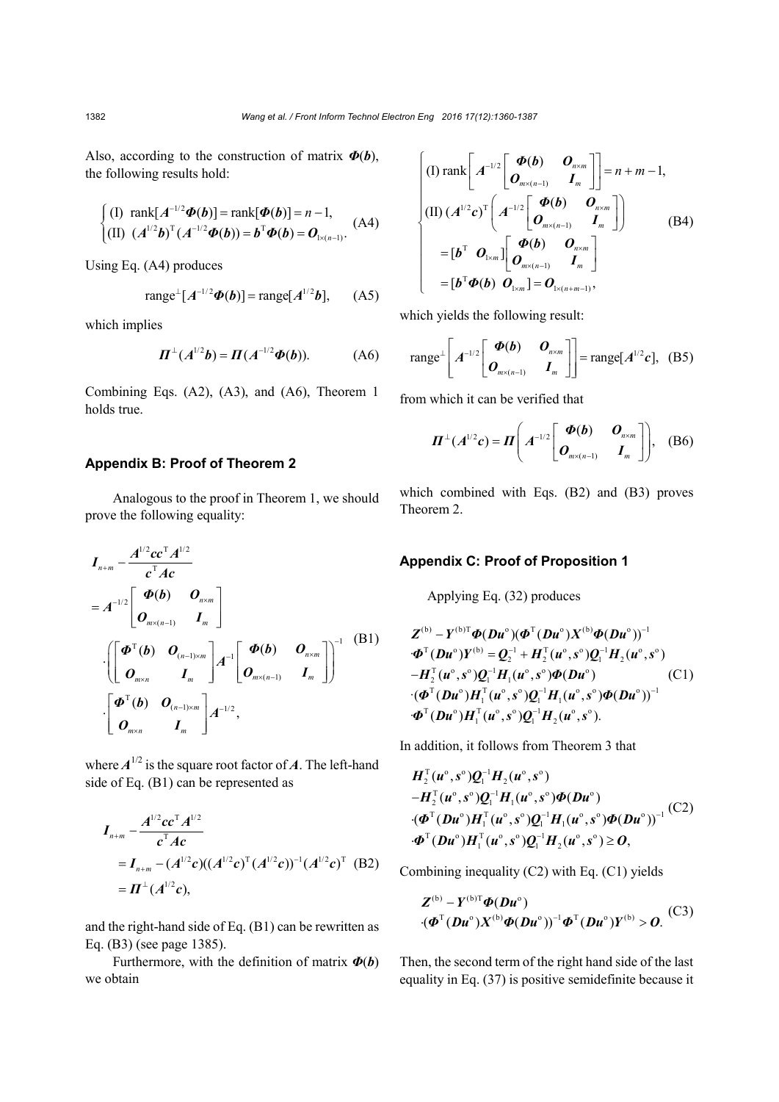Also, according to the construction of matrix *Φ*(*b*), the following results hold:

$$
\begin{cases}\n(I) \ \text{rank}[A^{-1/2}\boldsymbol{\Phi}(b)] = \text{rank}[\boldsymbol{\Phi}(b)] = n - 1, \\
(II) \ (A^{1/2}b)^{\text{T}}(A^{-1/2}\boldsymbol{\Phi}(b)) = b^{\text{T}}\boldsymbol{\Phi}(b) = \boldsymbol{O}_{|x(n-1)}.\n\end{cases}
$$
\n(A4)

Using Eq. (A4) produces

range<sup>$$
\perp
$$</sup>[ $A^{-1/2}\Phi(b)$ ] = range[ $A^{1/2}b$ ], (A5)

which implies

$$
\Pi^{\perp}(A^{1/2}b) = \Pi(A^{-1/2}\Phi(b)).
$$
 (A6)

Combining Eqs. (A2), (A3), and (A6), Theorem 1 holds true.

#### **Appendix B: Proof of Theorem 2**

Analogous to the proof in Theorem 1, we should prove the following equality:

$$
I_{n+m} - \frac{A^{1/2}cc^{T}A^{1/2}}{c^{T}Ac}
$$
\n
$$
= A^{-1/2}\begin{bmatrix} \boldsymbol{\Phi}(b) & \boldsymbol{0}_{n\times m} \\ \boldsymbol{0}_{m\times (n-1)} & I_{m} \end{bmatrix}
$$
\n
$$
\cdot \left( \begin{bmatrix} \boldsymbol{\Phi}^{T}(b) & \boldsymbol{0}_{(n-1)\times m} \\ \boldsymbol{0}_{m\times n} & I_{m} \end{bmatrix} A^{-1} \begin{bmatrix} \boldsymbol{\Phi}(b) & \boldsymbol{0}_{n\times m} \\ \boldsymbol{0}_{m\times (n-1)} & I_{m} \end{bmatrix} \right)^{-1} \quad \text{(B1)}
$$
\n
$$
\cdot \begin{bmatrix} \boldsymbol{\Phi}^{T}(b) & \boldsymbol{0}_{(n-1)\times m} \\ \boldsymbol{0}_{m\times n} & I_{m} \end{bmatrix} A^{-1/2},
$$

where  $A^{1/2}$  is the square root factor of *A*. The left-hand side of Eq. (B1) can be represented as

$$
I_{n+m} - \frac{A^{1/2}cc^{T}A^{1/2}}{c^{T}Ac}
$$
  
=  $I_{n+m} - (A^{1/2}c)((A^{1/2}c)^{T}(A^{1/2}c))^{-1}(A^{1/2}c)^{T}$  (B2)  
=  $\Pi^{\perp}(A^{1/2}c)$ ,

and the right-hand side of Eq. (B1) can be rewritten as Eq. (B3) (see page 1385).

Furthermore, with the definition of matrix *Φ*(*b*) we obtain

$$
\begin{bmatrix}\n(I) \operatorname{rank}\left[A^{-1/2}\left[\begin{array}{cc}\boldsymbol{\Phi}(b) & \boldsymbol{O}_{n \times m} \\
\boldsymbol{O}_{m \times (n-1)} & I_m\n\end{array}\right]\right] = n + m - 1, \\
(II) \left(A^{1/2}c\right)^T \left(A^{-1/2}\left[\begin{array}{cc}\boldsymbol{\Phi}(b) & \boldsymbol{O}_{n \times m} \\
\boldsymbol{O}_{m \times (n-1)} & I_m\n\end{array}\right]\right) \\
= \left[\boldsymbol{b}^T \boldsymbol{O}_{1 \times m}\right] \left[\begin{array}{cc}\boldsymbol{\Phi}(b) & \boldsymbol{O}_{n \times m} \\
\boldsymbol{O}_{m \times (n-1)} & I_m\n\end{array}\right] \\
= \left[\boldsymbol{b}^T \boldsymbol{\Phi}(b) \boldsymbol{O}_{1 \times m}\right] = \boldsymbol{O}_{1 \times (n+m-1)},\n\end{bmatrix}
$$

which yields the following result:

$$
\text{range}^{\perp}\left[A^{-1/2}\begin{bmatrix} \boldsymbol{\Phi}(b) & \boldsymbol{0}_{n \times m} \\ \boldsymbol{0}_{m \times (n-1)} & I_m \end{bmatrix}\right] = \text{range}[A^{1/2}c], \quad (B5)
$$

from which it can be verified that

$$
\boldsymbol{\Pi}^{\perp}(\boldsymbol{A}^{1/2}\boldsymbol{c})=\boldsymbol{\Pi}\left(\boldsymbol{A}^{-1/2}\begin{bmatrix}\boldsymbol{\Phi}(\boldsymbol{b}) & \boldsymbol{0}_{n\times m}\\ \boldsymbol{0}_{m\times(n-1)} & \boldsymbol{I}_m\end{bmatrix}\right),\quad(\mathrm{B6})
$$

which combined with Eqs. (B2) and (B3) proves Theorem 2.

#### **Appendix C: Proof of Proposition 1**

Applying Eq. (32) produces

$$
Z^{(b)} - Y^{(b)T} \Phi (Du^{\circ}) (\Phi^{T} (Du^{\circ}) X^{(b)} \Phi (Du^{\circ}))^{-1}
$$
  
\n
$$
\Phi^{T} (Du^{\circ}) Y^{(b)} = Q_2^{-1} + H_2^{T} (u^{\circ}, s^{\circ}) Q_1^{-1} H_2 (u^{\circ}, s^{\circ})
$$
  
\n
$$
-H_2^{T} (u^{\circ}, s^{\circ}) Q_1^{-1} H_1 (u^{\circ}, s^{\circ}) \Phi (Du^{\circ})
$$
  
\n
$$
\cdot (\Phi^{T} (Du^{\circ}) H_1^{T} (u^{\circ}, s^{\circ}) Q_1^{-1} H_1 (u^{\circ}, s^{\circ}) \Phi (Du^{\circ}))^{-1}
$$
  
\n
$$
\Phi^{T} (Du^{\circ}) H_1^{T} (u^{\circ}, s^{\circ}) Q_1^{-1} H_2 (u^{\circ}, s^{\circ}).
$$
 (C1)

In addition, it follows from Theorem 3 that

$$
H_2^{\text{T}}(u^{\circ}, s^{\circ})Q_1^{-1}H_2(u^{\circ}, s^{\circ})
$$
  
\n
$$
-H_2^{\text{T}}(u^{\circ}, s^{\circ})Q_1^{-1}H_1(u^{\circ}, s^{\circ})\Phi(Du^{\circ})
$$
  
\n
$$
\cdot(\Phi^{\text{T}}(Du^{\circ})H_1^{\text{T}}(u^{\circ}, s^{\circ})Q_1^{-1}H_1(u^{\circ}, s^{\circ})\Phi(Du^{\circ}))^{-1}
$$
(C2)  
\n
$$
\cdot\Phi^{\text{T}}(Du^{\circ})H_1^{\text{T}}(u^{\circ}, s^{\circ})Q_1^{-1}H_2(u^{\circ}, s^{\circ}) \geq 0,
$$

Combining inequality (C2) with Eq. (C1) yields

$$
Z^{(b)} - Y^{(b)T} \boldsymbol{\Phi}(Du^{\circ})
$$
  
· $(\boldsymbol{\Phi}^{T} (Du^{\circ}) X^{(b)} \boldsymbol{\Phi}(Du^{\circ}))^{-1} \boldsymbol{\Phi}^{T} (Du^{\circ}) Y^{(b)} > 0.$  (C3)

Then, the second term of the right hand side of the last equality in Eq. (37) is positive semidefinite because it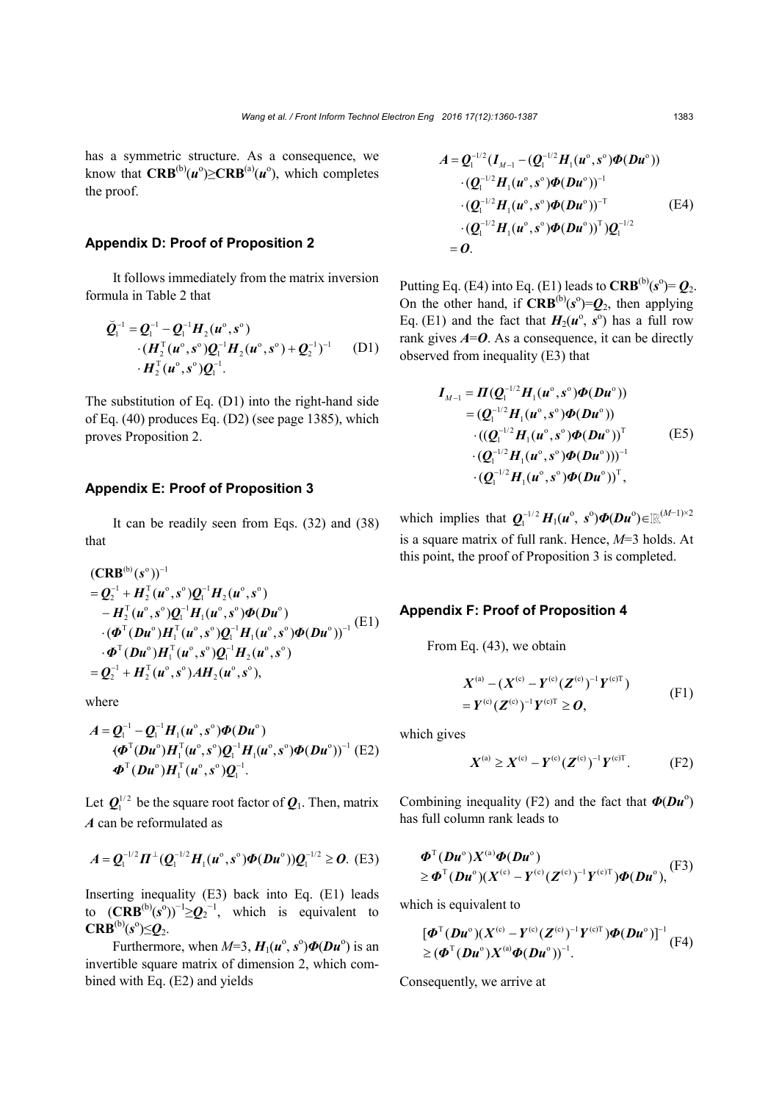has a symmetric structure. As a consequence, we know that  $CRB^{(b)}(u^{\circ}) \geq CRB^{(a)}(u^{\circ})$ , which completes the proof.

#### **Appendix D: Proof of Proposition 2**

It follows immediately from the matrix inversion formula in Table 2 that

$$
\breve{\mathbf{Q}}_{1}^{-1} = \mathbf{Q}_{1}^{-1} - \mathbf{Q}_{1}^{-1} \mathbf{H}_{2}(\mathbf{u}^{\circ}, \mathbf{s}^{\circ})
$$
  
 
$$
\cdot (\mathbf{H}_{2}^{T}(\mathbf{u}^{\circ}, \mathbf{s}^{\circ})\mathbf{Q}_{1}^{-1}\mathbf{H}_{2}(\mathbf{u}^{\circ}, \mathbf{s}^{\circ}) + \mathbf{Q}_{2}^{-1})^{-1}
$$
 (D1)  
 
$$
\cdot \mathbf{H}_{2}^{T}(\mathbf{u}^{\circ}, \mathbf{s}^{\circ})\mathbf{Q}_{1}^{-1}.
$$

The substitution of Eq. (D1) into the right-hand side of Eq. (40) produces Eq. (D2) (see page 1385), which proves Proposition 2.

#### **Appendix E: Proof of Proposition 3**

It can be readily seen from Eqs. (32) and (38) that

$$
(\mathbf{CRB}^{(b)}(\mathbf{s}^{\circ}))^{-1}
$$
  
=  $Q_2^{-1} + H_2^{\mathrm{T}}(u^{\circ}, \mathbf{s}^{\circ})Q_1^{-1}H_2(u^{\circ}, \mathbf{s}^{\circ})$   
 $-H_2^{\mathrm{T}}(u^{\circ}, \mathbf{s}^{\circ})Q_1^{-1}H_1(u^{\circ}, \mathbf{s}^{\circ})\Phi(Du^{\circ})$   
 $\cdot(\Phi^{\mathrm{T}}(Du^{\circ})H_1^{\mathrm{T}}(u^{\circ}, \mathbf{s}^{\circ})Q_1^{-1}H_1(u^{\circ}, \mathbf{s}^{\circ})\Phi(Du^{\circ}))^{-1}$  (E1)  
 $\cdot \Phi^{\mathrm{T}}(Du^{\circ})H_1^{\mathrm{T}}(u^{\circ}, \mathbf{s}^{\circ})Q_1^{-1}H_2(u^{\circ}, \mathbf{s}^{\circ})$   
=  $Q_2^{-1} + H_2^{\mathrm{T}}(u^{\circ}, \mathbf{s}^{\circ})AH_2(u^{\circ}, \mathbf{s}^{\circ}),$ 

where

$$
A = Q_1^{-1} - Q_1^{-1} H_1(u^\circ, s^\circ) \Phi(Du^\circ)
$$
  
\n
$$
\langle \Phi^T(Du^\circ) H_1^T(u^\circ, s^\circ) Q_1^{-1} H_1(u^\circ, s^\circ) \Phi(Du^\circ) \rangle^{-1}
$$
 (E2)  
\n
$$
\Phi^T(Du^\circ) H_1^T(u^\circ, s^\circ) Q_1^{-1}.
$$

Let  $\mathbf{Q}^{1/2}$  be the square root factor of  $\mathbf{Q}_1$ . Then, matrix *A* can be reformulated as

$$
A = Q_1^{-1/2} \Pi^{\perp} (Q_1^{-1/2} H_1(u^{\circ}, s^{\circ}) \Phi(Du^{\circ})) Q_1^{-1/2} \ge 0. \tag{E3}
$$

Inserting inequality (E3) back into Eq. (E1) leads to  $(\mathbf{CRB}^{(b)}(\mathbf{s}^{\circ}))^{-1} \geq \mathbf{Q}_2^{-1}$ , which is equivalent to  $CRB^{(b)}(s^{\degree})\leq Q_2.$ 

Furthermore, when  $M=3$ ,  $H_1(u^{\circ}, s^{\circ})\Phi(Du^{\circ})$  is an invertible square matrix of dimension 2, which combined with Eq. (E2) and yields

$$
A = Q_1^{-1/2} (I_{M-1} - (Q_1^{-1/2} H_1(u^{\circ}, s^{\circ}) \Phi(Du^{\circ}))
$$
  
\n
$$
\cdot (Q_1^{-1/2} H_1(u^{\circ}, s^{\circ}) \Phi(Du^{\circ}))^{-1}
$$
  
\n
$$
\cdot (Q_1^{-1/2} H_1(u^{\circ}, s^{\circ}) \Phi(Du^{\circ}))^{-T}
$$
  
\n
$$
\cdot (Q_1^{-1/2} H_1(u^{\circ}, s^{\circ}) \Phi(Du^{\circ}))^{T}) Q_1^{-1/2}
$$
  
\n
$$
= 0.
$$
 (E4)

Putting Eq. (E4) into Eq. (E1) leads to  $CRB^{(b)}(s^{\circ}) = Q_2$ . On the other hand, if  $CRB^{(b)}(s^{\circ})=Q_2$ , then applying Eq. (E1) and the fact that  $H_2(u^0, s^0)$  has a full row rank gives *A*=*O*. As a consequence, it can be directly observed from inequality (E3) that

$$
I_{M-1} = \Pi(Q_1^{-1/2} H_1(u^{\circ}, s^{\circ}) \Phi(Du^{\circ}))
$$
  
\n
$$
= (Q_1^{-1/2} H_1(u^{\circ}, s^{\circ}) \Phi(Du^{\circ}))
$$
  
\n
$$
\cdot ((Q_1^{-1/2} H_1(u^{\circ}, s^{\circ}) \Phi(Du^{\circ}))^T
$$
  
\n
$$
\cdot (Q_1^{-1/2} H_1(u^{\circ}, s^{\circ}) \Phi(Du^{\circ})))^{-1}
$$
  
\n
$$
\cdot (Q_1^{-1/2} H_1(u^{\circ}, s^{\circ}) \Phi(Du^{\circ}))^T,
$$
 (E5)

which implies that  $Q_1^{-1/2} H_1(u^0, s^0) \Phi(Du^0) \in \mathbb{R}^{(M-1)\times 2}$ is a square matrix of full rank. Hence, *M*=3 holds. At this point, the proof of Proposition 3 is completed.

### **Appendix F: Proof of Proposition 4**

From Eq. (43), we obtain

$$
X^{(a)} - (X^{(c)} - Y^{(c)}(Z^{(c)})^{-1}Y^{(c)T})
$$
  
=  $Y^{(c)}(Z^{(c)})^{-1}Y^{(c)T} \ge 0$ , (F1)

which gives

$$
X^{(a)} \ge X^{(c)} - Y^{(c)} (Z^{(c)})^{-1} Y^{(c)T}.
$$
 (F2)

Combining inequality (F2) and the fact that  $Φ(Du^{\circ})$ has full column rank leads to

$$
\Phi^{\mathrm{T}}(Du^{\mathrm{o}})X^{(\mathrm{a})}\Phi(Du^{\mathrm{o}})
$$
  
\ge
$$
\Phi^{\mathrm{T}}(Du^{\mathrm{o}})(X^{(\mathrm{c})}-Y^{(\mathrm{c})}(Z^{(\mathrm{c})})^{-1}Y^{(\mathrm{c})\mathrm{T}})\Phi(Du^{\mathrm{o}}),
$$
 (F3)

which is equivalent to

$$
[\Phi^{\mathrm{T}}(Du^{\mathrm{o}})(X^{(\mathrm{c})} - Y^{(\mathrm{c})}(Z^{(\mathrm{c})})^{-1}Y^{(\mathrm{c})\mathrm{T}})\Phi(Du^{\mathrm{o}})]^{-1}
$$
  
\n
$$
\geq (\Phi^{\mathrm{T}}(Du^{\mathrm{o}})X^{(\mathrm{a})}\Phi(Du^{\mathrm{o}}))^{-1}.
$$
 (F4)

Consequently, we arrive at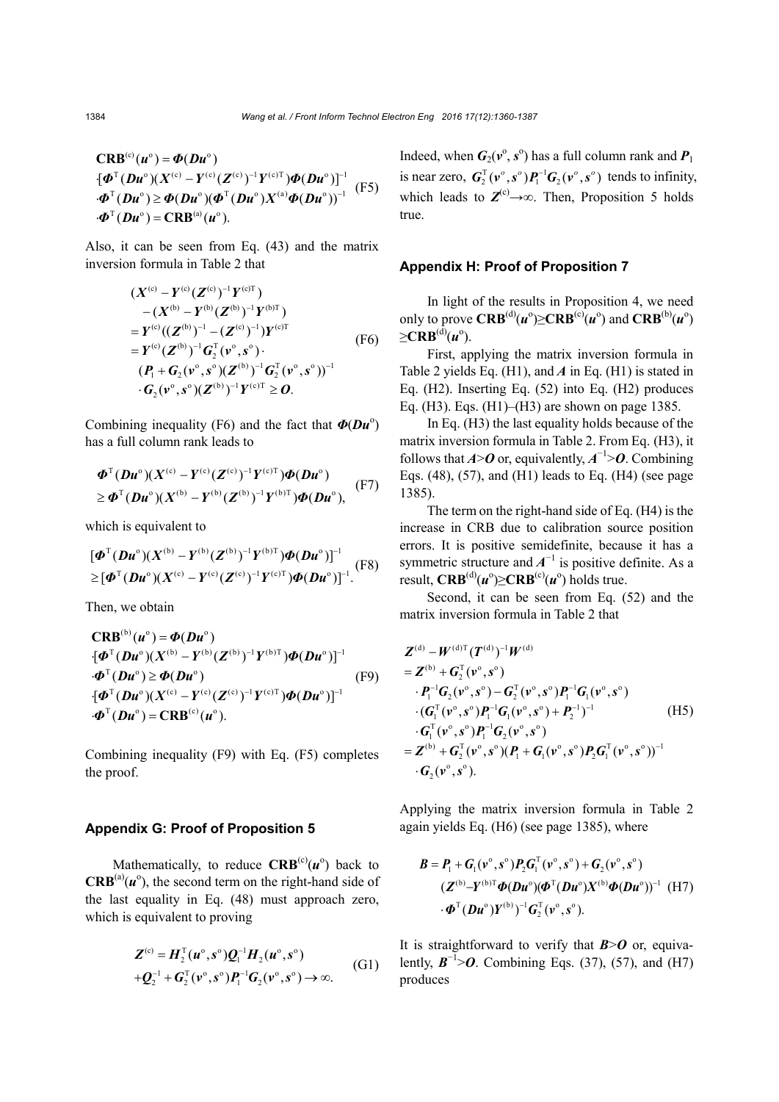$$
\mathbf{CRB}^{(c)}(\boldsymbol{u}^{\circ}) = \boldsymbol{\Phi}(D\boldsymbol{u}^{\circ})
$$
  
\n
$$
\{\boldsymbol{\Phi}^{T}(\boldsymbol{Du}^{\circ})(X^{(c)} - Y^{(c)}(\boldsymbol{Z}^{(c)})^{-1}Y^{(c)T})\boldsymbol{\Phi}(D\boldsymbol{u}^{\circ})\}^{-1}
$$
  
\n
$$
\boldsymbol{\Phi}^{T}(\boldsymbol{Du}^{\circ}) \geq \boldsymbol{\Phi}(D\boldsymbol{u}^{\circ})(\boldsymbol{\Phi}^{T}(\boldsymbol{Du}^{\circ})X^{(a)}\boldsymbol{\Phi}(\boldsymbol{Du}^{\circ}))^{-1}
$$
 (F5)  
\n
$$
\boldsymbol{\Phi}^{T}(\boldsymbol{Du}^{\circ}) = \mathbf{CRB}^{(a)}(\boldsymbol{u}^{\circ}).
$$

Also, it can be seen from Eq. (43) and the matrix inversion formula in Table 2 that

$$
(X^{(c)} - Y^{(c)} (Z^{(c)})^{-1} Y^{(c)T})
$$
  
\n
$$
- (X^{(b)} - Y^{(b)} (Z^{(b)})^{-1} Y^{(b)T})
$$
  
\n
$$
= Y^{(c)} ((Z^{(b)})^{-1} - (Z^{(c)})^{-1}) Y^{(c)T}
$$
  
\n
$$
= Y^{(c)} (Z^{(b)})^{-1} G_2^T (\nu^{\circ}, s^{\circ})
$$
  
\n
$$
(P_1 + G_2 (\nu^{\circ}, s^{\circ}) (Z^{(b)})^{-1} G_2^T (\nu^{\circ}, s^{\circ}))^{-1}
$$
  
\n
$$
\cdot G_2 (\nu^{\circ}, s^{\circ}) (Z^{(b)})^{-1} Y^{(c)T} \ge 0.
$$
  
\n(7.12)

Combining inequality (F6) and the fact that  $Φ(Du^{\circ})$ has a full column rank leads to

$$
\Phi^{T}(Du^{\circ})(X^{(c)} - Y^{(c)}(Z^{(c)})^{-1}Y^{(c)T})\Phi(Du^{\circ})
$$
  
\n
$$
\geq \Phi^{T}(Du^{\circ})(X^{(b)} - Y^{(b)}(Z^{(b)})^{-1}Y^{(b)T})\Phi(Du^{\circ}),
$$
 (F7)

which is equivalent to

$$
\begin{aligned} &\left[\boldsymbol{\Phi}^{\mathrm{T}}(\boldsymbol{Du}^{\mathrm{o}})(\boldsymbol{X}^{(\mathrm{b})}-\boldsymbol{Y}^{(\mathrm{b})}(\boldsymbol{Z}^{(\mathrm{b})})^{-1}\boldsymbol{Y}^{(\mathrm{b})\mathrm{T}})\boldsymbol{\Phi}(\boldsymbol{Du}^{\mathrm{o}})\right]^{-1}\\ &\geq [\boldsymbol{\Phi}^{\mathrm{T}}(\boldsymbol{Du}^{\mathrm{o}})(\boldsymbol{X}^{(\mathrm{c})}-\boldsymbol{Y}^{(\mathrm{c})}(\boldsymbol{Z}^{(\mathrm{c})})^{-1}\boldsymbol{Y}^{(\mathrm{c})\mathrm{T}})\boldsymbol{\Phi}(\boldsymbol{Du}^{\mathrm{o}})]^{-1}.\end{aligned}(\mathrm{F8})
$$

Then, we obtain

(b) o o T o (b) (b) (b) 1 (b)T o 1 To o T o (c) (c) (c) 1 (c)T o 1 T o (c) o () ( ) [ ( )( ( ) ) ( )] ()() [ ( )( ( ) ) ( )] ( ) ( ). − − − − = ⋅ − ⋅ ≥ ⋅ − ⋅ = **CRB CRB** *u Φ Du Φ Du X Y Z Y Φ Du Φ Du Φ Du Φ Du X Y Z Y Φ Du Φ Du u* (F9)

Combining inequality (F9) with Eq. (F5) completes the proof.

#### **Appendix G: Proof of Proposition 5**

Mathematically, to reduce  $CRB^{(c)}(u^{\circ})$  back to  $CRB^{(a)}(u^{\circ})$ , the second term on the right-hand side of the last equality in Eq. (48) must approach zero, which is equivalent to proving

$$
Z^{(c)} = H_2^T(u^{\circ}, s^{\circ})Q_1^{-1}H_2(u^{\circ}, s^{\circ})
$$
  
+ $Q_2^{-1} + G_2^T(v^{\circ}, s^{\circ})P_1^{-1}G_2(v^{\circ}, s^{\circ}) \to \infty.$  (G1)

Indeed, when  $G_2(v^{\circ}, s^{\circ})$  has a full column rank and  $P_1$ is near zero,  $\mathbf{G}_2^{\mathrm{T}}(\mathbf{v}^{\circ}, \mathbf{s}^{\circ})\mathbf{P}_1^{-1}\mathbf{G}_2(\mathbf{v}^{\circ}, \mathbf{s}^{\circ})$  tends to infinity, which leads to  $\mathbf{Z}^{(c)} \rightarrow \infty$ . Then, Proposition 5 holds true.

#### **Appendix H: Proof of Proposition 7**

In light of the results in Proposition 4, we need only to prove  $\mathbf{CRB}^{(d)}(u^{\circ}) \geq \mathbf{CRB}^{(c)}(u^{\circ})$  and  $\mathbf{CRB}^{(b)}(u^{\circ})$  $\geq$ **CRB**<sup>(d)</sup>( $u$ <sup>o</sup>).

First, applying the matrix inversion formula in Table 2 yields Eq. (H1), and *A* in Eq. (H1) is stated in Eq. (H2). Inserting Eq. (52) into Eq. (H2) produces Eq. (H3). Eqs. (H1)–(H3) are shown on page 1385.

In Eq. (H3) the last equality holds because of the matrix inversion formula in Table 2. From Eq. (H3), it follows that  $A > 0$  or, equivalently,  $A^{-1} > 0$ . Combining Eqs.  $(48)$ ,  $(57)$ , and  $(H1)$  leads to Eq.  $(H4)$  (see page 1385).

The term on the right-hand side of Eq. (H4) is the increase in CRB due to calibration source position errors. It is positive semidefinite, because it has a symmetric structure and  $A^{-1}$  is positive definite. As a result,  $\mathbf{CRB}^{(d)}(\boldsymbol{u}^{\text{o}})≥ \mathbf{CRB}^{(\text{c})}(\boldsymbol{u}^{\text{o}})$  holds true.

Second, it can be seen from Eq. (52) and the matrix inversion formula in Table 2 that

$$
Z^{(d)} - W^{(d)T} (T^{(d)})^{-1} W^{(d)}
$$
  
\n
$$
= Z^{(b)} + G_2^T (\nu^{\circ}, s^{\circ})
$$
  
\n
$$
\cdot P_1^{-1} G_2 (\nu^{\circ}, s^{\circ}) - G_2^T (\nu^{\circ}, s^{\circ}) P_1^{-1} G_1 (\nu^{\circ}, s^{\circ})
$$
  
\n
$$
\cdot (G_1^T (\nu^{\circ}, s^{\circ}) P_1^{-1} G_1 (\nu^{\circ}, s^{\circ}) + P_2^{-1})^{-1}
$$
  
\n
$$
\cdot G_1^T (\nu^{\circ}, s^{\circ}) P_1^{-1} G_2 (\nu^{\circ}, s^{\circ})
$$
  
\n
$$
= Z^{(b)} + G_2^T (\nu^{\circ}, s^{\circ}) (P_1 + G_1 (\nu^{\circ}, s^{\circ}) P_2 G_1^T (\nu^{\circ}, s^{\circ}))^{-1}
$$
  
\n
$$
\cdot G_2 (\nu^{\circ}, s^{\circ}).
$$
  
\n(H5)

Applying the matrix inversion formula in Table 2 again yields Eq. (H6) (see page 1385), where

$$
B = P_1 + G_1(\nu^{\circ}, s^{\circ}) P_2 G_1^T(\nu^{\circ}, s^{\circ}) + G_2(\nu^{\circ}, s^{\circ})
$$
  

$$
(Z^{(b)} - Y^{(b)T} \Phi(Du^{\circ})(\Phi^T(Du^{\circ})X^{(b)} \Phi(Du^{\circ}))^{-1} (H7)
$$
  

$$
\cdot \Phi^T(Du^{\circ})Y^{(b)})^{-1} G_2^T(\nu^{\circ}, s^{\circ}).
$$

It is straightforward to verify that *B*>*O* or, equivalently,  $\mathbf{B}^{-1} > 0$ . Combining Eqs. (37), (57), and (H7) produces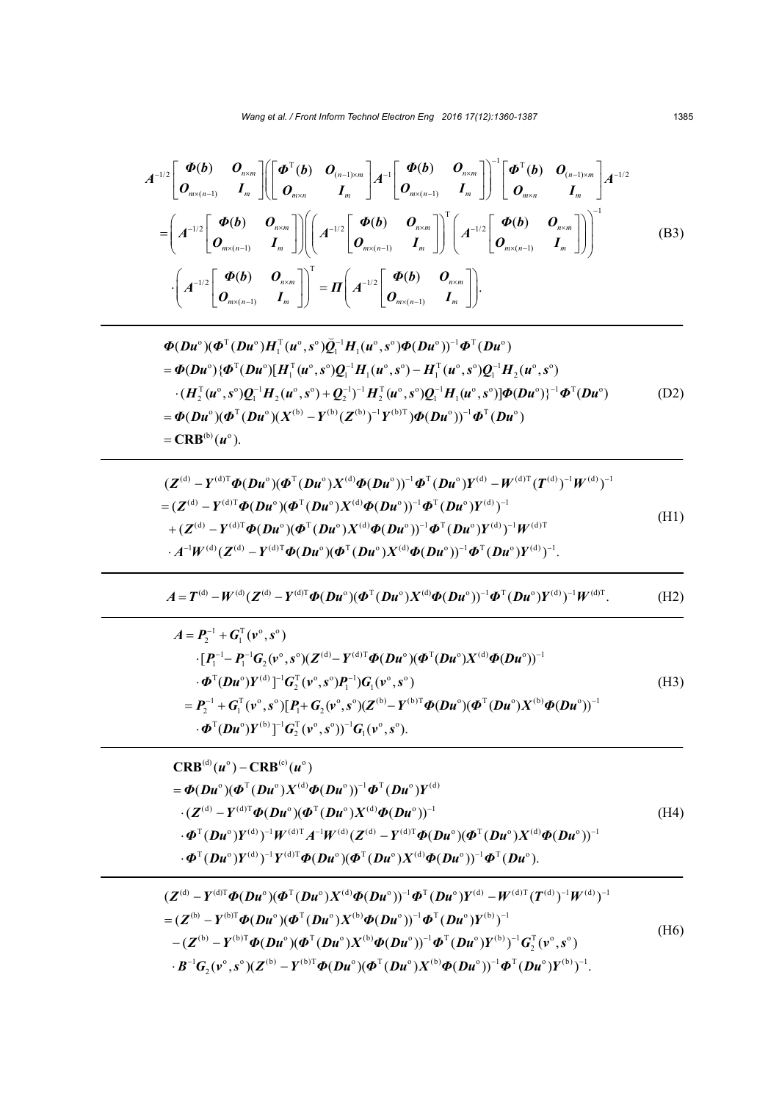| $A = P_2^{-1} + G_1^{T}(\nu^{\circ}, s^{\circ})$<br>$\cdot [P_1^{-1} - P_1^{-1}G_{2}(v^{\circ}, s^{\circ})(Z^{(d)} - Y^{(d)T}\Phi(Du^{\circ})(\Phi^{T}(Du^{\circ})X^{(d)}\Phi(Du^{\circ}))^{-1}]$                                                                                                                                                                                                                                                                                                                                                                        |      |
|--------------------------------------------------------------------------------------------------------------------------------------------------------------------------------------------------------------------------------------------------------------------------------------------------------------------------------------------------------------------------------------------------------------------------------------------------------------------------------------------------------------------------------------------------------------------------|------|
| $-\Phi^{T}(Du^{\circ})Y^{(d)}$ ] <sup>-1</sup> $G_{2}^{T}(\nu^{\circ}, s^{\circ})P_{1}^{-1})G_{1}(\nu^{\circ}, s^{\circ})$                                                                                                                                                                                                                                                                                                                                                                                                                                               | (H3) |
| $= P_2^{-1} + G_1^{T} (\nu^{\circ}, s^{\circ}) [P_1 + G_2(\nu^{\circ}, s^{\circ}) (\mathbf{Z}^{(b)} - Y^{(b)T} \boldsymbol{\Phi}(\mathbf{D} u^{\circ}) (\boldsymbol{\Phi}^{T} (\mathbf{D} u^{\circ}) X^{(b)} \boldsymbol{\Phi}(\mathbf{D} u^{\circ}))^{-1}]$                                                                                                                                                                                                                                                                                                             |      |
| $\cdot \boldsymbol{\Phi}^{T}(\boldsymbol{Du}^{\text{o}})Y^{(\text{b})}\]^{-1}\boldsymbol{G}_{2}^{T}(\boldsymbol{\nu}^{\text{o}},\boldsymbol{s}^{\text{o}}))^{-1}\boldsymbol{G}_{1}(\boldsymbol{\nu}^{\text{o}},\boldsymbol{s}^{\text{o}}).$                                                                                                                                                                                                                                                                                                                              |      |
| $CRB^{(d)}(u^{\circ})-CRB^{(c)}(u^{\circ})$                                                                                                                                                                                                                                                                                                                                                                                                                                                                                                                              |      |
| $= \boldsymbol{\Phi}(\boldsymbol{Du}^{\text{o}})(\boldsymbol{\Phi}^{\text{T}}(\boldsymbol{Du}^{\text{o}}))X^{(\text{d})}\boldsymbol{\Phi}(\boldsymbol{Du}^{\text{o}}))^{-1}\boldsymbol{\Phi}^{\text{T}}(\boldsymbol{Du}^{\text{o}})Y^{(\text{d})}$                                                                                                                                                                                                                                                                                                                       |      |
| $-(\boldsymbol{Z}^{(d)}-\boldsymbol{Y}^{(d)\text{T}}\boldsymbol{\Phi}(\boldsymbol{Du}^{\text{o}})(\boldsymbol{\Phi}^{\text{T}}(\boldsymbol{Du}^{\text{o}})\boldsymbol{X}^{(d)}\boldsymbol{\Phi}(\boldsymbol{Du}^{\text{o}}))^{-1}$                                                                                                                                                                                                                                                                                                                                       |      |
| $-\bm{\Phi}^{\rm T}(\bm{Du}^{\rm o})Y^{(\rm d)})^{-1}\bm{W}^{(\rm d)\rm T}\bm{A}^{-1}\bm{W}^{(\rm d)}(\bm{Z}^{(\rm d)}-\bm{Y}^{(\rm d)\rm T}\bm{\Phi}(\bm{Du}^{\rm o})(\bm{\Phi}^{\rm T}(\bm{Du}^{\rm o})X^{(\rm d)}\bm{\Phi}(\bm{Du}^{\rm o}))^{-1}$                                                                                                                                                                                                                                                                                                                    |      |
| $\cdot \boldsymbol{\Phi}^{T}(\boldsymbol{Du}^{\text{o}})Y^{(d)})^{-1}Y^{(d)T}\boldsymbol{\Phi}(\boldsymbol{Du}^{\text{o}})(\boldsymbol{\Phi}^{T}(\boldsymbol{Du}^{\text{o}})X^{(d)}\boldsymbol{\Phi}(\boldsymbol{Du}^{\text{o}}))^{-1}\boldsymbol{\Phi}^{T}(\boldsymbol{Du}^{\text{o}}).$                                                                                                                                                                                                                                                                                |      |
| $(\bm{Z}^{(\text{d})} - \bm{Y}^{(\text{d})T}\bm{\Phi}(\bm{Du}^{\text{o}})(\bm{\Phi}^{\text{T}}(\bm{Du}^{\text{o}})\bm{X}^{(\text{d})}\bm{\Phi}(\bm{Du}^{\text{o}}))^{-1}\bm{\Phi}^{\text{T}}(\bm{Du}^{\text{o}})\bm{Y}^{(\text{d})} - \bm{W}^{(\text{d})T}(\bm{T}^{(\text{d})})^{-1}\bm{W}^{(\text{d})})^{-1}$                                                                                                                                                                                                                                                           |      |
| $=(Z^{(b)} - Y^{(b)T} \Phi (Du^{\circ}) (\Phi^T (Du^{\circ}) X^{(b)} \Phi (Du^{\circ}))^{-1} \Phi^T (Du^{\circ}) Y^{(b)})^{-1}$<br>$-(\bm{Z}^{(\rm b)}-\bm{Y}^{(\rm b)T}\bm{\varPhi}(\bm{Du}^{\rm o})(\bm{\varPhi}^{\rm T}(\bm{Du}^{\rm o})\bm{X}^{(\rm b)}\bm{\varPhi}(\bm{Du}^{\rm o}))^{-1}\bm{\varPhi}^{\rm T}(\bm{Du}^{\rm o})\bm{Y}^{(\rm b)})^{-1}\bm{G}_{2}^{\rm T}(\bm{v}^{\rm o},\bm{s}^{\rm o})$<br>$-B^{-1}G_2(v^{\circ}, s^{\circ})(Z^{(b)} - Y^{(b)T}\Phi(Du^{\circ})(\Phi^{T}(Du^{\circ})X^{(b)}\Phi(Du^{\circ}))^{-1}\Phi^{T}(Du^{\circ})Y^{(b)})^{-1}.$ |      |

$$
(Z^{(d)} - Y^{(d)T} \Phi (Du^{\circ}) (\Phi^{T} (Du^{\circ}) X^{(d)} \Phi (Du^{\circ}))^{-1} \Phi^{T} (Du^{\circ}) Y^{(d)} - W^{(d)T} (T^{(d)})^{-1} W^{(d)})^{-1}
$$
  
\n
$$
= (Z^{(d)} - Y^{(d)T} \Phi (Du^{\circ}) (\Phi^{T} (Du^{\circ}) X^{(d)} \Phi (Du^{\circ}))^{-1} \Phi^{T} (Du^{\circ}) Y^{(d)})^{-1}
$$
  
\n
$$
+ (Z^{(d)} - Y^{(d)T} \Phi (Du^{\circ}) (\Phi^{T} (Du^{\circ}) X^{(d)} \Phi (Du^{\circ}))^{-1} \Phi^{T} (Du^{\circ}) Y^{(d)})^{-1} W^{(d)T}
$$
  
\n
$$
\cdot A^{-1} W^{(d)} (Z^{(d)} - Y^{(d)T} \Phi (Du^{\circ}) (\Phi^{T} (Du^{\circ}) X^{(d)} \Phi (Du^{\circ}))^{-1} \Phi^{T} (Du^{\circ}) Y^{(d)})^{-1}.
$$
 (H1)

 $A = T^{(d)} - W^{(d)} (Z^{(d)} - Y^{(d)T} \Phi (Du^{\circ}) (\Phi^{T} (Du^{\circ}) X^{(d)} \Phi (Du^{\circ}))^{-1} \Phi^{T} (Du^{\circ}) Y^{(d)})^{-1} W^{(d)T}$ . (H2)

$$
\Phi(Du^{\circ})(\Phi^{T}(Du^{\circ})H_{1}^{T}(u^{\circ}, s^{\circ})\tilde{Q}_{1}^{-1}H_{1}(u^{\circ}, s^{\circ})\Phi(Du^{\circ}))^{-1}\Phi^{T}(Du^{\circ})
$$
\n
$$
= \Phi(Du^{\circ})\{\Phi^{T}(Du^{\circ})[H_{1}^{T}(u^{\circ}, s^{\circ})Q_{1}^{-1}H_{1}(u^{\circ}, s^{\circ}) - H_{1}^{T}(u^{\circ}, s^{\circ})Q_{1}^{-1}H_{2}(u^{\circ}, s^{\circ})
$$
\n
$$
\cdot (H_{2}^{T}(u^{\circ}, s^{\circ})Q_{1}^{-1}H_{2}(u^{\circ}, s^{\circ}) + Q_{2}^{-1})^{-1}H_{2}^{T}(u^{\circ}, s^{\circ})Q_{1}^{-1}H_{1}(u^{\circ}, s^{\circ})]\Phi(Du^{\circ})\}^{-1}\Phi^{T}(Du^{\circ})
$$
\n
$$
= \Phi(Du^{\circ})(\Phi^{T}(Du^{\circ})(X^{(b)} - Y^{(b)}(Z^{(b)})^{-1}Y^{(b)T})\Phi(Du^{\circ}))^{-1}\Phi^{T}(Du^{\circ})
$$
\n
$$
= CRB^{(b)}(u^{\circ}).
$$
\n(D2)

$$
A^{-1/2}\begin{bmatrix} \boldsymbol{\Phi}(b) & \boldsymbol{0}_{n\times m} \\ \boldsymbol{0}_{m\times (n-1)} & \boldsymbol{I}_{m} \end{bmatrix} \begin{bmatrix} \boldsymbol{\Phi}^{T}(b) & \boldsymbol{0}_{(n-1)\times m} \\ \boldsymbol{0}_{m\times n} & \boldsymbol{I}_{m} \end{bmatrix} A^{-1} \begin{bmatrix} \boldsymbol{\Phi}(b) & \boldsymbol{0}_{n\times m} \\ \boldsymbol{0}_{m\times (n-1)} & \boldsymbol{I}_{m} \end{bmatrix} \begin{bmatrix} \boldsymbol{\Phi}^{T}(b) & \boldsymbol{0}_{(n-1)\times m} \\ \boldsymbol{0}_{m\times n} & \boldsymbol{I}_{m} \end{bmatrix} A^{-1/2}
$$

$$
= \left(A^{-1/2} \begin{bmatrix} \boldsymbol{\Phi}(b) & \boldsymbol{0}_{n\times m} \\ \boldsymbol{0}_{m\times (n-1)} & \boldsymbol{I}_{m} \end{bmatrix} \right) \left( \begin{bmatrix} A^{-1/2} \begin{bmatrix} \boldsymbol{\Phi}(b) & \boldsymbol{0}_{n\times m} \\ \boldsymbol{0}_{m\times (n-1)} & \boldsymbol{I}_{m} \end{bmatrix} \right)^{\mathrm{T}} \left( A^{-1/2} \begin{bmatrix} \boldsymbol{\Phi}(b) & \boldsymbol{0}_{n\times m} \\ \boldsymbol{0}_{m\times (n-1)} & \boldsymbol{I}_{m} \end{bmatrix} \right)^{-1}
$$
(B3)
$$
\cdot \left(A^{-1/2} \begin{bmatrix} \boldsymbol{\Phi}(b) & \boldsymbol{0}_{n\times m} \\ \boldsymbol{0}_{m\times (n-1)} & \boldsymbol{I}_{m} \end{bmatrix} \right)^{\mathrm{T}} = \boldsymbol{\Pi} \left(A^{-1/2} \begin{bmatrix} \boldsymbol{\Phi}(b) & \boldsymbol{0}_{n\times m} \\ \boldsymbol{0}_{m\times (n-1)} & \boldsymbol{I}_{m} \end{bmatrix} \right).
$$

*Wang et al. / Front Inform Technol Electron Eng 2016 17(12):1360-1387* 1385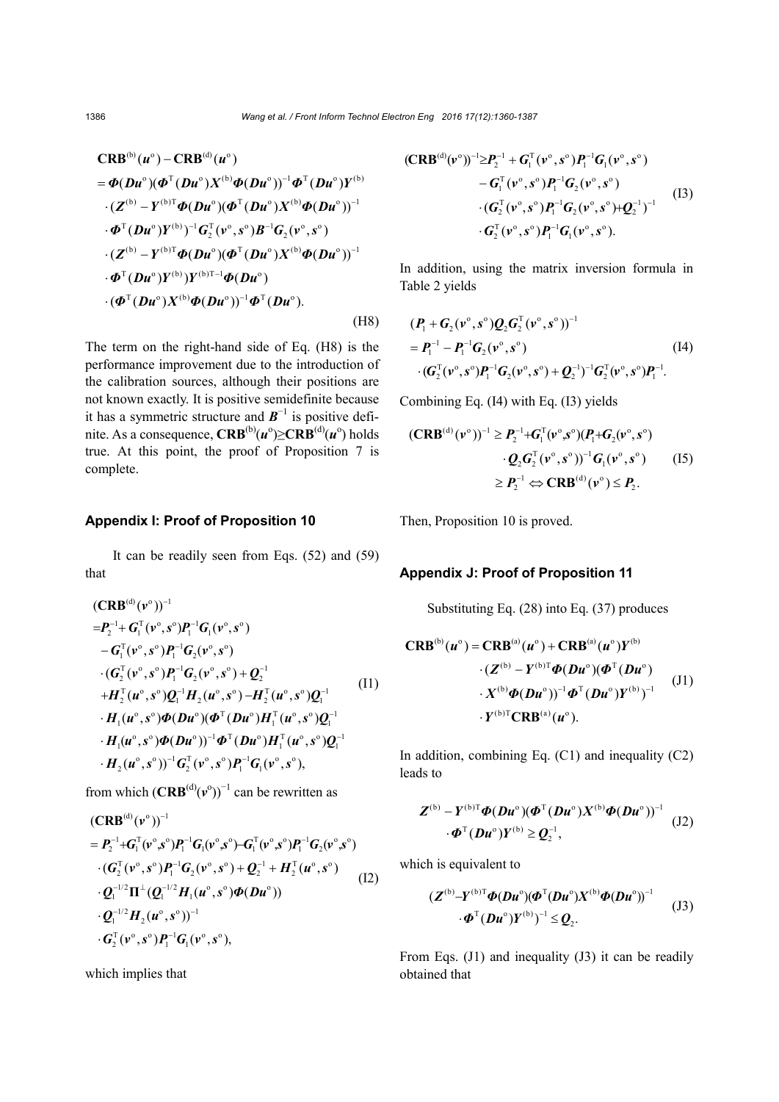$$
CRB(b)(u°) – CRB(d)(u°)= Φ(Du°)(ΦT(Du°)X(b)Φ(Du°))-1ΦT(Du°)Y(b)·(Z(b) – Y(b)TΦ(Du°)(ΦT(Du°)X(b)Φ(Du°))-1·ΦT(Du°)Y(b))-1G2T(v°, s°)B-1G2(v°, s°)·(Z(b) – Y(b)TΦ(Du°)(ΦT(Du°)X(b)Φ(Du°))-1·ΦT(Du°)Y(b))Y(b)T-1Φ(Du°)·(ΦT(Du°)X(b)Φ(Du°))-1ΦT(Du°). (H8)
$$

The term on the right-hand side of Eq. (H8) is the performance improvement due to the introduction of the calibration sources, although their positions are not known exactly. It is positive semidefinite because it has a symmetric structure and  $\mathbf{B}^{-1}$  is positive definite. As a consequence,  $CRB^{(b)}(u^{\circ}) \geq CRB^{(d)}(u^{\circ})$  holds true. At this point, the proof of Proposition 7 is complete.

#### **Appendix I: Proof of Proposition 10**

It can be readily seen from Eqs. (52) and (59) that

$$
(\mathbf{CRB}^{(d)}(\mathbf{v}^{\circ}))^{-1}
$$
  
\n
$$
=P_{2}^{-1}+G_{1}^{T}(\mathbf{v}^{\circ},\mathbf{s}^{\circ})P_{1}^{-1}G_{1}(\mathbf{v}^{\circ},\mathbf{s}^{\circ})
$$
  
\n
$$
-G_{1}^{T}(\mathbf{v}^{\circ},\mathbf{s}^{\circ})P_{1}^{-1}G_{2}(\mathbf{v}^{\circ},\mathbf{s}^{\circ})
$$
  
\n
$$
\cdot (G_{2}^{T}(\mathbf{v}^{\circ},\mathbf{s}^{\circ})P_{1}^{-1}G_{2}(\mathbf{v}^{\circ},\mathbf{s}^{\circ}) + Q_{2}^{-1}
$$
  
\n
$$
+H_{2}^{T}(\mathbf{u}^{\circ},\mathbf{s}^{\circ})Q_{1}^{-1}H_{2}(\mathbf{u}^{\circ},\mathbf{s}^{\circ}) - H_{2}^{T}(\mathbf{u}^{\circ},\mathbf{s}^{\circ})Q_{1}^{-1}
$$
  
\n
$$
\cdot H_{1}(\mathbf{u}^{\circ},\mathbf{s}^{\circ})\Phi(D\mathbf{u}^{\circ})(\Phi^{T}(D\mathbf{u}^{\circ})H_{1}^{T}(\mathbf{u}^{\circ},\mathbf{s}^{\circ})Q_{1}^{-1}
$$
  
\n
$$
\cdot H_{1}(\mathbf{u}^{\circ},\mathbf{s}^{\circ})\Phi(D\mathbf{u}^{\circ}))^{-1}\Phi^{T}(D\mathbf{u}^{\circ})H_{1}^{T}(\mathbf{u}^{\circ},\mathbf{s}^{\circ})Q_{1}^{-1}
$$
  
\n
$$
\cdot H_{2}(\mathbf{u}^{\circ},\mathbf{s}^{\circ}))^{-1}G_{2}^{T}(\mathbf{v}^{\circ},\mathbf{s}^{\circ})P_{1}^{-1}G_{1}(\mathbf{v}^{\circ},\mathbf{s}^{\circ}),
$$

from which  $(\mathbf{CRB}^{(d)}(\mathbf{v}^{\circ}))^{-1}$  can be rewritten as

$$
(\mathbf{CRB}^{(d)}(\mathbf{v}^{\circ}))^{-1}
$$
  
=  $P_2^{-1} + G_1^T (\mathbf{v}^{\circ}, \mathbf{s}^{\circ}) P_1^{-1} G_1 (\mathbf{v}^{\circ}, \mathbf{s}^{\circ}) - G_1^T (\mathbf{v}^{\circ}, \mathbf{s}^{\circ}) P_1^{-1} G_2 (\mathbf{v}^{\circ}, \mathbf{s}^{\circ})$   
•  $(\mathbf{G}_2^T (\mathbf{v}^{\circ}, \mathbf{s}^{\circ}) P_1^{-1} G_2 (\mathbf{v}^{\circ}, \mathbf{s}^{\circ}) + \mathbf{Q}_2^{-1} + \mathbf{H}_2^T (\mathbf{u}^{\circ}, \mathbf{s}^{\circ})$   
•  $\mathbf{Q}_1^{-1/2} \mathbf{\Pi}^{\perp} (\mathbf{Q}_1^{-1/2} \mathbf{H}_1 (\mathbf{u}^{\circ}, \mathbf{s}^{\circ}) \boldsymbol{\Phi} (\mathbf{D} \mathbf{u}^{\circ}))$   
•  $\mathbf{Q}_1^{-1/2} \mathbf{H}_2 (\mathbf{u}^{\circ}, \mathbf{s}^{\circ}) P_1^{-1} \mathbf{G}_1 (\mathbf{v}^{\circ}, \mathbf{s}^{\circ}),$  (12)  
•  $\mathbf{G}_2^T (\mathbf{v}^{\circ}, \mathbf{s}^{\circ}) P_1^{-1} \mathbf{G}_1 (\mathbf{v}^{\circ}, \mathbf{s}^{\circ}),$ 

which implies that

$$
(\mathbf{CRB}^{(d)}(\mathbf{v}^{\circ}))^{-1} \geq P_2^{-1} + G_1^{\mathrm{T}}(\mathbf{v}^{\circ}, \mathbf{s}^{\circ}) P_1^{-1} G_1(\mathbf{v}^{\circ}, \mathbf{s}^{\circ}) - G_1^{\mathrm{T}}(\mathbf{v}^{\circ}, \mathbf{s}^{\circ}) P_1^{-1} G_2(\mathbf{v}^{\circ}, \mathbf{s}^{\circ}) \cdot (G_2^{\mathrm{T}}(\mathbf{v}^{\circ}, \mathbf{s}^{\circ}) P_1^{-1} G_2(\mathbf{v}^{\circ}, \mathbf{s}^{\circ}) + Q_2^{-1})^{-1} - G_2^{\mathrm{T}}(\mathbf{v}^{\circ}, \mathbf{s}^{\circ}) P_1^{-1} G_1(\mathbf{v}^{\circ}, \mathbf{s}^{\circ}).
$$
\n(13)

In addition, using the matrix inversion formula in Table 2 yields

$$
(P_1 + G_2(v^{\circ}, s^{\circ})Q_2G_2^{T}(v^{\circ}, s^{\circ}))^{-1}
$$
  
=  $P_1^{-1} - P_1^{-1}G_2(v^{\circ}, s^{\circ})$  (14)  

$$
\cdot (G_2^{T}(v^{\circ}, s^{\circ})P_1^{-1}G_2(v^{\circ}, s^{\circ}) + Q_2^{-1})^{-1}G_2^{T}(v^{\circ}, s^{\circ})P_1^{-1}.
$$

Combining Eq. (I4) with Eq. (I3) yields

$$
(\mathbf{CRB}^{(d)}(\mathbf{v}^{\circ}))^{-1} \ge P_2^{-1} + G_1^{\mathrm{T}}(\mathbf{v}^{\circ}, \mathbf{s}^{\circ}) (P_1 + G_2(\mathbf{v}^{\circ}, \mathbf{s}^{\circ})
$$

$$
\cdot Q_2 G_2^{\mathrm{T}}(\mathbf{v}^{\circ}, \mathbf{s}^{\circ}) )^{-1} G_1(\mathbf{v}^{\circ}, \mathbf{s}^{\circ}) \qquad (15)
$$

$$
\ge P_2^{-1} \Leftrightarrow \mathbf{CRB}^{(d)}(\mathbf{v}^{\circ}) \le P_2.
$$

Then, Proposition 10 is proved.

#### **Appendix J: Proof of Proposition 11**

Substituting Eq. (28) into Eq. (37) produces

$$
CRB^{(b)}(u^{\circ}) = CRB^{(a)}(u^{\circ}) + CRB^{(a)}(u^{\circ})Y^{(b)}
$$

$$
\cdot (Z^{(b)} - Y^{(b)T}\Phi(Du^{\circ})(\Phi^{T}(Du^{\circ}))
$$

$$
\cdot X^{(b)}\Phi(Du^{\circ}))^{-1}\Phi^{T}(Du^{\circ})Y^{(b)})^{-1}
$$

$$
\cdot Y^{(b)T}CRB^{(a)}(u^{\circ}).
$$
(J1)

In addition, combining Eq.  $(C1)$  and inequality  $(C2)$ leads to

$$
Z^{(b)} - Y^{(b)T} \boldsymbol{\Phi}(Du^{\circ})(\boldsymbol{\Phi}^{T}(\boldsymbol{Du}^{\circ})X^{(b)}\boldsymbol{\Phi}(Du^{\circ}))^{-1}
$$
  
 
$$
\cdot \boldsymbol{\Phi}^{T}(\boldsymbol{Du}^{\circ})Y^{(b)} \geq \boldsymbol{Q}_{2}^{-1}, \qquad (J2)
$$

which is equivalent to

$$
(Z^{(b)}-Y^{(b)T}\Phi(Du^{\circ})(\Phi^{T}(Du^{\circ})X^{(b)}\Phi(Du^{\circ}))^{-1}
$$
  
 
$$
\cdot \Phi^{T}(Du^{\circ})Y^{(b)})^{-1} \leq Q_{2}.
$$
 (J3)

From Eqs. (J1) and inequality (J3) it can be readily obtained that